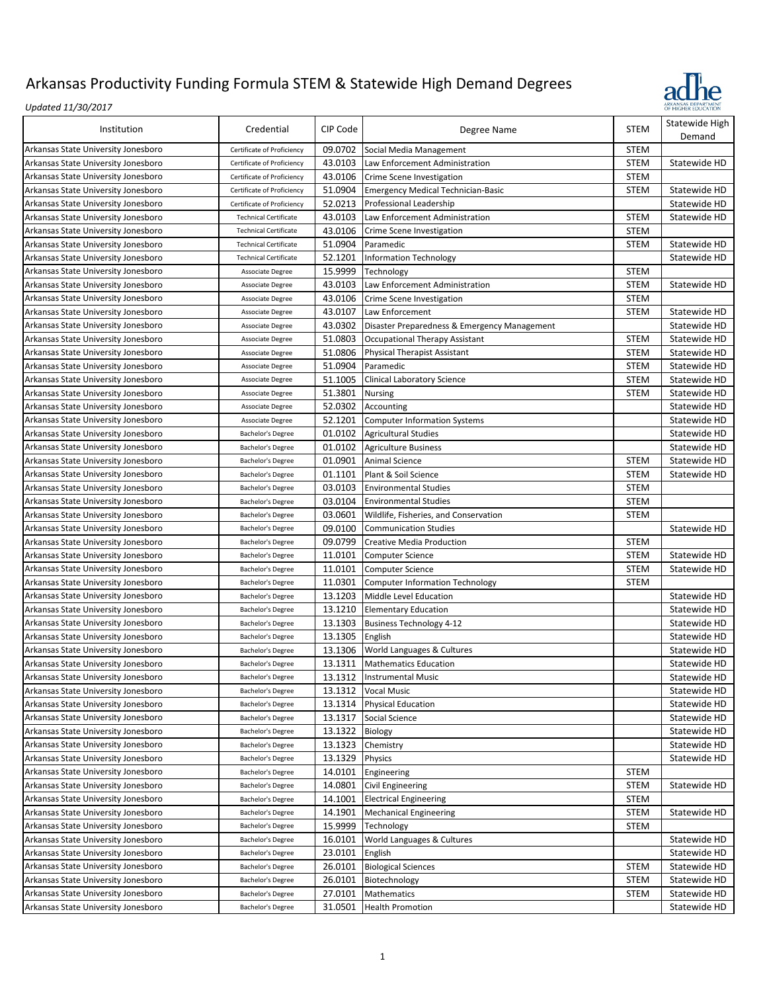

| Institution                         | Credential                             | CIP Code | Degree Name                                  | <b>STEM</b> | Statewide High<br>Demand |
|-------------------------------------|----------------------------------------|----------|----------------------------------------------|-------------|--------------------------|
| Arkansas State University Jonesboro | Certificate of Proficiency             | 09.0702  | Social Media Management                      | <b>STEM</b> |                          |
| Arkansas State University Jonesboro | Certificate of Proficiency             | 43.0103  | Law Enforcement Administration               | <b>STEM</b> | Statewide HD             |
| Arkansas State University Jonesboro | Certificate of Proficiency             | 43.0106  | Crime Scene Investigation                    | <b>STEM</b> |                          |
| Arkansas State University Jonesboro | Certificate of Proficiency             | 51.0904  | <b>Emergency Medical Technician-Basic</b>    | <b>STEM</b> | Statewide HD             |
| Arkansas State University Jonesboro | Certificate of Proficiency             | 52.0213  | Professional Leadership                      |             | Statewide HD             |
| Arkansas State University Jonesboro | <b>Technical Certificate</b>           | 43.0103  | Law Enforcement Administration               | <b>STEM</b> | Statewide HD             |
| Arkansas State University Jonesboro | <b>Technical Certificate</b>           | 43.0106  | Crime Scene Investigation                    | <b>STEM</b> |                          |
| Arkansas State University Jonesboro | <b>Technical Certificate</b>           | 51.0904  | Paramedic                                    | <b>STEM</b> | Statewide HD             |
| Arkansas State University Jonesboro | <b>Technical Certificate</b>           | 52.1201  | <b>Information Technology</b>                |             | Statewide HD             |
| Arkansas State University Jonesboro | Associate Degree                       | 15.9999  | Technology                                   | <b>STEM</b> |                          |
| Arkansas State University Jonesboro | Associate Degree                       | 43.0103  | Law Enforcement Administration               | <b>STEM</b> | Statewide HD             |
| Arkansas State University Jonesboro | Associate Degree                       | 43.0106  | Crime Scene Investigation                    | <b>STEM</b> |                          |
| Arkansas State University Jonesboro | Associate Degree                       | 43.0107  | Law Enforcement                              | <b>STEM</b> | Statewide HD             |
| Arkansas State University Jonesboro | Associate Degree                       | 43.0302  | Disaster Preparedness & Emergency Management |             | Statewide HD             |
| Arkansas State University Jonesboro | Associate Degree                       | 51.0803  | Occupational Therapy Assistant               | <b>STEM</b> | Statewide HD             |
| Arkansas State University Jonesboro | Associate Degree                       | 51.0806  | <b>Physical Therapist Assistant</b>          | <b>STEM</b> | Statewide HD             |
| Arkansas State University Jonesboro | Associate Degree                       | 51.0904  | Paramedic                                    | <b>STEM</b> | Statewide HD             |
| Arkansas State University Jonesboro | Associate Degree                       | 51.1005  | <b>Clinical Laboratory Science</b>           | <b>STEM</b> | Statewide HD             |
| Arkansas State University Jonesboro |                                        | 51.3801  | Nursing                                      | <b>STEM</b> | Statewide HD             |
|                                     | Associate Degree                       |          |                                              |             |                          |
| Arkansas State University Jonesboro | <b>Associate Degree</b>                | 52.0302  | Accounting                                   |             | Statewide HD             |
| Arkansas State University Jonesboro | Associate Degree                       | 52.1201  | <b>Computer Information Systems</b>          |             | Statewide HD             |
| Arkansas State University Jonesboro | Bachelor's Degree                      | 01.0102  | <b>Agricultural Studies</b>                  |             | Statewide HD             |
| Arkansas State University Jonesboro | Bachelor's Degree                      | 01.0102  | <b>Agriculture Business</b>                  |             | Statewide HD             |
| Arkansas State University Jonesboro | Bachelor's Degree                      | 01.0901  | <b>Animal Science</b>                        | <b>STEM</b> | Statewide HD             |
| Arkansas State University Jonesboro | Bachelor's Degree                      | 01.1101  | Plant & Soil Science                         | <b>STEM</b> | Statewide HD             |
| Arkansas State University Jonesboro | Bachelor's Degree                      | 03.0103  | <b>Environmental Studies</b>                 | <b>STEM</b> |                          |
| Arkansas State University Jonesboro | Bachelor's Degree                      | 03.0104  | <b>Environmental Studies</b>                 | <b>STEM</b> |                          |
| Arkansas State University Jonesboro | Bachelor's Degree                      | 03.0601  | Wildlife, Fisheries, and Conservation        | <b>STEM</b> |                          |
| Arkansas State University Jonesboro | Bachelor's Degree                      | 09.0100  | <b>Communication Studies</b>                 |             | Statewide HD             |
| Arkansas State University Jonesboro | Bachelor's Degree                      | 09.0799  | <b>Creative Media Production</b>             | <b>STEM</b> |                          |
| Arkansas State University Jonesboro | Bachelor's Degree                      | 11.0101  | Computer Science                             | <b>STEM</b> | Statewide HD             |
| Arkansas State University Jonesboro | Bachelor's Degree                      | 11.0101  | Computer Science                             | <b>STEM</b> | Statewide HD             |
| Arkansas State University Jonesboro | Bachelor's Degree                      | 11.0301  | <b>Computer Information Technology</b>       | <b>STEM</b> |                          |
| Arkansas State University Jonesboro | Bachelor's Degree                      | 13.1203  | Middle Level Education                       |             | Statewide HD             |
| Arkansas State University Jonesboro | Bachelor's Degree                      | 13.1210  | <b>Elementary Education</b>                  |             | Statewide HD             |
| Arkansas State University Jonesboro | Bachelor's Degree                      | 13.1303  | <b>Business Technology 4-12</b>              |             | Statewide HD             |
| Arkansas State University Jonesboro | Bachelor's Degree                      | 13.1305  | English                                      |             | Statewide HD             |
| Arkansas State University Jonesboro | Bachelor's Degree                      | 13.1306  | World Languages & Cultures                   |             | Statewide HD             |
| Arkansas State University Jonesboro | Bachelor's Degree                      | 13.1311  | <b>Mathematics Education</b>                 |             | Statewide HD             |
| Arkansas State University Jonesboro | Bachelor's Degree                      |          | 13.1312 Instrumental Music                   |             | Statewide HD             |
| Arkansas State University Jonesboro | Bachelor's Degree                      | 13.1312  | <b>Vocal Music</b>                           |             | Statewide HD             |
| Arkansas State University Jonesboro | Bachelor's Degree                      | 13.1314  | <b>Physical Education</b>                    |             | Statewide HD             |
| Arkansas State University Jonesboro | Bachelor's Degree                      | 13.1317  | Social Science                               |             | Statewide HD             |
| Arkansas State University Jonesboro | Bachelor's Degree                      | 13.1322  | Biology                                      |             | Statewide HD             |
| Arkansas State University Jonesboro | Bachelor's Degree                      | 13.1323  | Chemistry                                    |             | Statewide HD             |
| Arkansas State University Jonesboro | Bachelor's Degree                      | 13.1329  | Physics                                      |             | Statewide HD             |
| Arkansas State University Jonesboro | Bachelor's Degree                      | 14.0101  | Engineering                                  | <b>STEM</b> |                          |
| Arkansas State University Jonesboro | Bachelor's Degree                      | 14.0801  | Civil Engineering                            | <b>STEM</b> | Statewide HD             |
| Arkansas State University Jonesboro | Bachelor's Degree                      | 14.1001  | <b>Electrical Engineering</b>                | <b>STEM</b> |                          |
| Arkansas State University Jonesboro | Bachelor's Degree                      | 14.1901  | <b>Mechanical Engineering</b>                | <b>STEM</b> | Statewide HD             |
| Arkansas State University Jonesboro | Bachelor's Degree                      | 15.9999  | Technology                                   | <b>STEM</b> |                          |
| Arkansas State University Jonesboro | Bachelor's Degree                      | 16.0101  | World Languages & Cultures                   |             | Statewide HD             |
|                                     |                                        | 23.0101  | English                                      |             | Statewide HD             |
| Arkansas State University Jonesboro | Bachelor's Degree<br>Bachelor's Degree | 26.0101  |                                              | <b>STEM</b> |                          |
| Arkansas State University Jonesboro |                                        |          | <b>Biological Sciences</b>                   |             | Statewide HD             |
| Arkansas State University Jonesboro | Bachelor's Degree                      | 26.0101  | Biotechnology                                | STEM        | Statewide HD             |
| Arkansas State University Jonesboro | Bachelor's Degree                      | 27.0101  | Mathematics                                  | <b>STEM</b> | Statewide HD             |
| Arkansas State University Jonesboro | Bachelor's Degree                      | 31.0501  | <b>Health Promotion</b>                      |             | Statewide HD             |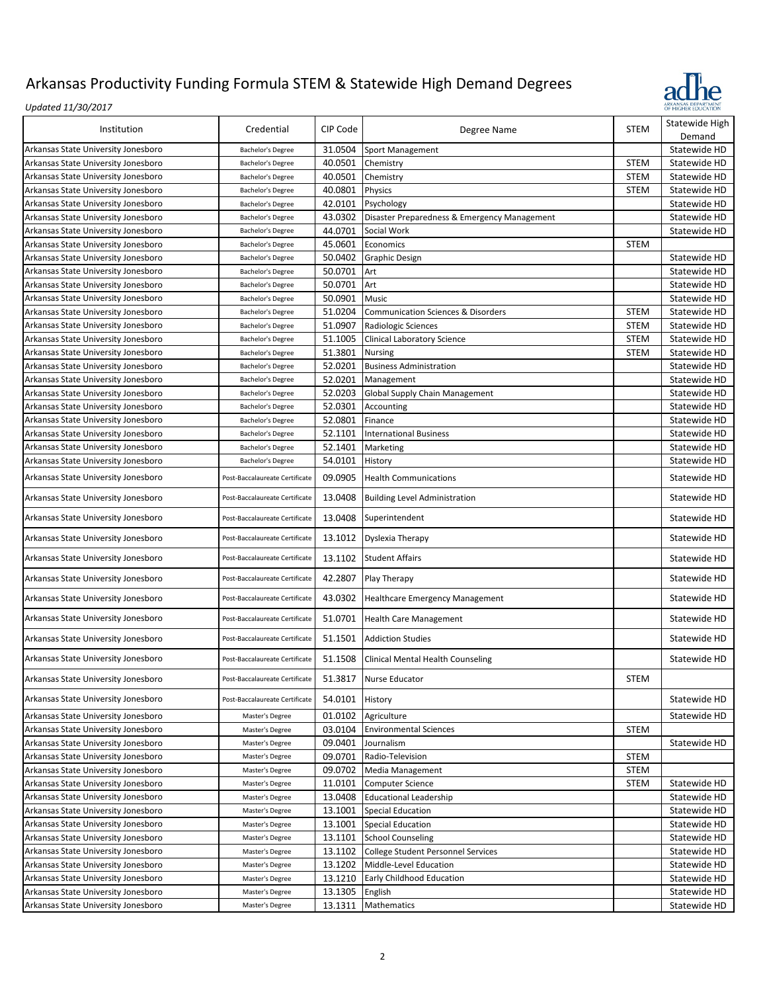

|                                     |                                |          |                                               |             | Statewide High |
|-------------------------------------|--------------------------------|----------|-----------------------------------------------|-------------|----------------|
| Institution                         | Credential                     | CIP Code | Degree Name                                   | <b>STEM</b> | Demand         |
| Arkansas State University Jonesboro | Bachelor's Degree              | 31.0504  | Sport Management                              |             | Statewide HD   |
| Arkansas State University Jonesboro | Bachelor's Degree              | 40.0501  | Chemistry                                     | <b>STEM</b> | Statewide HD   |
| Arkansas State University Jonesboro | Bachelor's Degree              | 40.0501  | Chemistry                                     | <b>STEM</b> | Statewide HD   |
| Arkansas State University Jonesboro | Bachelor's Degree              | 40.0801  | Physics                                       | <b>STEM</b> | Statewide HD   |
| Arkansas State University Jonesboro | Bachelor's Degree              | 42.0101  | Psychology                                    |             | Statewide HD   |
|                                     |                                |          |                                               |             |                |
| Arkansas State University Jonesboro | Bachelor's Degree              | 43.0302  | Disaster Preparedness & Emergency Management  |             | Statewide HD   |
| Arkansas State University Jonesboro | Bachelor's Degree              | 44.0701  | Social Work                                   |             | Statewide HD   |
| Arkansas State University Jonesboro | Bachelor's Degree              | 45.0601  | Economics                                     | <b>STEM</b> |                |
| Arkansas State University Jonesboro | Bachelor's Degree              | 50.0402  | <b>Graphic Design</b>                         |             | Statewide HD   |
| Arkansas State University Jonesboro | Bachelor's Degree              | 50.0701  | Art                                           |             | Statewide HD   |
| Arkansas State University Jonesboro | Bachelor's Degree              | 50.0701  | Art                                           |             | Statewide HD   |
| Arkansas State University Jonesboro | Bachelor's Degree              | 50.0901  | Music                                         |             | Statewide HD   |
| Arkansas State University Jonesboro | Bachelor's Degree              | 51.0204  | <b>Communication Sciences &amp; Disorders</b> | <b>STEM</b> | Statewide HD   |
| Arkansas State University Jonesboro | Bachelor's Degree              | 51.0907  | Radiologic Sciences                           | <b>STEM</b> | Statewide HD   |
| Arkansas State University Jonesboro | Bachelor's Degree              | 51.1005  | Clinical Laboratory Science                   | <b>STEM</b> | Statewide HD   |
| Arkansas State University Jonesboro | Bachelor's Degree              | 51.3801  | <b>Nursing</b>                                | <b>STEM</b> | Statewide HD   |
| Arkansas State University Jonesboro | Bachelor's Degree              | 52.0201  | <b>Business Administration</b>                |             | Statewide HD   |
| Arkansas State University Jonesboro | Bachelor's Degree              | 52.0201  | Management                                    |             | Statewide HD   |
| Arkansas State University Jonesboro | Bachelor's Degree              | 52.0203  | <b>Global Supply Chain Management</b>         |             | Statewide HD   |
| Arkansas State University Jonesboro | Bachelor's Degree              | 52.0301  | Accounting                                    |             | Statewide HD   |
| Arkansas State University Jonesboro | Bachelor's Degree              | 52.0801  | Finance                                       |             | Statewide HD   |
|                                     |                                |          | <b>International Business</b>                 |             | Statewide HD   |
| Arkansas State University Jonesboro | Bachelor's Degree              | 52.1101  |                                               |             |                |
| Arkansas State University Jonesboro | Bachelor's Degree              | 52.1401  | Marketing                                     |             | Statewide HD   |
| Arkansas State University Jonesboro | Bachelor's Degree              | 54.0101  | History                                       |             | Statewide HD   |
| Arkansas State University Jonesboro | Post-Baccalaureate Certificate | 09.0905  | <b>Health Communications</b>                  |             | Statewide HD   |
| Arkansas State University Jonesboro | Post-Baccalaureate Certificate | 13.0408  | <b>Building Level Administration</b>          |             | Statewide HD   |
| Arkansas State University Jonesboro | Post-Baccalaureate Certificate | 13.0408  | Superintendent                                |             | Statewide HD   |
| Arkansas State University Jonesboro | Post-Baccalaureate Certificate | 13.1012  | Dyslexia Therapy                              |             | Statewide HD   |
| Arkansas State University Jonesboro | Post-Baccalaureate Certificate | 13.1102  | <b>Student Affairs</b>                        |             | Statewide HD   |
| Arkansas State University Jonesboro | Post-Baccalaureate Certificate | 42.2807  | Play Therapy                                  |             | Statewide HD   |
| Arkansas State University Jonesboro | Post-Baccalaureate Certificate | 43.0302  | <b>Healthcare Emergency Management</b>        |             | Statewide HD   |
| Arkansas State University Jonesboro | Post-Baccalaureate Certificate | 51.0701  | <b>Health Care Management</b>                 |             | Statewide HD   |
| Arkansas State University Jonesboro | Post-Baccalaureate Certificate | 51.1501  | <b>Addiction Studies</b>                      |             | Statewide HD   |
| Arkansas State University Jonesboro | Post-Baccalaureate Certificate | 51.1508  | Clinical Mental Health Counseling             |             | Statewide HD   |
| Arkansas State University Jonesboro | Post-Baccalaureate Certificate | 51.3817  | Nurse Educator                                | STEM        |                |
| Arkansas State University Jonesboro | Post-Baccalaureate Certificate | 54.0101  | History                                       |             | Statewide HD   |
| Arkansas State University Jonesboro | Master's Degree                | 01.0102  | Agriculture                                   |             | Statewide HD   |
| Arkansas State University Jonesboro | Master's Degree                | 03.0104  | <b>Environmental Sciences</b>                 | <b>STEM</b> |                |
| Arkansas State University Jonesboro | Master's Degree                | 09.0401  | Journalism                                    |             | Statewide HD   |
|                                     |                                |          |                                               |             |                |
| Arkansas State University Jonesboro | Master's Degree                | 09.0701  | Radio-Television                              | <b>STEM</b> |                |
| Arkansas State University Jonesboro | Master's Degree                | 09.0702  | Media Management                              | STEM        |                |
| Arkansas State University Jonesboro | Master's Degree                | 11.0101  | <b>Computer Science</b>                       | <b>STEM</b> | Statewide HD   |
| Arkansas State University Jonesboro | Master's Degree                | 13.0408  | <b>Educational Leadership</b>                 |             | Statewide HD   |
| Arkansas State University Jonesboro | Master's Degree                | 13.1001  | Special Education                             |             | Statewide HD   |
| Arkansas State University Jonesboro | Master's Degree                | 13.1001  | <b>Special Education</b>                      |             | Statewide HD   |
| Arkansas State University Jonesboro | Master's Degree                | 13.1101  | <b>School Counseling</b>                      |             | Statewide HD   |
| Arkansas State University Jonesboro | Master's Degree                | 13.1102  | College Student Personnel Services            |             | Statewide HD   |
| Arkansas State University Jonesboro | Master's Degree                | 13.1202  | Middle-Level Education                        |             | Statewide HD   |
| Arkansas State University Jonesboro | Master's Degree                | 13.1210  | Early Childhood Education                     |             | Statewide HD   |
| Arkansas State University Jonesboro | Master's Degree                | 13.1305  | English                                       |             | Statewide HD   |
| Arkansas State University Jonesboro | Master's Degree                | 13.1311  | Mathematics                                   |             | Statewide HD   |
|                                     |                                |          |                                               |             |                |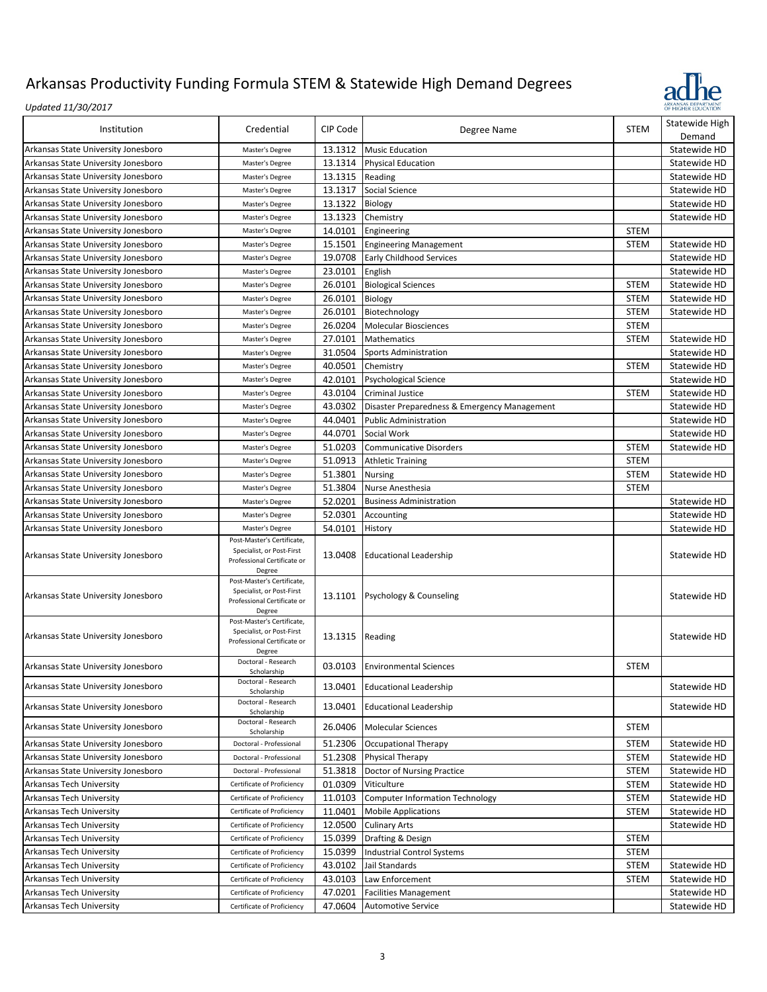

| Institution                         | Credential                                               | CIP Code        | Degree Name                                  | <b>STEM</b> | Statewide High |
|-------------------------------------|----------------------------------------------------------|-----------------|----------------------------------------------|-------------|----------------|
|                                     |                                                          |                 |                                              |             | Demand         |
| Arkansas State University Jonesboro | Master's Degree                                          | 13.1312         | <b>Music Education</b>                       |             | Statewide HD   |
| Arkansas State University Jonesboro | Master's Degree                                          | 13.1314         | <b>Physical Education</b>                    |             | Statewide HD   |
| Arkansas State University Jonesboro | Master's Degree                                          | 13.1315         | Reading                                      |             | Statewide HD   |
| Arkansas State University Jonesboro | Master's Degree                                          | 13.1317         | Social Science                               |             | Statewide HD   |
| Arkansas State University Jonesboro | Master's Degree                                          | 13.1322         | Biology                                      |             | Statewide HD   |
| Arkansas State University Jonesboro | Master's Degree                                          | 13.1323         | Chemistry                                    |             | Statewide HD   |
| Arkansas State University Jonesboro | Master's Degree                                          | 14.0101         | Engineering                                  | <b>STEM</b> |                |
| Arkansas State University Jonesboro | Master's Degree                                          | 15.1501         | <b>Engineering Management</b>                | <b>STEM</b> | Statewide HD   |
| Arkansas State University Jonesboro | Master's Degree                                          | 19.0708         | <b>Early Childhood Services</b>              |             | Statewide HD   |
| Arkansas State University Jonesboro | Master's Degree                                          | 23.0101         | English                                      |             | Statewide HD   |
| Arkansas State University Jonesboro | Master's Degree                                          | 26.0101         | <b>Biological Sciences</b>                   | <b>STEM</b> | Statewide HD   |
|                                     | Master's Degree                                          |                 |                                              | <b>STEM</b> | Statewide HD   |
| Arkansas State University Jonesboro |                                                          | 26.0101         | Biology                                      |             |                |
| Arkansas State University Jonesboro | Master's Degree                                          | 26.0101         | Biotechnology                                | <b>STEM</b> | Statewide HD   |
| Arkansas State University Jonesboro | Master's Degree                                          | 26.0204         | <b>Molecular Biosciences</b>                 | <b>STEM</b> |                |
| Arkansas State University Jonesboro | Master's Degree                                          | 27.0101         | Mathematics                                  | <b>STEM</b> | Statewide HD   |
| Arkansas State University Jonesboro | Master's Degree                                          | 31.0504         | <b>Sports Administration</b>                 |             | Statewide HD   |
| Arkansas State University Jonesboro | Master's Degree                                          | 40.0501         | Chemistry                                    | <b>STEM</b> | Statewide HD   |
| Arkansas State University Jonesboro | Master's Degree                                          | 42.0101         | Psychological Science                        |             | Statewide HD   |
| Arkansas State University Jonesboro | Master's Degree                                          | 43.0104         | <b>Criminal Justice</b>                      | <b>STEM</b> | Statewide HD   |
| Arkansas State University Jonesboro | Master's Degree                                          | 43.0302         | Disaster Preparedness & Emergency Management |             | Statewide HD   |
| Arkansas State University Jonesboro | Master's Degree                                          | 44.0401         | <b>Public Administration</b>                 |             | Statewide HD   |
| Arkansas State University Jonesboro | Master's Degree                                          | 44.0701         | Social Work                                  |             | Statewide HD   |
| Arkansas State University Jonesboro | Master's Degree                                          | 51.0203         | <b>Communicative Disorders</b>               | <b>STEM</b> | Statewide HD   |
| Arkansas State University Jonesboro | Master's Degree                                          | 51.0913         | <b>Athletic Training</b>                     | <b>STEM</b> |                |
| Arkansas State University Jonesboro | Master's Degree                                          | 51.3801         | <b>Nursing</b>                               | <b>STEM</b> | Statewide HD   |
| Arkansas State University Jonesboro | Master's Degree                                          | 51.3804         | Nurse Anesthesia                             | <b>STEM</b> |                |
| Arkansas State University Jonesboro | Master's Degree                                          | 52.0201         | <b>Business Administration</b>               |             | Statewide HD   |
|                                     |                                                          | 52.0301         |                                              |             | Statewide HD   |
| Arkansas State University Jonesboro | Master's Degree                                          |                 | Accounting                                   |             |                |
| Arkansas State University Jonesboro | Master's Degree<br>Post-Master's Certificate,            | 54.0101         | History                                      |             | Statewide HD   |
|                                     | Specialist, or Post-First                                |                 |                                              |             |                |
| Arkansas State University Jonesboro | Professional Certificate or                              | 13.0408         | <b>Educational Leadership</b>                |             | Statewide HD   |
|                                     | Degree                                                   |                 |                                              |             |                |
|                                     | Post-Master's Certificate,<br>Specialist, or Post-First  |                 |                                              |             |                |
| Arkansas State University Jonesboro | Professional Certificate or                              |                 | 13.1101 Psychology & Counseling              |             | Statewide HD   |
|                                     | Degree                                                   |                 |                                              |             |                |
|                                     | Post-Master's Certificate,                               |                 |                                              |             |                |
| Arkansas State University Jonesboro | Specialist, or Post-First<br>Professional Certificate or | 13.1315 Reading |                                              |             | Statewide HD   |
|                                     | Degree                                                   |                 |                                              |             |                |
| Arkansas State University Jonesboro | Doctoral - Research                                      | 03.0103         | <b>Environmental Sciences</b>                | STEM        |                |
|                                     | Scholarship                                              |                 |                                              |             |                |
| Arkansas State University Jonesboro | Doctoral - Research<br>Scholarship                       | 13.0401         | <b>Educational Leadership</b>                |             | Statewide HD   |
| Arkansas State University Jonesboro | Doctoral - Research                                      | 13.0401         | <b>Educational Leadership</b>                |             | Statewide HD   |
|                                     | Scholarship                                              |                 |                                              |             |                |
| Arkansas State University Jonesboro | Doctoral - Research<br>Scholarship                       | 26.0406         | <b>Molecular Sciences</b>                    | STEM        |                |
| Arkansas State University Jonesboro | Doctoral - Professional                                  | 51.2306         | Occupational Therapy                         | <b>STEM</b> | Statewide HD   |
| Arkansas State University Jonesboro | Doctoral - Professional                                  | 51.2308         | <b>Physical Therapy</b>                      | STEM        | Statewide HD   |
| Arkansas State University Jonesboro | Doctoral - Professional                                  | 51.3818         | Doctor of Nursing Practice                   | STEM        | Statewide HD   |
| Arkansas Tech University            | Certificate of Proficiency                               | 01.0309         | Viticulture                                  | <b>STEM</b> | Statewide HD   |
| Arkansas Tech University            | Certificate of Proficiency                               | 11.0103         | <b>Computer Information Technology</b>       | <b>STEM</b> | Statewide HD   |
| Arkansas Tech University            | Certificate of Proficiency                               | 11.0401         | <b>Mobile Applications</b>                   | <b>STEM</b> | Statewide HD   |
|                                     | Certificate of Proficiency                               | 12.0500         |                                              |             | Statewide HD   |
| Arkansas Tech University            |                                                          |                 | <b>Culinary Arts</b>                         |             |                |
| Arkansas Tech University            | Certificate of Proficiency                               | 15.0399         | Drafting & Design                            | <b>STEM</b> |                |
| Arkansas Tech University            | Certificate of Proficiency                               | 15.0399         | Industrial Control Systems                   | STEM        |                |
| Arkansas Tech University            | Certificate of Proficiency                               | 43.0102         | Jail Standards                               | <b>STEM</b> | Statewide HD   |
| Arkansas Tech University            | Certificate of Proficiency                               | 43.0103         | Law Enforcement                              | STEM        | Statewide HD   |
| Arkansas Tech University            | Certificate of Proficiency                               | 47.0201         | <b>Facilities Management</b>                 |             | Statewide HD   |
| Arkansas Tech University            | Certificate of Proficiency                               | 47.0604         | <b>Automotive Service</b>                    |             | Statewide HD   |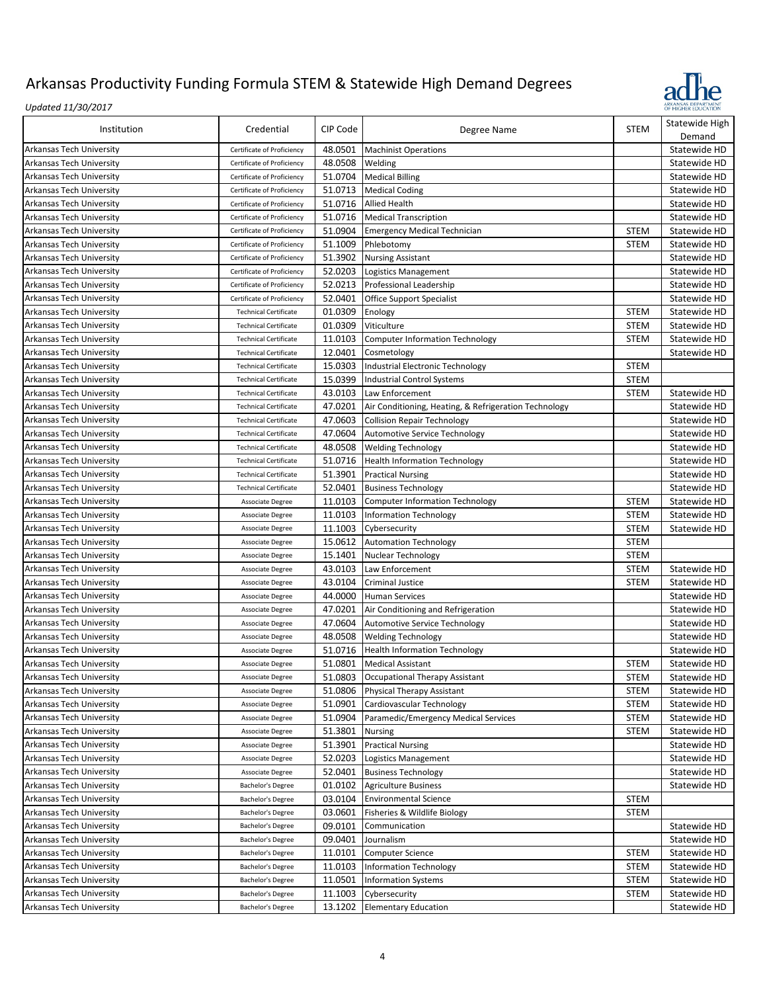

| Institution              | Credential                                                   | CIP Code           | Degree Name                                           | <b>STEM</b>                | Statewide High<br>Demand     |
|--------------------------|--------------------------------------------------------------|--------------------|-------------------------------------------------------|----------------------------|------------------------------|
| Arkansas Tech University | Certificate of Proficiency                                   | 48.0501            | <b>Machinist Operations</b>                           |                            | Statewide HD                 |
| Arkansas Tech University | Certificate of Proficiency                                   | 48.0508            | Welding                                               |                            | Statewide HD                 |
| Arkansas Tech University | Certificate of Proficiency                                   | 51.0704            | <b>Medical Billing</b>                                |                            | Statewide HD                 |
| Arkansas Tech University | Certificate of Proficiency                                   | 51.0713            | <b>Medical Coding</b>                                 |                            | Statewide HD                 |
| Arkansas Tech University | Certificate of Proficiency                                   | 51.0716            | <b>Allied Health</b>                                  |                            | Statewide HD                 |
| Arkansas Tech University | Certificate of Proficiency                                   | 51.0716            | <b>Medical Transcription</b>                          |                            | Statewide HD                 |
| Arkansas Tech University | Certificate of Proficiency                                   | 51.0904            | <b>Emergency Medical Technician</b>                   | STEM                       | Statewide HD                 |
| Arkansas Tech University | Certificate of Proficiency                                   | 51.1009            | Phlebotomy                                            | <b>STEM</b>                | Statewide HD                 |
| Arkansas Tech University | Certificate of Proficiency                                   | 51.3902            | <b>Nursing Assistant</b>                              |                            | Statewide HD                 |
| Arkansas Tech University | Certificate of Proficiency                                   | 52.0203            | Logistics Management                                  |                            | Statewide HD                 |
| Arkansas Tech University | Certificate of Proficiency                                   | 52.0213            | Professional Leadership                               |                            | Statewide HD                 |
| Arkansas Tech University | Certificate of Proficiency                                   | 52.0401            | <b>Office Support Specialist</b>                      |                            | Statewide HD                 |
| Arkansas Tech University | <b>Technical Certificate</b>                                 |                    |                                                       |                            |                              |
|                          | <b>Technical Certificate</b>                                 | 01.0309<br>01.0309 | Enology<br>Viticulture                                | <b>STEM</b><br><b>STEM</b> | Statewide HD<br>Statewide HD |
| Arkansas Tech University |                                                              |                    |                                                       |                            |                              |
| Arkansas Tech University | <b>Technical Certificate</b><br><b>Technical Certificate</b> | 11.0103            | <b>Computer Information Technology</b>                | <b>STEM</b>                | Statewide HD                 |
| Arkansas Tech University |                                                              | 12.0401<br>15.0303 | Cosmetology                                           |                            | Statewide HD                 |
| Arkansas Tech University | <b>Technical Certificate</b>                                 |                    | Industrial Electronic Technology                      | STEM                       |                              |
| Arkansas Tech University | <b>Technical Certificate</b>                                 | 15.0399            | Industrial Control Systems                            | <b>STEM</b>                |                              |
| Arkansas Tech University | <b>Technical Certificate</b>                                 | 43.0103            | Law Enforcement                                       | <b>STEM</b>                | Statewide HD                 |
| Arkansas Tech University | <b>Technical Certificate</b>                                 | 47.0201            | Air Conditioning, Heating, & Refrigeration Technology |                            | Statewide HD                 |
| Arkansas Tech University | <b>Technical Certificate</b>                                 | 47.0603            | <b>Collision Repair Technology</b>                    |                            | Statewide HD                 |
| Arkansas Tech University | <b>Technical Certificate</b>                                 | 47.0604            | Automotive Service Technology                         |                            | Statewide HD                 |
| Arkansas Tech University | <b>Technical Certificate</b>                                 | 48.0508            | <b>Welding Technology</b>                             |                            | Statewide HD                 |
| Arkansas Tech University | <b>Technical Certificate</b>                                 | 51.0716            | <b>Health Information Technology</b>                  |                            | Statewide HD                 |
| Arkansas Tech University | <b>Technical Certificate</b>                                 | 51.3901            | <b>Practical Nursing</b>                              |                            | Statewide HD                 |
| Arkansas Tech University | <b>Technical Certificate</b>                                 | 52.0401            | <b>Business Technology</b>                            |                            | Statewide HD                 |
| Arkansas Tech University | Associate Degree                                             | 11.0103            | <b>Computer Information Technology</b>                | <b>STEM</b>                | Statewide HD                 |
| Arkansas Tech University | Associate Degree                                             | 11.0103            | Information Technology                                | <b>STEM</b>                | Statewide HD                 |
| Arkansas Tech University | Associate Degree                                             | 11.1003            | Cybersecurity                                         | <b>STEM</b>                | Statewide HD                 |
| Arkansas Tech University | Associate Degree                                             | 15.0612            | <b>Automation Technology</b>                          | <b>STEM</b>                |                              |
| Arkansas Tech University | Associate Degree                                             | 15.1401            | Nuclear Technology                                    | STEM                       |                              |
| Arkansas Tech University | Associate Degree                                             | 43.0103            | Law Enforcement                                       | <b>STEM</b>                | Statewide HD                 |
| Arkansas Tech University | Associate Degree                                             | 43.0104            | <b>Criminal Justice</b>                               | <b>STEM</b>                | Statewide HD                 |
| Arkansas Tech University | Associate Degree                                             | 44.0000            | <b>Human Services</b>                                 |                            | Statewide HD                 |
| Arkansas Tech University | Associate Degree                                             | 47.0201            | Air Conditioning and Refrigeration                    |                            | Statewide HD                 |
| Arkansas Tech University | Associate Degree                                             | 47.0604            | Automotive Service Technology                         |                            | Statewide HD                 |
| Arkansas Tech University | Associate Degree                                             | 48.0508            | <b>Welding Technology</b>                             |                            | Statewide HD                 |
| Arkansas Tech University | Associate Degree                                             | 51.0716            | <b>Health Information Technology</b>                  |                            | Statewide HD                 |
| Arkansas Tech University | Associate Degree                                             | 51.0801            | <b>Medical Assistant</b>                              | STEM                       | Statewide HD                 |
| Arkansas Tech University | Associate Degree                                             |                    | 51.0803 Occupational Therapy Assistant                | STEM                       | Statewide HD                 |
| Arkansas Tech University | Associate Degree                                             | 51.0806            | Physical Therapy Assistant                            | <b>STEM</b>                | Statewide HD                 |
| Arkansas Tech University | Associate Degree                                             | 51.0901            | Cardiovascular Technology                             | STEM                       | Statewide HD                 |
| Arkansas Tech University | Associate Degree                                             | 51.0904            | Paramedic/Emergency Medical Services                  | STEM                       | Statewide HD                 |
| Arkansas Tech University | Associate Degree                                             | 51.3801            | <b>Nursing</b>                                        | STEM                       | Statewide HD                 |
| Arkansas Tech University | Associate Degree                                             | 51.3901            | <b>Practical Nursing</b>                              |                            | Statewide HD                 |
| Arkansas Tech University | Associate Degree                                             | 52.0203            | Logistics Management                                  |                            | Statewide HD                 |
| Arkansas Tech University | Associate Degree                                             | 52.0401            | <b>Business Technology</b>                            |                            | Statewide HD                 |
| Arkansas Tech University | Bachelor's Degree                                            | 01.0102            | <b>Agriculture Business</b>                           |                            | Statewide HD                 |
| Arkansas Tech University | Bachelor's Degree                                            | 03.0104            | <b>Environmental Science</b>                          | STEM                       |                              |
| Arkansas Tech University | <b>Bachelor's Degree</b>                                     | 03.0601            | Fisheries & Wildlife Biology                          | STEM                       |                              |
| Arkansas Tech University | Bachelor's Degree                                            | 09.0101            | Communication                                         |                            | Statewide HD                 |
| Arkansas Tech University | Bachelor's Degree                                            | 09.0401            | Journalism                                            |                            | Statewide HD                 |
| Arkansas Tech University | Bachelor's Degree                                            | 11.0101            | Computer Science                                      | <b>STEM</b>                | Statewide HD                 |
| Arkansas Tech University | Bachelor's Degree                                            | 11.0103            | <b>Information Technology</b>                         | STEM                       | Statewide HD                 |
| Arkansas Tech University | <b>Bachelor's Degree</b>                                     | 11.0501            | <b>Information Systems</b>                            | STEM                       | Statewide HD                 |
| Arkansas Tech University | Bachelor's Degree                                            | 11.1003            | Cybersecurity                                         | STEM                       | Statewide HD                 |
| Arkansas Tech University | Bachelor's Degree                                            | 13.1202            | <b>Elementary Education</b>                           |                            | Statewide HD                 |
|                          |                                                              |                    |                                                       |                            |                              |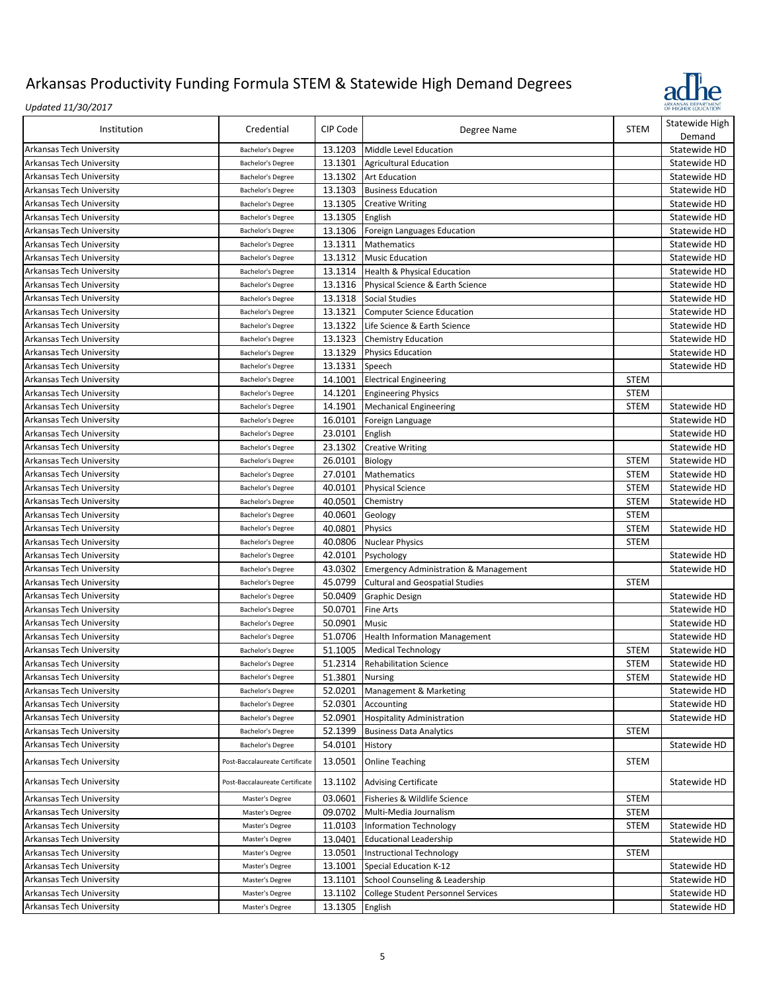

| Institution              | Credential                     | CIP Code        | Degree Name                                      | <b>STEM</b> | Statewide High<br>Demand |
|--------------------------|--------------------------------|-----------------|--------------------------------------------------|-------------|--------------------------|
| Arkansas Tech University | Bachelor's Degree              | 13.1203         | Middle Level Education                           |             | Statewide HD             |
| Arkansas Tech University | Bachelor's Degree              | 13.1301         | <b>Agricultural Education</b>                    |             | Statewide HD             |
| Arkansas Tech University | Bachelor's Degree              | 13.1302         | Art Education                                    |             | Statewide HD             |
| Arkansas Tech University | Bachelor's Degree              | 13.1303         | <b>Business Education</b>                        |             | Statewide HD             |
| Arkansas Tech University | Bachelor's Degree              | 13.1305         | <b>Creative Writing</b>                          |             | Statewide HD             |
| Arkansas Tech University | Bachelor's Degree              | 13.1305         | English                                          |             | Statewide HD             |
| Arkansas Tech University | Bachelor's Degree              | 13.1306         | Foreign Languages Education                      |             | Statewide HD             |
| Arkansas Tech University | Bachelor's Degree              | 13.1311         | Mathematics                                      |             | Statewide HD             |
| Arkansas Tech University | Bachelor's Degree              | 13.1312         | <b>Music Education</b>                           |             | Statewide HD             |
| Arkansas Tech University | <b>Bachelor's Degree</b>       | 13.1314         | Health & Physical Education                      |             | Statewide HD             |
| Arkansas Tech University | Bachelor's Degree              | 13.1316         | Physical Science & Earth Science                 |             | Statewide HD             |
| Arkansas Tech University | Bachelor's Degree              | 13.1318         | <b>Social Studies</b>                            |             | Statewide HD             |
| Arkansas Tech University | Bachelor's Degree              | 13.1321         | <b>Computer Science Education</b>                |             | Statewide HD             |
| Arkansas Tech University | Bachelor's Degree              | 13.1322         | Life Science & Earth Science                     |             | Statewide HD             |
| Arkansas Tech University | Bachelor's Degree              | 13.1323         | <b>Chemistry Education</b>                       |             | Statewide HD             |
| Arkansas Tech University | Bachelor's Degree              | 13.1329         | <b>Physics Education</b>                         |             | Statewide HD             |
| Arkansas Tech University | Bachelor's Degree              | 13.1331         | Speech                                           |             | Statewide HD             |
| Arkansas Tech University | Bachelor's Degree              | 14.1001         | <b>Electrical Engineering</b>                    | <b>STEM</b> |                          |
| Arkansas Tech University |                                | 14.1201         |                                                  | <b>STEM</b> |                          |
|                          | Bachelor's Degree              | 14.1901         | <b>Engineering Physics</b>                       | <b>STEM</b> | Statewide HD             |
| Arkansas Tech University | Bachelor's Degree              |                 | <b>Mechanical Engineering</b>                    |             |                          |
| Arkansas Tech University | Bachelor's Degree              | 16.0101         | Foreign Language                                 |             | Statewide HD             |
| Arkansas Tech University | Bachelor's Degree              | 23.0101         | English                                          |             | Statewide HD             |
| Arkansas Tech University | Bachelor's Degree              | 23.1302         | <b>Creative Writing</b>                          |             | Statewide HD             |
| Arkansas Tech University | Bachelor's Degree              | 26.0101         | Biology                                          | <b>STEM</b> | Statewide HD             |
| Arkansas Tech University | Bachelor's Degree              | 27.0101         | Mathematics                                      | <b>STEM</b> | Statewide HD             |
| Arkansas Tech University | Bachelor's Degree              | 40.0101         | <b>Physical Science</b>                          | <b>STEM</b> | Statewide HD             |
| Arkansas Tech University | Bachelor's Degree              | 40.0501         | Chemistry                                        | <b>STEM</b> | Statewide HD             |
| Arkansas Tech University | Bachelor's Degree              | 40.0601         | Geology                                          | <b>STEM</b> |                          |
| Arkansas Tech University | Bachelor's Degree              | 40.0801         | Physics                                          | <b>STEM</b> | Statewide HD             |
| Arkansas Tech University | Bachelor's Degree              | 40.0806         | <b>Nuclear Physics</b>                           | <b>STEM</b> |                          |
| Arkansas Tech University | Bachelor's Degree              | 42.0101         | Psychology                                       |             | Statewide HD             |
| Arkansas Tech University | Bachelor's Degree              | 43.0302         | <b>Emergency Administration &amp; Management</b> |             | Statewide HD             |
| Arkansas Tech University | Bachelor's Degree              | 45.0799         | <b>Cultural and Geospatial Studies</b>           | <b>STEM</b> |                          |
| Arkansas Tech University | Bachelor's Degree              | 50.0409         | <b>Graphic Design</b>                            |             | Statewide HD             |
| Arkansas Tech University | Bachelor's Degree              | 50.0701         | <b>Fine Arts</b>                                 |             | Statewide HD             |
| Arkansas Tech University | Bachelor's Degree              | 50.0901         | Music                                            |             | Statewide HD             |
| Arkansas Tech University | Bachelor's Degree              | 51.0706         | <b>Health Information Management</b>             |             | Statewide HD             |
| Arkansas Tech University | Bachelor's Degree              | 51.1005         | <b>Medical Technology</b>                        | <b>STEM</b> | Statewide HD             |
| Arkansas Tech University | Bachelor's Degree              | 51.2314         | <b>Rehabilitation Science</b>                    | <b>STEM</b> | Statewide HD             |
| Arkansas Tech University | Bachelor's Degree              | 51.3801 Nursing |                                                  | STEM        | Statewide HD             |
| Arkansas Tech University | Bachelor's Degree              | 52.0201         | Management & Marketing                           |             | Statewide HD             |
| Arkansas Tech University | Bachelor's Degree              | 52.0301         | Accounting                                       |             | Statewide HD             |
| Arkansas Tech University | Bachelor's Degree              | 52.0901         | <b>Hospitality Administration</b>                |             | Statewide HD             |
| Arkansas Tech University | Bachelor's Degree              | 52.1399         | <b>Business Data Analytics</b>                   | <b>STEM</b> |                          |
| Arkansas Tech University | <b>Bachelor's Degree</b>       | 54.0101         | History                                          |             | Statewide HD             |
| Arkansas Tech University | Post-Baccalaureate Certificate | 13.0501         | <b>Online Teaching</b>                           | STEM        |                          |
| Arkansas Tech University | Post-Baccalaureate Certificate | 13.1102         | <b>Advising Certificate</b>                      |             | Statewide HD             |
| Arkansas Tech University | Master's Degree                | 03.0601         | Fisheries & Wildlife Science                     | <b>STEM</b> |                          |
| Arkansas Tech University | Master's Degree                | 09.0702         | Multi-Media Journalism                           | STEM        |                          |
| Arkansas Tech University | Master's Degree                | 11.0103         | <b>Information Technology</b>                    | <b>STEM</b> | Statewide HD             |
| Arkansas Tech University | Master's Degree                | 13.0401         | <b>Educational Leadership</b>                    |             | Statewide HD             |
| Arkansas Tech University | Master's Degree                | 13.0501         | Instructional Technology                         | <b>STEM</b> |                          |
| Arkansas Tech University | Master's Degree                | 13.1001         | Special Education K-12                           |             | Statewide HD             |
| Arkansas Tech University | Master's Degree                | 13.1101         | School Counseling & Leadership                   |             | Statewide HD             |
| Arkansas Tech University | Master's Degree                | 13.1102         | College Student Personnel Services               |             | Statewide HD             |
| Arkansas Tech University | Master's Degree                | 13.1305         | English                                          |             | Statewide HD             |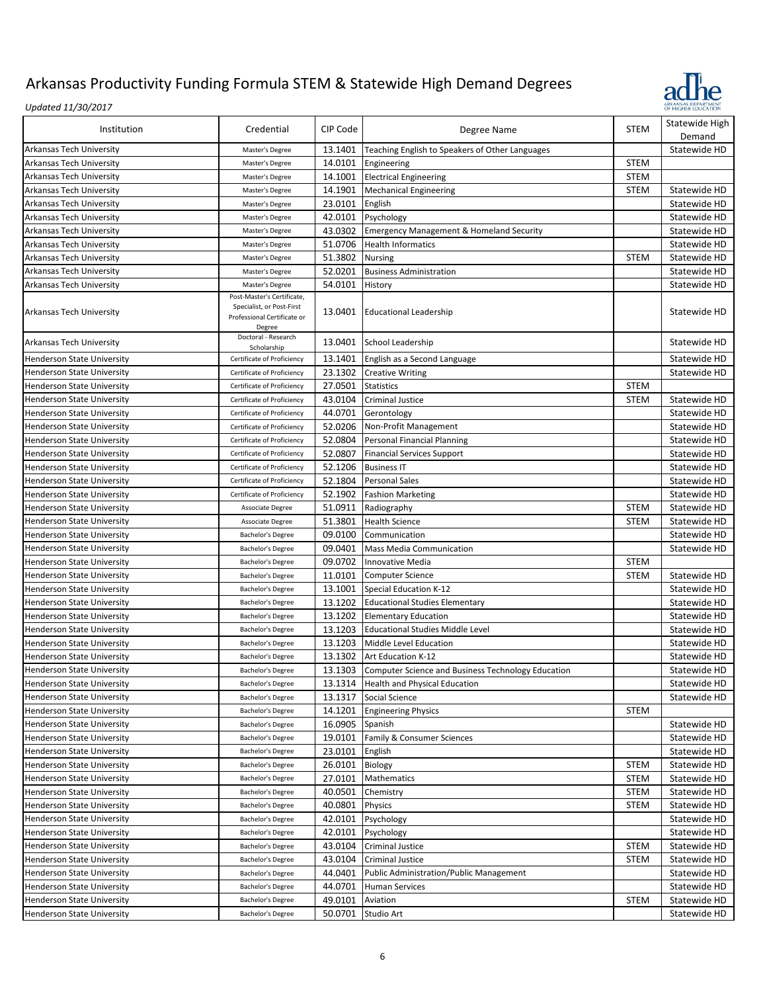

| Institution                       | Credential                                                         | CIP Code | Degree Name                                         | <b>STEM</b> | Statewide High<br>Demand |
|-----------------------------------|--------------------------------------------------------------------|----------|-----------------------------------------------------|-------------|--------------------------|
| Arkansas Tech University          | Master's Degree                                                    | 13.1401  | Teaching English to Speakers of Other Languages     |             | Statewide HD             |
| Arkansas Tech University          | Master's Degree                                                    | 14.0101  | Engineering                                         | <b>STEM</b> |                          |
| Arkansas Tech University          | Master's Degree                                                    | 14.1001  | <b>Electrical Engineering</b>                       | <b>STEM</b> |                          |
| Arkansas Tech University          | Master's Degree                                                    | 14.1901  | <b>Mechanical Engineering</b>                       | <b>STEM</b> | Statewide HD             |
| Arkansas Tech University          | Master's Degree                                                    | 23.0101  | English                                             |             | Statewide HD             |
| Arkansas Tech University          | Master's Degree                                                    | 42.0101  | Psychology                                          |             | Statewide HD             |
| Arkansas Tech University          | Master's Degree                                                    | 43.0302  | <b>Emergency Management &amp; Homeland Security</b> |             | Statewide HD             |
| Arkansas Tech University          | Master's Degree                                                    | 51.0706  | <b>Health Informatics</b>                           |             | Statewide HD             |
| Arkansas Tech University          | Master's Degree                                                    | 51.3802  | <b>Nursing</b>                                      | <b>STEM</b> | Statewide HD             |
| Arkansas Tech University          | Master's Degree                                                    | 52.0201  | <b>Business Administration</b>                      |             | Statewide HD             |
| Arkansas Tech University          | Master's Degree                                                    | 54.0101  | History                                             |             | Statewide HD             |
|                                   | Post-Master's Certificate,                                         |          |                                                     |             |                          |
| Arkansas Tech University          | Specialist, or Post-First<br>Professional Certificate or<br>Degree | 13.0401  | <b>Educational Leadership</b>                       |             | Statewide HD             |
| Arkansas Tech University          | Doctoral - Research<br>Scholarship                                 | 13.0401  | School Leadership                                   |             | Statewide HD             |
| <b>Henderson State University</b> | Certificate of Proficiency                                         | 13.1401  | English as a Second Language                        |             | Statewide HD             |
| <b>Henderson State University</b> | Certificate of Proficiency                                         | 23.1302  | <b>Creative Writing</b>                             |             | Statewide HD             |
| <b>Henderson State University</b> | Certificate of Proficiency                                         | 27.0501  | Statistics                                          | <b>STEM</b> |                          |
| Henderson State University        | Certificate of Proficiency                                         | 43.0104  | Criminal Justice                                    | <b>STEM</b> | Statewide HD             |
| <b>Henderson State University</b> | Certificate of Proficiency                                         | 44.0701  | Gerontology                                         |             | Statewide HD             |
| <b>Henderson State University</b> | Certificate of Proficiency                                         | 52.0206  | Non-Profit Management                               |             | Statewide HD             |
| Henderson State University        | Certificate of Proficiency                                         | 52.0804  | Personal Financial Planning                         |             | Statewide HD             |
| <b>Henderson State University</b> | Certificate of Proficiency                                         | 52.0807  | <b>Financial Services Support</b>                   |             | Statewide HD             |
| Henderson State University        | Certificate of Proficiency                                         | 52.1206  | <b>Business IT</b>                                  |             | Statewide HD             |
| <b>Henderson State University</b> | Certificate of Proficiency                                         | 52.1804  | <b>Personal Sales</b>                               |             | Statewide HD             |
| <b>Henderson State University</b> | Certificate of Proficiency                                         | 52.1902  | <b>Fashion Marketing</b>                            |             | Statewide HD             |
| Henderson State University        | Associate Degree                                                   | 51.0911  | Radiography                                         | <b>STEM</b> | Statewide HD             |
| <b>Henderson State University</b> | Associate Degree                                                   | 51.3801  | <b>Health Science</b>                               | <b>STEM</b> | Statewide HD             |
| Henderson State University        | Bachelor's Degree                                                  | 09.0100  | Communication                                       |             | Statewide HD             |
| <b>Henderson State University</b> | Bachelor's Degree                                                  | 09.0401  | <b>Mass Media Communication</b>                     |             | Statewide HD             |
| <b>Henderson State University</b> | Bachelor's Degree                                                  | 09.0702  | Innovative Media                                    | STEM        |                          |
| Henderson State University        | Bachelor's Degree                                                  | 11.0101  | Computer Science                                    | <b>STEM</b> | Statewide HD             |
| <b>Henderson State University</b> | Bachelor's Degree                                                  | 13.1001  | Special Education K-12                              |             | Statewide HD             |
| <b>Henderson State University</b> | Bachelor's Degree                                                  | 13.1202  | <b>Educational Studies Elementary</b>               |             | Statewide HD             |
| <b>Henderson State University</b> | Bachelor's Degree                                                  | 13.1202  | <b>Elementary Education</b>                         |             | Statewide HD             |
| <b>Henderson State University</b> | Bachelor's Degree                                                  | 13.1203  | <b>Educational Studies Middle Level</b>             |             | Statewide HD             |
| Henderson State University        | Bachelor's Degree                                                  | 13.1203  | Middle Level Education                              |             | Statewide HD             |
| <b>Henderson State University</b> | Bachelor's Degree                                                  | 13.1302  | Art Education K-12                                  |             | Statewide HD             |
| <b>Henderson State University</b> | Bachelor's Degree                                                  | 13.1303  | Computer Science and Business Technology Education  |             | Statewide HD             |
| Henderson State University        | Bachelor's Degree                                                  | 13.1314  | <b>Health and Physical Education</b>                |             | Statewide HD             |
| <b>Henderson State University</b> | Bachelor's Degree                                                  | 13.1317  | Social Science                                      |             | Statewide HD             |
| Henderson State University        | Bachelor's Degree                                                  | 14.1201  | <b>Engineering Physics</b>                          | STEM        |                          |
| Henderson State University        | Bachelor's Degree                                                  | 16.0905  | Spanish                                             |             | Statewide HD             |
| <b>Henderson State University</b> | Bachelor's Degree                                                  | 19.0101  | Family & Consumer Sciences                          |             | Statewide HD             |
| Henderson State University        | Bachelor's Degree                                                  | 23.0101  | English                                             |             | Statewide HD             |
| <b>Henderson State University</b> | Bachelor's Degree                                                  | 26.0101  | Biology                                             | STEM        | Statewide HD             |
| Henderson State University        | Bachelor's Degree                                                  | 27.0101  | Mathematics                                         | STEM        | Statewide HD             |
| Henderson State University        | Bachelor's Degree                                                  | 40.0501  | Chemistry                                           | STEM        | Statewide HD             |
| Henderson State University        | Bachelor's Degree                                                  | 40.0801  | Physics                                             | <b>STEM</b> | Statewide HD             |
| <b>Henderson State University</b> | Bachelor's Degree                                                  | 42.0101  | Psychology                                          |             | Statewide HD             |
| Henderson State University        | Bachelor's Degree                                                  | 42.0101  | Psychology                                          |             | Statewide HD             |
| <b>Henderson State University</b> | Bachelor's Degree                                                  | 43.0104  | Criminal Justice                                    | STEM        | Statewide HD             |
| Henderson State University        | Bachelor's Degree                                                  | 43.0104  | Criminal Justice                                    | STEM        | Statewide HD             |
| <b>Henderson State University</b> | Bachelor's Degree                                                  | 44.0401  | <b>Public Administration/Public Management</b>      |             | Statewide HD             |
| Henderson State University        | Bachelor's Degree                                                  | 44.0701  | <b>Human Services</b>                               |             | Statewide HD             |
| Henderson State University        | Bachelor's Degree                                                  | 49.0101  | Aviation                                            | <b>STEM</b> | Statewide HD             |
| Henderson State University        | Bachelor's Degree                                                  | 50.0701  | Studio Art                                          |             | Statewide HD             |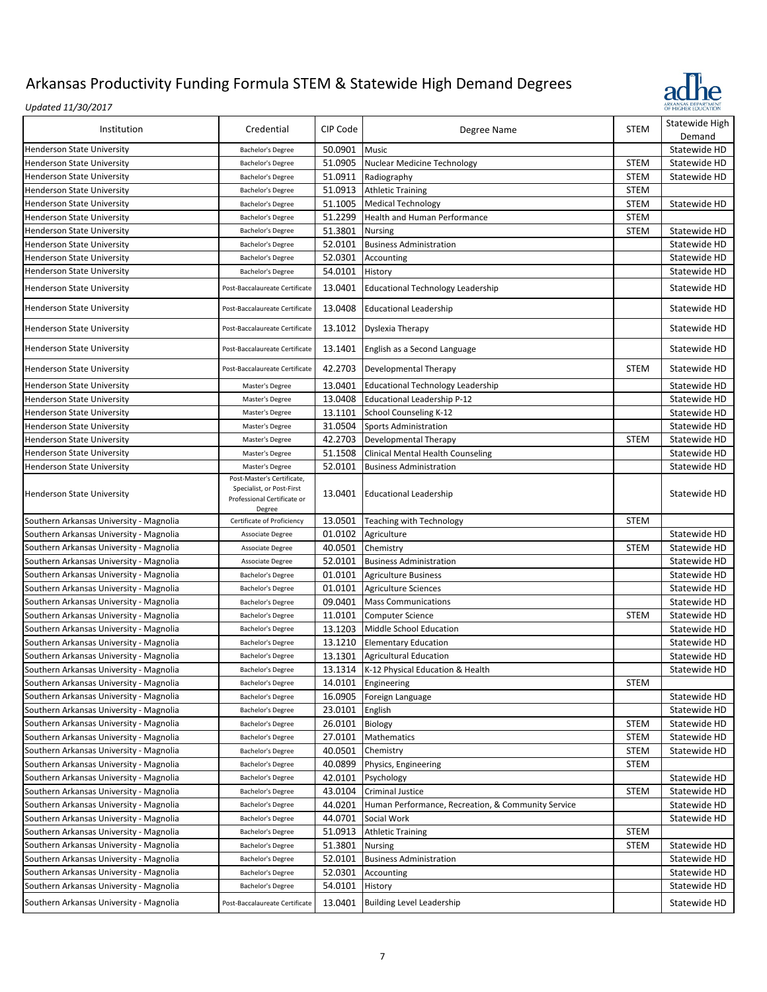

| Institution                             | Credential                                                         | CIP Code | Degree Name                                        | <b>STEM</b> | Statewide High<br>Demand |
|-----------------------------------------|--------------------------------------------------------------------|----------|----------------------------------------------------|-------------|--------------------------|
|                                         |                                                                    |          |                                                    |             |                          |
| <b>Henderson State University</b>       | Bachelor's Degree                                                  | 50.0901  | Music                                              |             | Statewide HD             |
| <b>Henderson State University</b>       | Bachelor's Degree                                                  | 51.0905  | Nuclear Medicine Technology                        | <b>STEM</b> | Statewide HD             |
| <b>Henderson State University</b>       | Bachelor's Degree                                                  | 51.0911  | Radiography                                        | <b>STEM</b> | Statewide HD             |
| <b>Henderson State University</b>       | Bachelor's Degree                                                  | 51.0913  | <b>Athletic Training</b>                           | <b>STEM</b> |                          |
| <b>Henderson State University</b>       | Bachelor's Degree                                                  | 51.1005  | <b>Medical Technology</b>                          | <b>STEM</b> | Statewide HD             |
| <b>Henderson State University</b>       | Bachelor's Degree                                                  | 51.2299  | <b>Health and Human Performance</b>                | <b>STEM</b> |                          |
| Henderson State University              | Bachelor's Degree                                                  | 51.3801  | Nursing                                            | <b>STEM</b> | Statewide HD             |
| Henderson State University              | Bachelor's Degree                                                  | 52.0101  | <b>Business Administration</b>                     |             | Statewide HD             |
| <b>Henderson State University</b>       | Bachelor's Degree                                                  | 52.0301  | Accounting                                         |             | Statewide HD             |
| <b>Henderson State University</b>       | Bachelor's Degree                                                  | 54.0101  | History                                            |             | Statewide HD             |
| Henderson State University              | Post-Baccalaureate Certificate                                     | 13.0401  | <b>Educational Technology Leadership</b>           |             | Statewide HD             |
| <b>Henderson State University</b>       | Post-Baccalaureate Certificate                                     | 13.0408  | <b>Educational Leadership</b>                      |             | Statewide HD             |
| <b>Henderson State University</b>       | Post-Baccalaureate Certificate                                     | 13.1012  | Dyslexia Therapy                                   |             | Statewide HD             |
| <b>Henderson State University</b>       | Post-Baccalaureate Certificate                                     | 13.1401  | English as a Second Language                       |             | Statewide HD             |
| <b>Henderson State University</b>       | Post-Baccalaureate Certificate                                     | 42.2703  | Developmental Therapy                              | <b>STEM</b> | Statewide HD             |
| <b>Henderson State University</b>       | Master's Degree                                                    | 13.0401  | <b>Educational Technology Leadership</b>           |             | Statewide HD             |
| <b>Henderson State University</b>       | Master's Degree                                                    | 13.0408  | Educational Leadership P-12                        |             | Statewide HD             |
| <b>Henderson State University</b>       | Master's Degree                                                    | 13.1101  | School Counseling K-12                             |             | Statewide HD             |
| Henderson State University              | Master's Degree                                                    | 31.0504  | Sports Administration                              |             | Statewide HD             |
| <b>Henderson State University</b>       | Master's Degree                                                    | 42.2703  | Developmental Therapy                              | <b>STEM</b> | Statewide HD             |
| <b>Henderson State University</b>       | Master's Degree                                                    | 51.1508  | Clinical Mental Health Counseling                  |             | Statewide HD             |
| <b>Henderson State University</b>       | Master's Degree                                                    | 52.0101  | <b>Business Administration</b>                     |             | Statewide HD             |
|                                         | Post-Master's Certificate,                                         |          |                                                    |             |                          |
| <b>Henderson State University</b>       | Specialist, or Post-First<br>Professional Certificate or<br>Degree | 13.0401  | <b>Educational Leadership</b>                      |             | Statewide HD             |
| Southern Arkansas University - Magnolia | Certificate of Proficiency                                         | 13.0501  | <b>Teaching with Technology</b>                    | <b>STEM</b> |                          |
| Southern Arkansas University - Magnolia | Associate Degree                                                   | 01.0102  | Agriculture                                        |             | Statewide HD             |
| Southern Arkansas University - Magnolia | Associate Degree                                                   | 40.0501  | Chemistry                                          | <b>STEM</b> | Statewide HD             |
| Southern Arkansas University - Magnolia | Associate Degree                                                   | 52.0101  | <b>Business Administration</b>                     |             | Statewide HD             |
| Southern Arkansas University - Magnolia | Bachelor's Degree                                                  | 01.0101  | <b>Agriculture Business</b>                        |             | Statewide HD             |
| Southern Arkansas University - Magnolia | Bachelor's Degree                                                  | 01.0101  | <b>Agriculture Sciences</b>                        |             | Statewide HD             |
| Southern Arkansas University - Magnolia | Bachelor's Degree                                                  | 09.0401  | <b>Mass Communications</b>                         |             | Statewide HD             |
| Southern Arkansas University - Magnolia | Bachelor's Degree                                                  | 11.0101  | <b>Computer Science</b>                            | <b>STEM</b> | Statewide HD             |
| Southern Arkansas University - Magnolia | Bachelor's Degree                                                  | 13.1203  | Middle School Education                            |             | Statewide HD             |
| Southern Arkansas University - Magnolia | Bachelor's Degree                                                  | 13.1210  | <b>Elementary Education</b>                        |             | Statewide HD             |
| Southern Arkansas University - Magnolia | Bachelor's Degree                                                  | 13.1301  | <b>Agricultural Education</b>                      |             | Statewide HD             |
| Southern Arkansas University - Magnolia | Bachelor's Degree                                                  | 13.1314  | K-12 Physical Education & Health                   |             | Statewide HD             |
| Southern Arkansas University - Magnolia | Bachelor's Degree                                                  | 14.0101  | Engineering                                        | <b>STEM</b> |                          |
| Southern Arkansas University - Magnolia | Bachelor's Degree                                                  | 16.0905  | Foreign Language                                   |             | Statewide HD             |
| Southern Arkansas University - Magnolia | Bachelor's Degree                                                  | 23.0101  | English                                            |             | Statewide HD             |
| Southern Arkansas University - Magnolia | Bachelor's Degree                                                  | 26.0101  | Biology                                            | <b>STEM</b> | Statewide HD             |
| Southern Arkansas University - Magnolia | Bachelor's Degree                                                  | 27.0101  | Mathematics                                        | <b>STEM</b> | Statewide HD             |
| Southern Arkansas University - Magnolia | Bachelor's Degree                                                  | 40.0501  | Chemistry                                          | <b>STEM</b> | Statewide HD             |
| Southern Arkansas University - Magnolia | Bachelor's Degree                                                  | 40.0899  | Physics, Engineering                               | <b>STEM</b> |                          |
| Southern Arkansas University - Magnolia | Bachelor's Degree                                                  | 42.0101  | Psychology                                         |             | Statewide HD             |
| Southern Arkansas University - Magnolia | Bachelor's Degree                                                  | 43.0104  | Criminal Justice                                   | <b>STEM</b> | Statewide HD             |
| Southern Arkansas University - Magnolia | Bachelor's Degree                                                  | 44.0201  | Human Performance, Recreation, & Community Service |             | Statewide HD             |
| Southern Arkansas University - Magnolia | Bachelor's Degree                                                  | 44.0701  | Social Work                                        |             | Statewide HD             |
| Southern Arkansas University - Magnolia | Bachelor's Degree                                                  | 51.0913  | <b>Athletic Training</b>                           | <b>STEM</b> |                          |
| Southern Arkansas University - Magnolia | Bachelor's Degree                                                  | 51.3801  | Nursing                                            | <b>STEM</b> | Statewide HD             |
| Southern Arkansas University - Magnolia | Bachelor's Degree                                                  | 52.0101  | <b>Business Administration</b>                     |             | Statewide HD             |
| Southern Arkansas University - Magnolia | Bachelor's Degree                                                  | 52.0301  | Accounting                                         |             | Statewide HD             |
| Southern Arkansas University - Magnolia | Bachelor's Degree                                                  | 54.0101  | History                                            |             | Statewide HD             |
|                                         |                                                                    |          |                                                    |             |                          |
| Southern Arkansas University - Magnolia | Post-Baccalaureate Certificate                                     | 13.0401  | <b>Building Level Leadership</b>                   |             | Statewide HD             |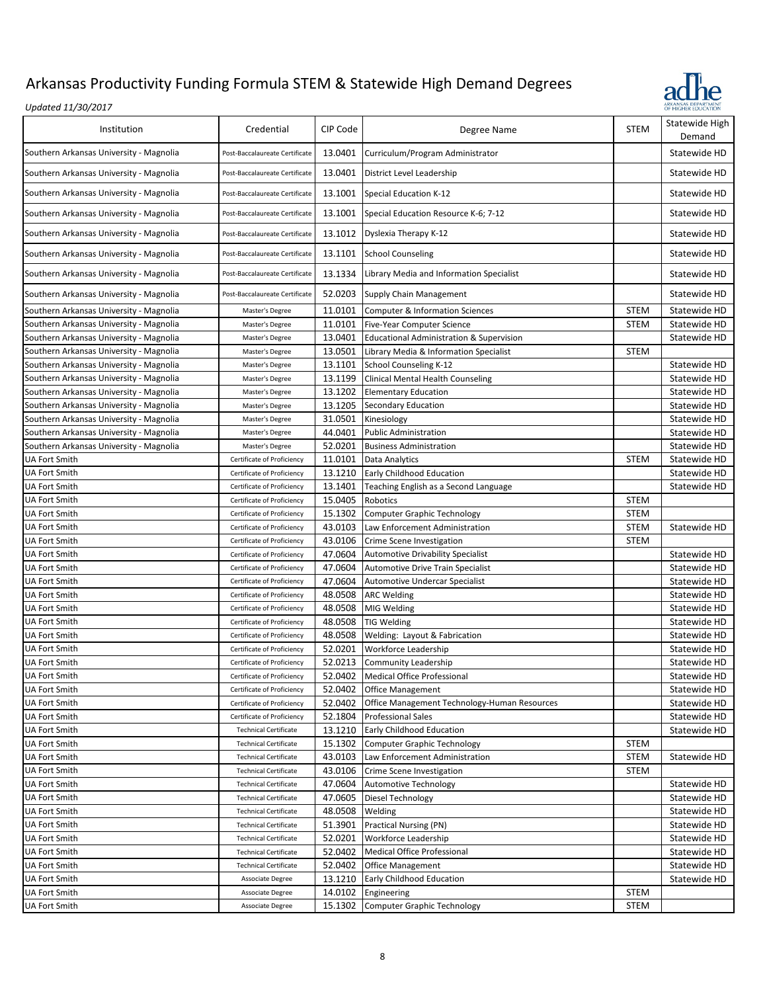

| Institution                             | Credential                     | CIP Code | Degree Name                                         | <b>STEM</b> | Statewide High<br>Demand |
|-----------------------------------------|--------------------------------|----------|-----------------------------------------------------|-------------|--------------------------|
| Southern Arkansas University - Magnolia | Post-Baccalaureate Certificate | 13.0401  | Curriculum/Program Administrator                    |             | Statewide HD             |
| Southern Arkansas University - Magnolia | Post-Baccalaureate Certificate | 13.0401  | District Level Leadership                           |             | Statewide HD             |
| Southern Arkansas University - Magnolia | Post-Baccalaureate Certificate | 13.1001  | Special Education K-12                              |             | Statewide HD             |
| Southern Arkansas University - Magnolia | Post-Baccalaureate Certificate | 13.1001  | Special Education Resource K-6; 7-12                |             | Statewide HD             |
| Southern Arkansas University - Magnolia | Post-Baccalaureate Certificate | 13.1012  | Dyslexia Therapy K-12                               |             | Statewide HD             |
| Southern Arkansas University - Magnolia | Post-Baccalaureate Certificate | 13.1101  | <b>School Counseling</b>                            |             | Statewide HD             |
| Southern Arkansas University - Magnolia | Post-Baccalaureate Certificate | 13.1334  | Library Media and Information Specialist            |             | Statewide HD             |
| Southern Arkansas University - Magnolia | Post-Baccalaureate Certificate | 52.0203  | Supply Chain Management                             |             | Statewide HD             |
| Southern Arkansas University - Magnolia | Master's Degree                | 11.0101  | Computer & Information Sciences                     | STEM        | Statewide HD             |
| Southern Arkansas University - Magnolia | Master's Degree                | 11.0101  | Five-Year Computer Science                          | <b>STEM</b> | Statewide HD             |
| Southern Arkansas University - Magnolia | Master's Degree                | 13.0401  | <b>Educational Administration &amp; Supervision</b> |             | Statewide HD             |
| Southern Arkansas University - Magnolia | Master's Degree                | 13.0501  | Library Media & Information Specialist              | <b>STEM</b> |                          |
| Southern Arkansas University - Magnolia | Master's Degree                | 13.1101  | School Counseling K-12                              |             | Statewide HD             |
| Southern Arkansas University - Magnolia | Master's Degree                | 13.1199  | Clinical Mental Health Counseling                   |             | Statewide HD             |
| Southern Arkansas University - Magnolia | Master's Degree                | 13.1202  | <b>Elementary Education</b>                         |             | Statewide HD             |
| Southern Arkansas University - Magnolia | Master's Degree                | 13.1205  | Secondary Education                                 |             | Statewide HD             |
| Southern Arkansas University - Magnolia | Master's Degree                | 31.0501  | Kinesiology                                         |             | Statewide HD             |
| Southern Arkansas University - Magnolia | Master's Degree                | 44.0401  | <b>Public Administration</b>                        |             | Statewide HD             |
| Southern Arkansas University - Magnolia | Master's Degree                | 52.0201  | <b>Business Administration</b>                      |             | Statewide HD             |
| UA Fort Smith                           | Certificate of Proficiency     | 11.0101  | Data Analytics                                      | <b>STEM</b> | Statewide HD             |
| UA Fort Smith                           | Certificate of Proficiency     | 13.1210  | Early Childhood Education                           |             | Statewide HD             |
| UA Fort Smith                           | Certificate of Proficiency     | 13.1401  | Teaching English as a Second Language               |             | Statewide HD             |
| <b>UA Fort Smith</b>                    | Certificate of Proficiency     | 15.0405  | Robotics                                            | <b>STEM</b> |                          |
| UA Fort Smith                           | Certificate of Proficiency     | 15.1302  | <b>Computer Graphic Technology</b>                  | <b>STEM</b> |                          |
| <b>UA Fort Smith</b>                    | Certificate of Proficiency     | 43.0103  | Law Enforcement Administration                      | <b>STEM</b> | Statewide HD             |
| UA Fort Smith                           | Certificate of Proficiency     | 43.0106  | Crime Scene Investigation                           | <b>STEM</b> |                          |
| <b>UA Fort Smith</b>                    | Certificate of Proficiency     | 47.0604  | <b>Automotive Drivability Specialist</b>            |             | Statewide HD             |
| <b>UA Fort Smith</b>                    | Certificate of Proficiency     | 47.0604  | <b>Automotive Drive Train Specialist</b>            |             | Statewide HD             |
| UA Fort Smith                           | Certificate of Proficiency     | 47.0604  | Automotive Undercar Specialist                      |             | Statewide HD             |
| UA Fort Smith                           | Certificate of Proficiency     | 48.0508  | <b>ARC Welding</b>                                  |             | Statewide HD             |
| UA Fort Smith                           | Certificate of Proficiency     | 48.0508  | MIG Welding                                         |             | Statewide HD             |
| UA Fort Smith                           | Certificate of Proficiency     | 48.0508  | <b>TIG Welding</b>                                  |             | Statewide HD             |
| <b>UA Fort Smith</b>                    | Certificate of Proficiency     | 48.0508  | Welding: Layout & Fabrication                       |             | Statewide HD             |
| <b>UA Fort Smith</b>                    | Certificate of Proficiency     | 52.0201  | Workforce Leadership                                |             | Statewide HD             |
| UA Fort Smith                           | Certificate of Proficiency     | 52.0213  | <b>Community Leadership</b>                         |             | Statewide HD             |
| UA Fort Smith                           | Certificate of Proficiency     |          | 52.0402 Medical Office Professional                 |             | Statewide HD             |
| UA Fort Smith                           | Certificate of Proficiency     | 52.0402  | <b>Office Management</b>                            |             | Statewide HD             |
| UA Fort Smith                           | Certificate of Proficiency     | 52.0402  | Office Management Technology-Human Resources        |             | Statewide HD             |
| <b>UA Fort Smith</b>                    | Certificate of Proficiency     | 52.1804  | <b>Professional Sales</b>                           |             | Statewide HD             |
| UA Fort Smith                           | <b>Technical Certificate</b>   | 13.1210  | Early Childhood Education                           |             | Statewide HD             |
| UA Fort Smith                           | <b>Technical Certificate</b>   | 15.1302  | <b>Computer Graphic Technology</b>                  | <b>STEM</b> |                          |
| UA Fort Smith                           | <b>Technical Certificate</b>   | 43.0103  | Law Enforcement Administration                      | <b>STEM</b> | Statewide HD             |
| <b>UA Fort Smith</b>                    | <b>Technical Certificate</b>   | 43.0106  | Crime Scene Investigation                           | STEM        |                          |
| UA Fort Smith                           | <b>Technical Certificate</b>   | 47.0604  | <b>Automotive Technology</b>                        |             | Statewide HD             |
| <b>UA Fort Smith</b>                    | <b>Technical Certificate</b>   | 47.0605  | Diesel Technology                                   |             | Statewide HD             |
| <b>UA Fort Smith</b>                    | <b>Technical Certificate</b>   | 48.0508  | Welding                                             |             | Statewide HD             |
| UA Fort Smith                           | <b>Technical Certificate</b>   | 51.3901  | Practical Nursing (PN)                              |             | Statewide HD             |
| UA Fort Smith                           | <b>Technical Certificate</b>   | 52.0201  | Workforce Leadership                                |             | Statewide HD             |
| UA Fort Smith                           | <b>Technical Certificate</b>   | 52.0402  | Medical Office Professional                         |             | Statewide HD             |
| UA Fort Smith                           | <b>Technical Certificate</b>   | 52.0402  | <b>Office Management</b>                            |             | Statewide HD             |
| UA Fort Smith                           | Associate Degree               | 13.1210  | Early Childhood Education                           |             | Statewide HD             |
| UA Fort Smith                           | Associate Degree               | 14.0102  | Engineering                                         | <b>STEM</b> |                          |
| <b>UA Fort Smith</b>                    | Associate Degree               | 15.1302  | Computer Graphic Technology                         | STEM        |                          |
|                                         |                                |          |                                                     |             |                          |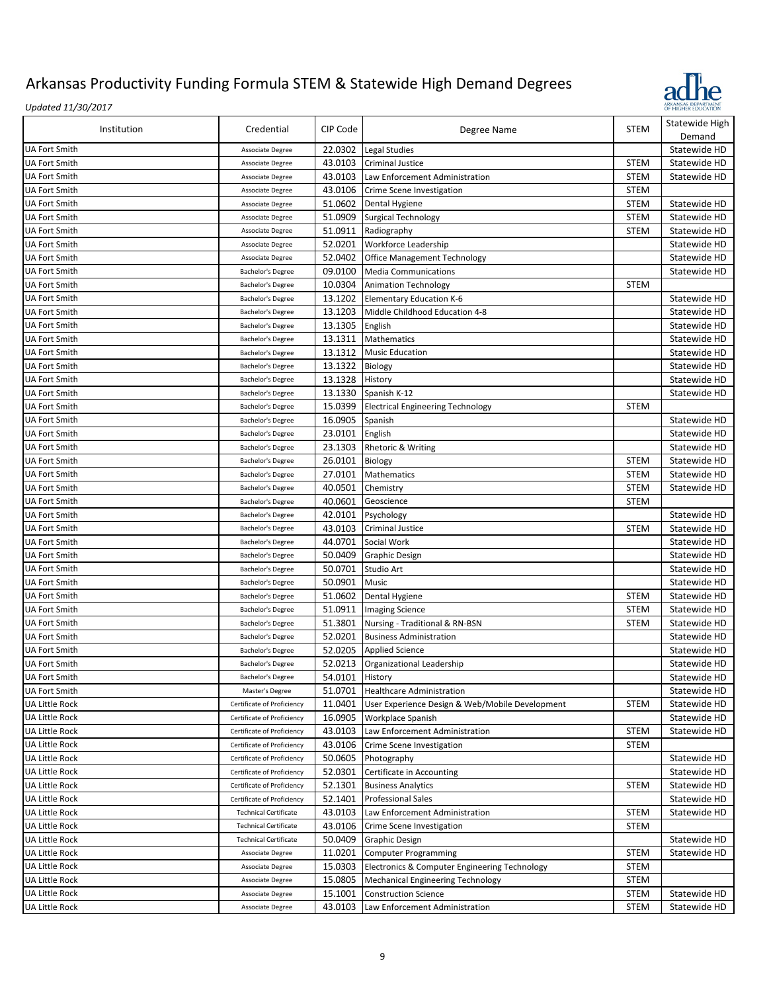

| Institution                           | Credential                   | CIP Code        | Degree Name                                     | <b>STEM</b> | Statewide High<br>Demand |
|---------------------------------------|------------------------------|-----------------|-------------------------------------------------|-------------|--------------------------|
| <b>UA Fort Smith</b>                  | Associate Degree             | 22.0302         | Legal Studies                                   |             | Statewide HD             |
| <b>UA Fort Smith</b>                  | Associate Degree             | 43.0103         | <b>Criminal Justice</b>                         | <b>STEM</b> | Statewide HD             |
| <b>UA Fort Smith</b>                  | Associate Degree             | 43.0103         | Law Enforcement Administration                  | <b>STEM</b> | Statewide HD             |
| <b>UA Fort Smith</b>                  | Associate Degree             | 43.0106         | Crime Scene Investigation                       | <b>STEM</b> |                          |
| UA Fort Smith                         | Associate Degree             | 51.0602         | Dental Hygiene                                  | <b>STEM</b> | Statewide HD             |
| <b>UA Fort Smith</b>                  | Associate Degree             | 51.0909         | <b>Surgical Technology</b>                      | <b>STEM</b> | Statewide HD             |
| <b>UA Fort Smith</b>                  | Associate Degree             | 51.0911         | Radiography                                     | <b>STEM</b> | Statewide HD             |
| UA Fort Smith                         | Associate Degree             | 52.0201         | Workforce Leadership                            |             | Statewide HD             |
| <b>UA Fort Smith</b>                  | Associate Degree             | 52.0402         | <b>Office Management Technology</b>             |             | Statewide HD             |
| UA Fort Smith                         | Bachelor's Degree            | 09.0100         | <b>Media Communications</b>                     |             | Statewide HD             |
| <b>UA Fort Smith</b>                  | Bachelor's Degree            | 10.0304         | <b>Animation Technology</b>                     | <b>STEM</b> |                          |
| <b>UA Fort Smith</b>                  | Bachelor's Degree            | 13.1202         | <b>Elementary Education K-6</b>                 |             | Statewide HD             |
| <b>UA Fort Smith</b>                  | Bachelor's Degree            | 13.1203         | Middle Childhood Education 4-8                  |             | Statewide HD             |
| <b>UA Fort Smith</b>                  |                              | 13.1305         |                                                 |             | Statewide HD             |
|                                       | Bachelor's Degree            |                 | English                                         |             |                          |
| UA Fort Smith<br><b>UA Fort Smith</b> | Bachelor's Degree            | 13.1311         | Mathematics                                     |             | Statewide HD             |
|                                       | Bachelor's Degree            | 13.1312         | <b>Music Education</b>                          |             | Statewide HD             |
| <b>UA Fort Smith</b>                  | Bachelor's Degree            | 13.1322         | Biology                                         |             | Statewide HD             |
| <b>UA Fort Smith</b>                  | Bachelor's Degree            | 13.1328         | History                                         |             | Statewide HD             |
| <b>UA Fort Smith</b>                  | Bachelor's Degree            | 13.1330         | Spanish K-12                                    |             | Statewide HD             |
| UA Fort Smith                         | Bachelor's Degree            | 15.0399         | <b>Electrical Engineering Technology</b>        | <b>STEM</b> |                          |
| <b>UA Fort Smith</b>                  | Bachelor's Degree            | 16.0905         | Spanish                                         |             | Statewide HD             |
| <b>UA Fort Smith</b>                  | Bachelor's Degree            | 23.0101         | English                                         |             | Statewide HD             |
| <b>UA Fort Smith</b>                  | Bachelor's Degree            | 23.1303         | <b>Rhetoric &amp; Writing</b>                   |             | Statewide HD             |
| <b>UA Fort Smith</b>                  | Bachelor's Degree            | 26.0101         | Biology                                         | <b>STEM</b> | Statewide HD             |
| UA Fort Smith                         | Bachelor's Degree            | 27.0101         | Mathematics                                     | <b>STEM</b> | Statewide HD             |
| <b>UA Fort Smith</b>                  | Bachelor's Degree            | 40.0501         | Chemistry                                       | <b>STEM</b> | Statewide HD             |
| <b>UA Fort Smith</b>                  | Bachelor's Degree            | 40.0601         | Geoscience                                      | <b>STEM</b> |                          |
| UA Fort Smith                         | Bachelor's Degree            | 42.0101         | Psychology                                      |             | Statewide HD             |
| <b>UA Fort Smith</b>                  | Bachelor's Degree            | 43.0103         | Criminal Justice                                | <b>STEM</b> | Statewide HD             |
| <b>UA Fort Smith</b>                  | Bachelor's Degree            | 44.0701         | Social Work                                     |             | Statewide HD             |
| <b>UA Fort Smith</b>                  | Bachelor's Degree            | 50.0409         | <b>Graphic Design</b>                           |             | Statewide HD             |
| <b>UA Fort Smith</b>                  | Bachelor's Degree            | 50.0701         | Studio Art                                      |             | Statewide HD             |
| <b>UA Fort Smith</b>                  | Bachelor's Degree            | 50.0901         | Music                                           |             | Statewide HD             |
| <b>UA Fort Smith</b>                  | Bachelor's Degree            | 51.0602         | Dental Hygiene                                  | <b>STEM</b> | Statewide HD             |
| UA Fort Smith                         | Bachelor's Degree            | 51.0911         | <b>Imaging Science</b>                          | <b>STEM</b> | Statewide HD             |
| <b>UA Fort Smith</b>                  | Bachelor's Degree            | 51.3801         | Nursing - Traditional & RN-BSN                  | <b>STEM</b> | Statewide HD             |
| <b>UA Fort Smith</b>                  | Bachelor's Degree            | 52.0201         | <b>Business Administration</b>                  |             | Statewide HD             |
| UA Fort Smith                         | Bachelor's Degree            | 52.0205         | <b>Applied Science</b>                          |             | Statewide HD             |
| <b>UA Fort Smith</b>                  | Bachelor's Degree            |                 | 52.0213   Organizational Leadership             |             | Statewide HD             |
| <b>UA Fort Smith</b>                  | Bachelor's Degree            | 54.0101 History |                                                 |             | Statewide HD             |
| UA Fort Smith                         | Master's Degree              | 51.0701         | <b>Healthcare Administration</b>                |             | Statewide HD             |
| <b>UA Little Rock</b>                 | Certificate of Proficiency   | 11.0401         | User Experience Design & Web/Mobile Development | <b>STEM</b> | Statewide HD             |
| UA Little Rock                        | Certificate of Proficiency   | 16.0905         | Workplace Spanish                               |             | Statewide HD             |
| UA Little Rock                        | Certificate of Proficiency   | 43.0103         | Law Enforcement Administration                  | <b>STEM</b> | Statewide HD             |
| UA Little Rock                        | Certificate of Proficiency   | 43.0106         | Crime Scene Investigation                       | <b>STEM</b> |                          |
| UA Little Rock                        | Certificate of Proficiency   | 50.0605         | Photography                                     |             | Statewide HD             |
| UA Little Rock                        | Certificate of Proficiency   | 52.0301         | Certificate in Accounting                       |             | Statewide HD             |
| UA Little Rock                        | Certificate of Proficiency   | 52.1301         | <b>Business Analytics</b>                       | <b>STEM</b> | Statewide HD             |
| <b>UA Little Rock</b>                 | Certificate of Proficiency   | 52.1401         | <b>Professional Sales</b>                       |             | Statewide HD             |
| UA Little Rock                        | <b>Technical Certificate</b> | 43.0103         | Law Enforcement Administration                  | <b>STEM</b> | Statewide HD             |
| UA Little Rock                        | <b>Technical Certificate</b> | 43.0106         | Crime Scene Investigation                       | <b>STEM</b> |                          |
| UA Little Rock                        | <b>Technical Certificate</b> | 50.0409         | Graphic Design                                  |             | Statewide HD             |
| UA Little Rock                        | Associate Degree             | 11.0201         | <b>Computer Programming</b>                     | <b>STEM</b> | Statewide HD             |
| UA Little Rock                        | Associate Degree             | 15.0303         | Electronics & Computer Engineering Technology   | <b>STEM</b> |                          |
| UA Little Rock                        | Associate Degree             | 15.0805         | <b>Mechanical Engineering Technology</b>        | STEM        |                          |
| UA Little Rock                        | Associate Degree             | 15.1001         | <b>Construction Science</b>                     | <b>STEM</b> | Statewide HD             |
| <b>UA Little Rock</b>                 | Associate Degree             | 43.0103         | Law Enforcement Administration                  | <b>STEM</b> | Statewide HD             |
|                                       |                              |                 |                                                 |             |                          |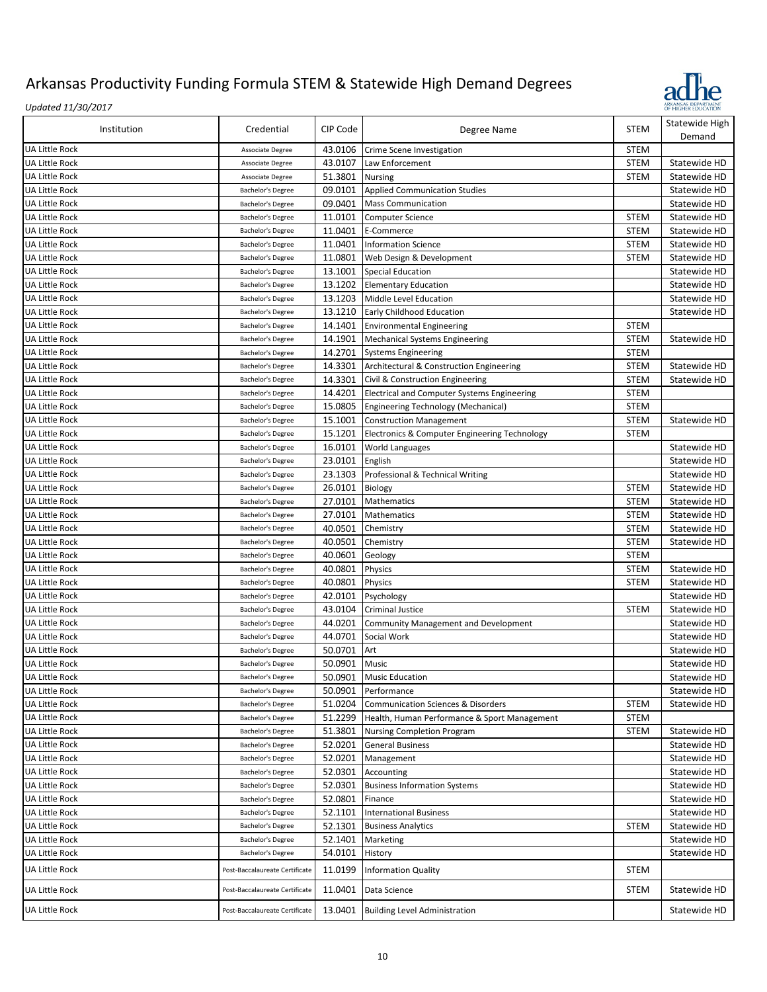

| Institution           | Credential                     | CIP Code | Degree Name                                   | <b>STEM</b> | Statewide High<br>Demand |
|-----------------------|--------------------------------|----------|-----------------------------------------------|-------------|--------------------------|
| UA Little Rock        | Associate Degree               | 43.0106  | Crime Scene Investigation                     | <b>STEM</b> |                          |
| UA Little Rock        | Associate Degree               | 43.0107  | Law Enforcement                               | <b>STEM</b> | Statewide HD             |
| UA Little Rock        | Associate Degree               | 51.3801  | <b>Nursing</b>                                | <b>STEM</b> | Statewide HD             |
| <b>UA Little Rock</b> | Bachelor's Degree              | 09.0101  | <b>Applied Communication Studies</b>          |             | Statewide HD             |
| <b>UA Little Rock</b> | Bachelor's Degree              | 09.0401  | <b>Mass Communication</b>                     |             | Statewide HD             |
| <b>UA Little Rock</b> | Bachelor's Degree              | 11.0101  | Computer Science                              | <b>STEM</b> | Statewide HD             |
| UA Little Rock        | Bachelor's Degree              | 11.0401  | E-Commerce                                    | <b>STEM</b> | Statewide HD             |
| UA Little Rock        | Bachelor's Degree              | 11.0401  | <b>Information Science</b>                    | <b>STEM</b> | Statewide HD             |
| <b>UA Little Rock</b> | Bachelor's Degree              | 11.0801  | Web Design & Development                      | <b>STEM</b> | Statewide HD             |
| UA Little Rock        | Bachelor's Degree              | 13.1001  | Special Education                             |             | Statewide HD             |
| <b>UA Little Rock</b> | Bachelor's Degree              | 13.1202  | <b>Elementary Education</b>                   |             | Statewide HD             |
| UA Little Rock        | Bachelor's Degree              | 13.1203  | Middle Level Education                        |             | Statewide HD             |
| UA Little Rock        | Bachelor's Degree              | 13.1210  | Early Childhood Education                     |             | Statewide HD             |
| <b>UA Little Rock</b> | Bachelor's Degree              | 14.1401  | <b>Environmental Engineering</b>              | <b>STEM</b> |                          |
| <b>UA Little Rock</b> | Bachelor's Degree              | 14.1901  | <b>Mechanical Systems Engineering</b>         | <b>STEM</b> | Statewide HD             |
| <b>UA Little Rock</b> | Bachelor's Degree              | 14.2701  | <b>Systems Engineering</b>                    | <b>STEM</b> |                          |
| <b>UA Little Rock</b> | Bachelor's Degree              | 14.3301  | Architectural & Construction Engineering      | <b>STEM</b> | Statewide HD             |
| UA Little Rock        | Bachelor's Degree              | 14.3301  | Civil & Construction Engineering              | <b>STEM</b> | Statewide HD             |
| <b>UA Little Rock</b> | Bachelor's Degree              | 14.4201  | Electrical and Computer Systems Engineering   | <b>STEM</b> |                          |
| <b>UA Little Rock</b> | Bachelor's Degree              | 15.0805  | <b>Engineering Technology (Mechanical)</b>    | <b>STEM</b> |                          |
| UA Little Rock        | Bachelor's Degree              | 15.1001  | <b>Construction Management</b>                | <b>STEM</b> | Statewide HD             |
| <b>UA Little Rock</b> | Bachelor's Degree              | 15.1201  | Electronics & Computer Engineering Technology | <b>STEM</b> |                          |
| UA Little Rock        | Bachelor's Degree              | 16.0101  | World Languages                               |             | Statewide HD             |
| <b>UA Little Rock</b> | Bachelor's Degree              | 23.0101  | English                                       |             | Statewide HD             |
| <b>UA Little Rock</b> | Bachelor's Degree              | 23.1303  | Professional & Technical Writing              |             | Statewide HD             |
| UA Little Rock        | Bachelor's Degree              | 26.0101  | Biology                                       | <b>STEM</b> | Statewide HD             |
| UA Little Rock        | Bachelor's Degree              | 27.0101  | Mathematics                                   | <b>STEM</b> | Statewide HD             |
| UA Little Rock        | Bachelor's Degree              | 27.0101  | Mathematics                                   | <b>STEM</b> | Statewide HD             |
| <b>UA Little Rock</b> | Bachelor's Degree              | 40.0501  | Chemistry                                     | <b>STEM</b> | Statewide HD             |
| <b>UA Little Rock</b> | Bachelor's Degree              | 40.0501  | Chemistry                                     | <b>STEM</b> | Statewide HD             |
| UA Little Rock        | Bachelor's Degree              | 40.0601  | Geology                                       | <b>STEM</b> |                          |
| UA Little Rock        | Bachelor's Degree              | 40.0801  | Physics                                       | <b>STEM</b> | Statewide HD             |
| UA Little Rock        | Bachelor's Degree              | 40.0801  | Physics                                       | <b>STEM</b> | Statewide HD             |
| <b>UA Little Rock</b> | Bachelor's Degree              | 42.0101  | Psychology                                    |             | Statewide HD             |
| <b>UA Little Rock</b> | Bachelor's Degree              | 43.0104  | <b>Criminal Justice</b>                       | <b>STEM</b> | Statewide HD             |
| <b>UA Little Rock</b> | Bachelor's Degree              | 44.0201  | Community Management and Development          |             | Statewide HD             |
| UA Little Rock        | Bachelor's Degree              | 44.0701  | Social Work                                   |             | Statewide HD             |
| UA Little Rock        | Bachelor's Degree              | 50.0701  | Art                                           |             | Statewide HD             |
| UA Little Rock        | Bachelor's Degree              | 50.0901  | Music                                         |             | Statewide HD             |
| UA Little Rock        | Bachelor's Degree              |          | 50.0901 Music Education                       |             | Statewide HD             |
| UA Little Rock        | Bachelor's Degree              | 50.0901  | Performance                                   |             | Statewide HD             |
| UA Little Rock        | Bachelor's Degree              | 51.0204  | <b>Communication Sciences &amp; Disorders</b> | <b>STEM</b> | Statewide HD             |
| UA Little Rock        | Bachelor's Degree              | 51.2299  | Health, Human Performance & Sport Management  | STEM        |                          |
| UA Little Rock        | Bachelor's Degree              | 51.3801  | Nursing Completion Program                    | <b>STEM</b> | Statewide HD             |
| UA Little Rock        | Bachelor's Degree              | 52.0201  | <b>General Business</b>                       |             | Statewide HD             |
| <b>UA Little Rock</b> | Bachelor's Degree              | 52.0201  | Management                                    |             | Statewide HD             |
| UA Little Rock        | Bachelor's Degree              | 52.0301  | Accounting                                    |             | Statewide HD             |
| UA Little Rock        | Bachelor's Degree              | 52.0301  | <b>Business Information Systems</b>           |             | Statewide HD             |
| UA Little Rock        | Bachelor's Degree              | 52.0801  | Finance                                       |             | Statewide HD             |
| <b>UA Little Rock</b> | Bachelor's Degree              | 52.1101  | <b>International Business</b>                 |             | Statewide HD             |
| UA Little Rock        | Bachelor's Degree              | 52.1301  | <b>Business Analytics</b>                     | <b>STEM</b> | Statewide HD             |
| UA Little Rock        | Bachelor's Degree              | 52.1401  | Marketing                                     |             | Statewide HD             |
| UA Little Rock        | Bachelor's Degree              | 54.0101  | History                                       |             | Statewide HD             |
|                       |                                |          |                                               |             |                          |
| UA Little Rock        | Post-Baccalaureate Certificate | 11.0199  | <b>Information Quality</b>                    | STEM        |                          |
| UA Little Rock        | Post-Baccalaureate Certificate | 11.0401  | Data Science                                  | STEM        | Statewide HD             |
| UA Little Rock        | Post-Baccalaureate Certificate | 13.0401  | <b>Building Level Administration</b>          |             | Statewide HD             |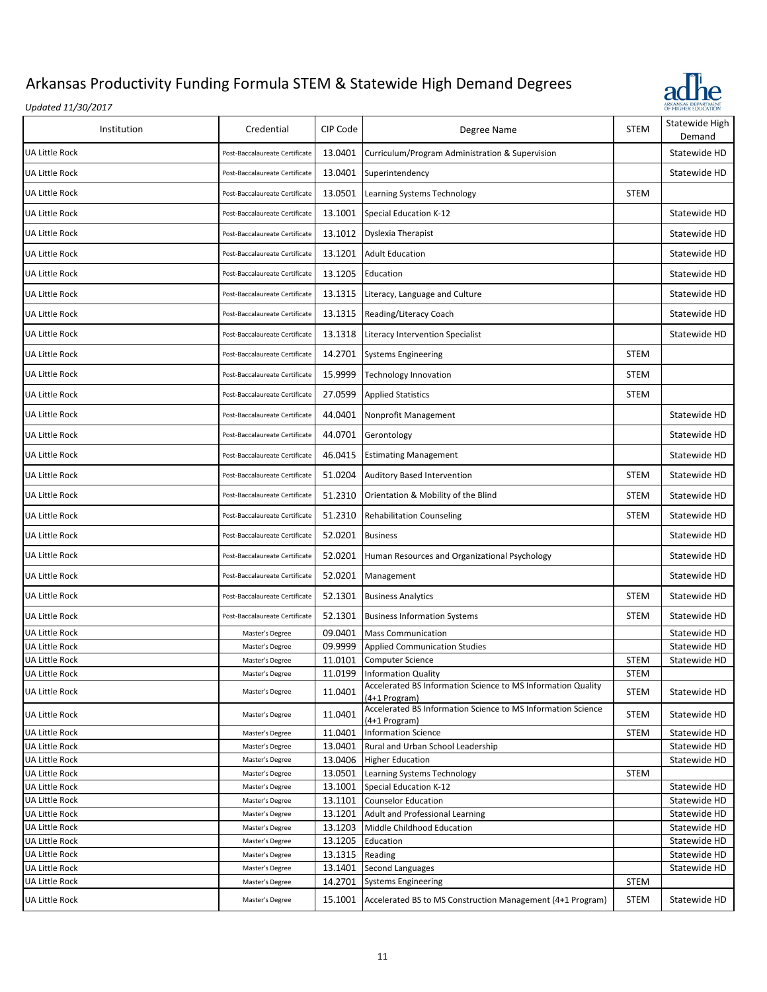

| Institution           | Credential                     | CIP Code | Degree Name                                                                   | <b>STEM</b> | Statewide High<br>Demand |
|-----------------------|--------------------------------|----------|-------------------------------------------------------------------------------|-------------|--------------------------|
| <b>UA Little Rock</b> | Post-Baccalaureate Certificate | 13.0401  | Curriculum/Program Administration & Supervision                               |             | Statewide HD             |
| <b>UA Little Rock</b> | Post-Baccalaureate Certificate | 13.0401  | Superintendency                                                               |             | Statewide HD             |
| UA Little Rock        | Post-Baccalaureate Certificate | 13.0501  | Learning Systems Technology                                                   | STEM        |                          |
| UA Little Rock        | Post-Baccalaureate Certificate | 13.1001  | Special Education K-12                                                        |             | Statewide HD             |
| UA Little Rock        | Post-Baccalaureate Certificate | 13.1012  | Dyslexia Therapist                                                            |             | Statewide HD             |
| UA Little Rock        | Post-Baccalaureate Certificate | 13.1201  | <b>Adult Education</b>                                                        |             | Statewide HD             |
| UA Little Rock        | Post-Baccalaureate Certificate | 13.1205  | Education                                                                     |             | Statewide HD             |
| <b>UA Little Rock</b> | Post-Baccalaureate Certificate | 13.1315  | Literacy, Language and Culture                                                |             | Statewide HD             |
| UA Little Rock        | Post-Baccalaureate Certificate | 13.1315  | Reading/Literacy Coach                                                        |             | Statewide HD             |
| UA Little Rock        | Post-Baccalaureate Certificate | 13.1318  | Literacy Intervention Specialist                                              |             | Statewide HD             |
| UA Little Rock        | Post-Baccalaureate Certificate | 14.2701  | <b>Systems Engineering</b>                                                    | <b>STEM</b> |                          |
| <b>UA Little Rock</b> | Post-Baccalaureate Certificate | 15.9999  | Technology Innovation                                                         | STEM        |                          |
| UA Little Rock        | Post-Baccalaureate Certificate | 27.0599  | <b>Applied Statistics</b>                                                     | <b>STEM</b> |                          |
| UA Little Rock        | Post-Baccalaureate Certificate | 44.0401  | Nonprofit Management                                                          |             | Statewide HD             |
| UA Little Rock        | Post-Baccalaureate Certificate | 44.0701  | Gerontology                                                                   |             | Statewide HD             |
| UA Little Rock        | Post-Baccalaureate Certificate | 46.0415  | <b>Estimating Management</b>                                                  |             | Statewide HD             |
| <b>UA Little Rock</b> | Post-Baccalaureate Certificate | 51.0204  | <b>Auditory Based Intervention</b>                                            | <b>STEM</b> | Statewide HD             |
| UA Little Rock        | Post-Baccalaureate Certificate | 51.2310  | Orientation & Mobility of the Blind                                           | <b>STEM</b> | Statewide HD             |
| UA Little Rock        | Post-Baccalaureate Certificate | 51.2310  | <b>Rehabilitation Counseling</b>                                              | <b>STEM</b> | Statewide HD             |
| <b>UA Little Rock</b> | Post-Baccalaureate Certificate | 52.0201  | <b>Business</b>                                                               |             | Statewide HD             |
| UA Little Rock        | Post-Baccalaureate Certificate | 52.0201  | Human Resources and Organizational Psychology                                 |             | Statewide HD             |
| UA Little Rock        | Post-Baccalaureate Certificate | 52.0201  | Management                                                                    |             | Statewide HD             |
| UA Little Rock        | Post-Baccalaureate Certificate | 52.1301  | <b>Business Analytics</b>                                                     | <b>STEM</b> | Statewide HD             |
| <b>UA Little Rock</b> | Post-Baccalaureate Certificate | 52.1301  | <b>Business Information Systems</b>                                           | <b>STEM</b> | Statewide HD             |
| UA Little Rock        | Master's Degree                | 09.0401  | <b>Mass Communication</b>                                                     |             | Statewide HD             |
| <b>UA Little Rock</b> | Master's Degree                | 09.9999  | <b>Applied Communication Studies</b>                                          |             | Statewide HD             |
| <b>UA Little Rock</b> | Master's Degree                | 11.0101  | Computer Science                                                              | <b>STEM</b> | Statewide HD             |
| UA Little Rock        | Master's Degree                | 11.0199  | <b>Information Quality</b>                                                    | <b>STEM</b> |                          |
| UA Little Rock        | Master's Degree                | 11.0401  | Accelerated BS Information Science to MS Information Quality<br>(4+1 Program) | <b>STEM</b> | Statewide HD             |
| UA Little Rock        | Master's Degree                | 11.0401  | Accelerated BS Information Science to MS Information Science<br>(4+1 Program) | <b>STEM</b> | Statewide HD             |
| UA Little Rock        | Master's Degree                | 11.0401  | <b>Information Science</b>                                                    | <b>STEM</b> | Statewide HD             |
| UA Little Rock        | Master's Degree                | 13.0401  | Rural and Urban School Leadership                                             |             | Statewide HD             |
| UA Little Rock        | Master's Degree                | 13.0406  | <b>Higher Education</b>                                                       |             | Statewide HD             |
| <b>UA Little Rock</b> | Master's Degree                | 13.0501  | Learning Systems Technology                                                   | STEM        |                          |
| UA Little Rock        | Master's Degree                | 13.1001  | Special Education K-12                                                        |             | Statewide HD             |
| UA Little Rock        | Master's Degree                | 13.1101  | <b>Counselor Education</b>                                                    |             | Statewide HD             |
| UA Little Rock        | Master's Degree                | 13.1201  | <b>Adult and Professional Learning</b>                                        |             | Statewide HD             |
| UA Little Rock        | Master's Degree                | 13.1203  | Middle Childhood Education                                                    |             | Statewide HD             |
| <b>UA Little Rock</b> | Master's Degree                | 13.1205  | Education                                                                     |             | Statewide HD             |
| UA Little Rock        | Master's Degree                | 13.1315  | Reading                                                                       |             | Statewide HD             |
| UA Little Rock        | Master's Degree                | 13.1401  | Second Languages                                                              |             | Statewide HD             |
| UA Little Rock        | Master's Degree                | 14.2701  | <b>Systems Engineering</b>                                                    | <b>STEM</b> |                          |
| UA Little Rock        | Master's Degree                | 15.1001  | Accelerated BS to MS Construction Management (4+1 Program)                    | <b>STEM</b> | Statewide HD             |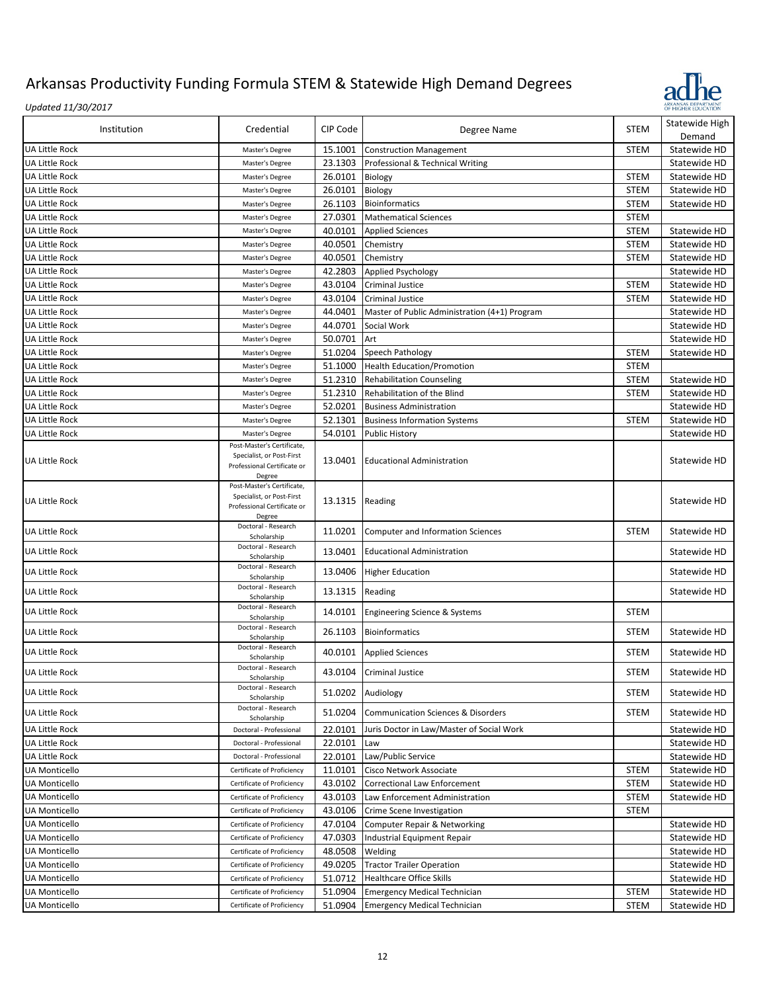

| Institution           | Credential                                               | CIP Code | Degree Name                                   | <b>STEM</b> | Statewide High<br>Demand |
|-----------------------|----------------------------------------------------------|----------|-----------------------------------------------|-------------|--------------------------|
| <b>UA Little Rock</b> | Master's Degree                                          | 15.1001  | <b>Construction Management</b>                | <b>STEM</b> | Statewide HD             |
| <b>UA Little Rock</b> | Master's Degree                                          | 23.1303  | Professional & Technical Writing              |             | Statewide HD             |
| <b>UA Little Rock</b> | Master's Degree                                          | 26.0101  | Biology                                       | <b>STEM</b> | Statewide HD             |
| <b>UA Little Rock</b> | Master's Degree                                          | 26.0101  | Biology                                       | <b>STEM</b> | Statewide HD             |
| <b>UA Little Rock</b> | Master's Degree                                          | 26.1103  | Bioinformatics                                | <b>STEM</b> | Statewide HD             |
| <b>UA Little Rock</b> | Master's Degree                                          | 27.0301  | <b>Mathematical Sciences</b>                  | <b>STEM</b> |                          |
| <b>UA Little Rock</b> | Master's Degree                                          | 40.0101  | <b>Applied Sciences</b>                       | <b>STEM</b> | Statewide HD             |
| <b>UA Little Rock</b> | Master's Degree                                          | 40.0501  | Chemistry                                     | <b>STEM</b> | Statewide HD             |
| <b>UA Little Rock</b> | Master's Degree                                          | 40.0501  | Chemistry                                     | <b>STEM</b> | Statewide HD             |
| <b>UA Little Rock</b> | Master's Degree                                          | 42.2803  | <b>Applied Psychology</b>                     |             | Statewide HD             |
| UA Little Rock        | Master's Degree                                          | 43.0104  | Criminal Justice                              | <b>STEM</b> | Statewide HD             |
| <b>UA Little Rock</b> | Master's Degree                                          | 43.0104  | <b>Criminal Justice</b>                       | <b>STEM</b> | Statewide HD             |
| <b>UA Little Rock</b> | Master's Degree                                          | 44.0401  | Master of Public Administration (4+1) Program |             | Statewide HD             |
| <b>UA Little Rock</b> | Master's Degree                                          | 44.0701  | Social Work                                   |             | Statewide HD             |
| <b>UA Little Rock</b> | Master's Degree                                          | 50.0701  | Art                                           |             | Statewide HD             |
| UA Little Rock        | Master's Degree                                          | 51.0204  | Speech Pathology                              | <b>STEM</b> | Statewide HD             |
| <b>UA Little Rock</b> | Master's Degree                                          | 51.1000  | <b>Health Education/Promotion</b>             | <b>STEM</b> |                          |
| <b>UA Little Rock</b> | Master's Degree                                          | 51.2310  | <b>Rehabilitation Counseling</b>              | <b>STEM</b> | Statewide HD             |
| <b>UA Little Rock</b> | Master's Degree                                          | 51.2310  | Rehabilitation of the Blind                   | <b>STEM</b> | Statewide HD             |
| <b>UA Little Rock</b> | Master's Degree                                          | 52.0201  | <b>Business Administration</b>                |             | Statewide HD             |
| <b>UA Little Rock</b> | Master's Degree                                          | 52.1301  | <b>Business Information Systems</b>           | <b>STEM</b> | Statewide HD             |
| <b>UA Little Rock</b> | Master's Degree                                          | 54.0101  | <b>Public History</b>                         |             | Statewide HD             |
|                       | Post-Master's Certificate,<br>Specialist, or Post-First  |          |                                               |             |                          |
| <b>UA Little Rock</b> | Professional Certificate or<br>Degree                    | 13.0401  | <b>Educational Administration</b>             |             | Statewide HD             |
|                       | Post-Master's Certificate,                               |          |                                               |             |                          |
| UA Little Rock        | Specialist, or Post-First<br>Professional Certificate or | 13.1315  | Reading                                       |             | Statewide HD             |
| UA Little Rock        | Degree<br>Doctoral - Research                            | 11.0201  | <b>Computer and Information Sciences</b>      | <b>STEM</b> | Statewide HD             |
| UA Little Rock        | Scholarship<br>Doctoral - Research                       | 13.0401  | <b>Educational Administration</b>             |             | Statewide HD             |
| <b>UA Little Rock</b> | Scholarship<br>Doctoral - Research                       | 13.0406  | <b>Higher Education</b>                       |             | Statewide HD             |
| UA Little Rock        | Scholarship<br>Doctoral - Research                       | 13.1315  | Reading                                       |             | Statewide HD             |
|                       | Scholarship<br>Doctoral - Research                       |          |                                               |             |                          |
| UA Little Rock        | Scholarship<br>Doctoral - Research                       | 14.0101  | Engineering Science & Systems                 | <b>STEM</b> |                          |
| UA Little Rock        | Scholarship<br>Doctoral - Research                       | 26.1103  | <b>Bioinformatics</b>                         | <b>STEM</b> | Statewide HD             |
| UA Little Rock        | Scholarship<br>Doctoral - Research                       | 40.0101  | <b>Applied Sciences</b>                       | <b>STEM</b> | Statewide HD             |
| <b>UA Little Rock</b> | Scholarship                                              |          | 43.0104 Criminal Justice                      | <b>STEM</b> | Statewide HD             |
| UA Little Rock        | Doctoral - Research<br>Scholarship                       |          | 51.0202 Audiology                             | <b>STEM</b> | Statewide HD             |
| UA Little Rock        | Doctoral - Research<br>Scholarship                       | 51.0204  | <b>Communication Sciences &amp; Disorders</b> | <b>STEM</b> | Statewide HD             |
| <b>UA Little Rock</b> | Doctoral - Professional                                  | 22.0101  | Juris Doctor in Law/Master of Social Work     |             | Statewide HD             |
| <b>UA Little Rock</b> | Doctoral - Professional                                  | 22.0101  | Law                                           |             | Statewide HD             |
| UA Little Rock        | Doctoral - Professional                                  | 22.0101  | Law/Public Service                            |             | Statewide HD             |
| UA Monticello         | Certificate of Proficiency                               | 11.0101  | Cisco Network Associate                       | <b>STEM</b> | Statewide HD             |
| UA Monticello         | Certificate of Proficiency                               | 43.0102  | Correctional Law Enforcement                  | <b>STEM</b> | Statewide HD             |
| UA Monticello         | Certificate of Proficiency                               | 43.0103  | Law Enforcement Administration                | <b>STEM</b> | Statewide HD             |
| <b>UA Monticello</b>  | Certificate of Proficiency                               | 43.0106  | Crime Scene Investigation                     | <b>STEM</b> |                          |
| <b>UA Monticello</b>  | Certificate of Proficiency                               | 47.0104  | Computer Repair & Networking                  |             | Statewide HD             |
| <b>UA Monticello</b>  | Certificate of Proficiency                               | 47.0303  | Industrial Equipment Repair                   |             | Statewide HD             |
| <b>UA Monticello</b>  | Certificate of Proficiency                               | 48.0508  | Welding                                       |             | Statewide HD             |
| UA Monticello         | Certificate of Proficiency                               | 49.0205  | <b>Tractor Trailer Operation</b>              |             | Statewide HD             |
| <b>UA Monticello</b>  | Certificate of Proficiency                               | 51.0712  | <b>Healthcare Office Skills</b>               |             | Statewide HD             |
| <b>UA Monticello</b>  | Certificate of Proficiency                               | 51.0904  | <b>Emergency Medical Technician</b>           | <b>STEM</b> | Statewide HD             |
| UA Monticello         | Certificate of Proficiency                               | 51.0904  | <b>Emergency Medical Technician</b>           | <b>STEM</b> | Statewide HD             |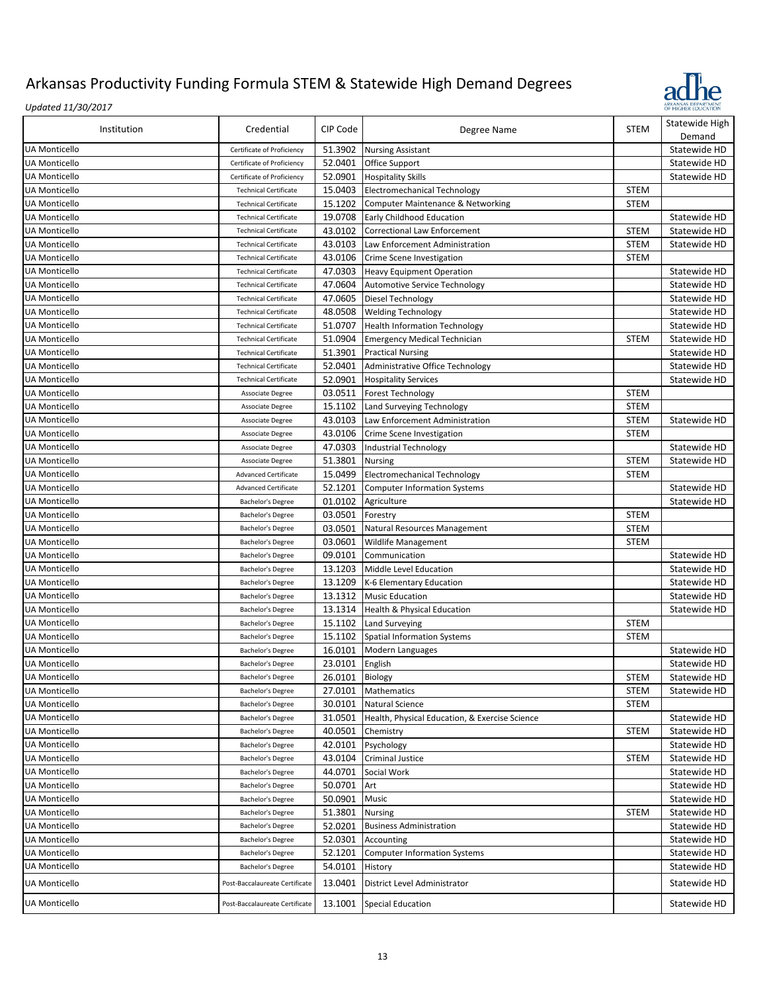

| Institution          | Credential                     | CIP Code        | Degree Name                                    | <b>STEM</b> | Statewide High<br>Demand |
|----------------------|--------------------------------|-----------------|------------------------------------------------|-------------|--------------------------|
| <b>UA Monticello</b> | Certificate of Proficiency     | 51.3902         | <b>Nursing Assistant</b>                       |             | Statewide HD             |
| <b>UA Monticello</b> | Certificate of Proficiency     | 52.0401         | Office Support                                 |             | Statewide HD             |
| <b>UA Monticello</b> | Certificate of Proficiency     | 52.0901         | <b>Hospitality Skills</b>                      |             | Statewide HD             |
| <b>UA Monticello</b> | <b>Technical Certificate</b>   | 15.0403         | Electromechanical Technology                   | <b>STEM</b> |                          |
| UA Monticello        | <b>Technical Certificate</b>   | 15.1202         | Computer Maintenance & Networking              | <b>STEM</b> |                          |
| <b>UA Monticello</b> | <b>Technical Certificate</b>   | 19.0708         | Early Childhood Education                      |             | Statewide HD             |
| <b>UA Monticello</b> | <b>Technical Certificate</b>   | 43.0102         | Correctional Law Enforcement                   | <b>STEM</b> | Statewide HD             |
| <b>UA Monticello</b> | <b>Technical Certificate</b>   | 43.0103         | Law Enforcement Administration                 | <b>STEM</b> | Statewide HD             |
| <b>UA Monticello</b> | <b>Technical Certificate</b>   | 43.0106         | Crime Scene Investigation                      | <b>STEM</b> |                          |
| <b>UA Monticello</b> | <b>Technical Certificate</b>   | 47.0303         | <b>Heavy Equipment Operation</b>               |             | Statewide HD             |
| <b>UA Monticello</b> | <b>Technical Certificate</b>   | 47.0604         | Automotive Service Technology                  |             | Statewide HD             |
| <b>UA Monticello</b> | <b>Technical Certificate</b>   | 47.0605         | Diesel Technology                              |             | Statewide HD             |
| <b>UA Monticello</b> | <b>Technical Certificate</b>   | 48.0508         | <b>Welding Technology</b>                      |             | Statewide HD             |
| <b>UA Monticello</b> |                                | 51.0707         |                                                |             | Statewide HD             |
|                      | <b>Technical Certificate</b>   |                 | <b>Health Information Technology</b>           |             |                          |
| <b>UA Monticello</b> | <b>Technical Certificate</b>   | 51.0904         | <b>Emergency Medical Technician</b>            | <b>STEM</b> | Statewide HD             |
| <b>UA Monticello</b> | <b>Technical Certificate</b>   | 51.3901         | <b>Practical Nursing</b>                       |             | Statewide HD             |
| <b>UA Monticello</b> | <b>Technical Certificate</b>   | 52.0401         | Administrative Office Technology               |             | Statewide HD             |
| <b>UA Monticello</b> | <b>Technical Certificate</b>   | 52.0901         | <b>Hospitality Services</b>                    |             | Statewide HD             |
| <b>UA Monticello</b> | Associate Degree               | 03.0511         | <b>Forest Technology</b>                       | <b>STEM</b> |                          |
| <b>UA Monticello</b> | Associate Degree               | 15.1102         | Land Surveying Technology                      | <b>STEM</b> |                          |
| <b>UA Monticello</b> | Associate Degree               | 43.0103         | Law Enforcement Administration                 | <b>STEM</b> | Statewide HD             |
| <b>UA Monticello</b> | Associate Degree               | 43.0106         | Crime Scene Investigation                      | <b>STEM</b> |                          |
| <b>UA Monticello</b> | Associate Degree               | 47.0303         | Industrial Technology                          |             | Statewide HD             |
| <b>UA Monticello</b> | Associate Degree               | 51.3801         | <b>Nursing</b>                                 | <b>STEM</b> | Statewide HD             |
| <b>UA Monticello</b> | <b>Advanced Certificate</b>    | 15.0499         | Electromechanical Technology                   | <b>STEM</b> |                          |
| <b>UA Monticello</b> | <b>Advanced Certificate</b>    | 52.1201         | <b>Computer Information Systems</b>            |             | Statewide HD             |
| <b>UA Monticello</b> | Bachelor's Degree              | 01.0102         | Agriculture                                    |             | Statewide HD             |
| UA Monticello        | Bachelor's Degree              | 03.0501         | Forestry                                       | <b>STEM</b> |                          |
| <b>UA Monticello</b> | Bachelor's Degree              | 03.0501         | Natural Resources Management                   | <b>STEM</b> |                          |
| <b>UA Monticello</b> | Bachelor's Degree              | 03.0601         | Wildlife Management                            | <b>STEM</b> |                          |
| <b>UA Monticello</b> | Bachelor's Degree              | 09.0101         | Communication                                  |             | Statewide HD             |
| <b>UA Monticello</b> | Bachelor's Degree              | 13.1203         | Middle Level Education                         |             | Statewide HD             |
| <b>UA Monticello</b> | Bachelor's Degree              | 13.1209         | K-6 Elementary Education                       |             | Statewide HD             |
| <b>UA Monticello</b> | Bachelor's Degree              | 13.1312         | <b>Music Education</b>                         |             | Statewide HD             |
| <b>UA Monticello</b> | Bachelor's Degree              | 13.1314         | Health & Physical Education                    |             | Statewide HD             |
| <b>UA Monticello</b> | Bachelor's Degree              | 15.1102         | Land Surveying                                 | <b>STEM</b> |                          |
| <b>UA Monticello</b> | Bachelor's Degree              | 15.1102         | <b>Spatial Information Systems</b>             | <b>STEM</b> |                          |
| UA Monticello        | Bachelor's Degree              | 16.0101         | Modern Languages                               |             | Statewide HD             |
| <b>UA Monticello</b> | Bachelor's Degree              | 23.0101 English |                                                |             | Statewide HD             |
| <b>UA Monticello</b> | Bachelor's Degree              | 26.0101 Biology |                                                | STEM        | Statewide HD             |
| UA Monticello        | Bachelor's Degree              |                 | 27.0101 Mathematics                            | <b>STEM</b> | Statewide HD             |
| <b>UA Monticello</b> | Bachelor's Degree              | 30.0101         | Natural Science                                | <b>STEM</b> |                          |
| UA Monticello        | Bachelor's Degree              | 31.0501         | Health, Physical Education, & Exercise Science |             |                          |
|                      |                                |                 |                                                |             | Statewide HD             |
| UA Monticello        | Bachelor's Degree              | 40.0501         | Chemistry                                      | <b>STEM</b> | Statewide HD             |
| UA Monticello        | Bachelor's Degree              | 42.0101         | Psychology                                     |             | Statewide HD             |
| <b>UA Monticello</b> | Bachelor's Degree              | 43.0104         | <b>Criminal Justice</b>                        | <b>STEM</b> | Statewide HD             |
| <b>UA Monticello</b> | Bachelor's Degree              | 44.0701         | Social Work                                    |             | Statewide HD             |
| <b>UA Monticello</b> | Bachelor's Degree              | 50.0701         | Art                                            |             | Statewide HD             |
| UA Monticello        | Bachelor's Degree              | 50.0901         | Music                                          |             | Statewide HD             |
| UA Monticello        | Bachelor's Degree              | 51.3801         | <b>Nursing</b>                                 | <b>STEM</b> | Statewide HD             |
| <b>UA Monticello</b> | Bachelor's Degree              | 52.0201         | <b>Business Administration</b>                 |             | Statewide HD             |
| UA Monticello        | Bachelor's Degree              | 52.0301         | Accounting                                     |             | Statewide HD             |
| UA Monticello        | Bachelor's Degree              | 52.1201         | <b>Computer Information Systems</b>            |             | Statewide HD             |
| UA Monticello        | Bachelor's Degree              | 54.0101         | History                                        |             | Statewide HD             |
| UA Monticello        | Post-Baccalaureate Certificate | 13.0401         | District Level Administrator                   |             | Statewide HD             |
| <b>UA Monticello</b> | Post-Baccalaureate Certificate | 13.1001         | Special Education                              |             | Statewide HD             |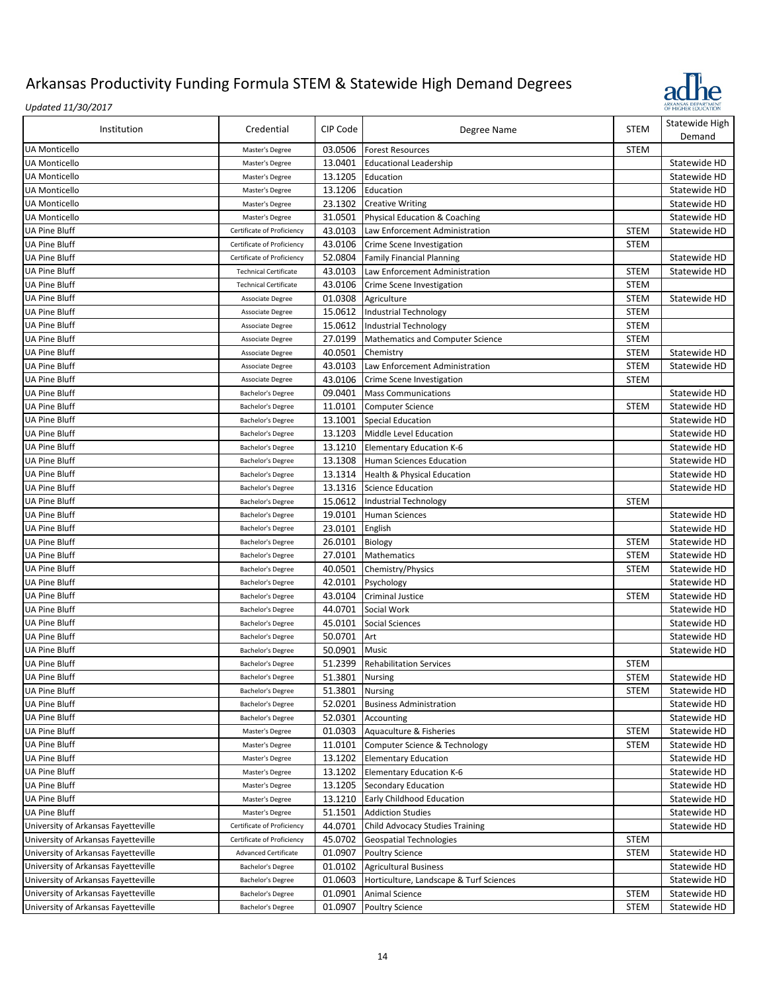

| Institution                         | Credential                   | CIP Code           | Degree Name                             | <b>STEM</b> | Statewide High<br>Demand     |
|-------------------------------------|------------------------------|--------------------|-----------------------------------------|-------------|------------------------------|
| <b>UA Monticello</b>                | Master's Degree              | 03.0506            | <b>Forest Resources</b>                 | <b>STEM</b> |                              |
| <b>UA Monticello</b>                | Master's Degree              | 13.0401            | <b>Educational Leadership</b>           |             | Statewide HD                 |
| UA Monticello                       | Master's Degree              | 13.1205            | Education                               |             | Statewide HD                 |
| <b>UA Monticello</b>                | Master's Degree              | 13.1206            | Education                               |             | Statewide HD                 |
| <b>UA Monticello</b>                | Master's Degree              | 23.1302            | <b>Creative Writing</b>                 |             | Statewide HD                 |
| <b>UA Monticello</b>                | Master's Degree              | 31.0501            | Physical Education & Coaching           |             | Statewide HD                 |
| <b>UA Pine Bluff</b>                | Certificate of Proficiency   | 43.0103            | Law Enforcement Administration          | <b>STEM</b> | Statewide HD                 |
| <b>UA Pine Bluff</b>                | Certificate of Proficiency   | 43.0106            | Crime Scene Investigation               | <b>STEM</b> |                              |
| <b>UA Pine Bluff</b>                | Certificate of Proficiency   | 52.0804            | <b>Family Financial Planning</b>        |             | Statewide HD                 |
| <b>UA Pine Bluff</b>                | <b>Technical Certificate</b> | 43.0103            | Law Enforcement Administration          | <b>STEM</b> | Statewide HD                 |
| <b>UA Pine Bluff</b>                | <b>Technical Certificate</b> | 43.0106            | Crime Scene Investigation               | <b>STEM</b> |                              |
| <b>UA Pine Bluff</b>                | Associate Degree             | 01.0308            | Agriculture                             | <b>STEM</b> | Statewide HD                 |
| <b>UA Pine Bluff</b>                | Associate Degree             | 15.0612            | Industrial Technology                   | <b>STEM</b> |                              |
| <b>UA Pine Bluff</b>                | Associate Degree             | 15.0612            | Industrial Technology                   | <b>STEM</b> |                              |
| <b>UA Pine Bluff</b>                | Associate Degree             | 27.0199            | <b>Mathematics and Computer Science</b> | <b>STEM</b> |                              |
| <b>UA Pine Bluff</b>                | Associate Degree             | 40.0501            | Chemistry                               | <b>STEM</b> | Statewide HD                 |
| <b>UA Pine Bluff</b>                | Associate Degree             | 43.0103            | Law Enforcement Administration          | <b>STEM</b> | Statewide HD                 |
| <b>UA Pine Bluff</b>                | Associate Degree             | 43.0106            | Crime Scene Investigation               | <b>STEM</b> |                              |
| <b>UA Pine Bluff</b>                | Bachelor's Degree            | 09.0401            | <b>Mass Communications</b>              |             | Statewide HD                 |
| <b>UA Pine Bluff</b>                | Bachelor's Degree            | 11.0101            | <b>Computer Science</b>                 | <b>STEM</b> | Statewide HD                 |
| <b>UA Pine Bluff</b>                | Bachelor's Degree            | 13.1001            | <b>Special Education</b>                |             | Statewide HD                 |
| <b>UA Pine Bluff</b>                | Bachelor's Degree            | 13.1203            | Middle Level Education                  |             | Statewide HD                 |
| <b>UA Pine Bluff</b>                | Bachelor's Degree            | 13.1210            | <b>Elementary Education K-6</b>         |             | Statewide HD                 |
| <b>UA Pine Bluff</b>                |                              |                    | <b>Human Sciences Education</b>         |             |                              |
| <b>UA Pine Bluff</b>                | Bachelor's Degree            | 13.1308<br>13.1314 |                                         |             | Statewide HD<br>Statewide HD |
|                                     | Bachelor's Degree            |                    | Health & Physical Education             |             |                              |
| <b>UA Pine Bluff</b>                | Bachelor's Degree            | 13.1316            | <b>Science Education</b>                |             | Statewide HD                 |
| <b>UA Pine Bluff</b>                | Bachelor's Degree            | 15.0612            | Industrial Technology                   | <b>STEM</b> |                              |
| <b>UA Pine Bluff</b>                | Bachelor's Degree            | 19.0101            | Human Sciences                          |             | Statewide HD                 |
| <b>UA Pine Bluff</b>                | Bachelor's Degree            | 23.0101            | English                                 |             | Statewide HD                 |
| <b>UA Pine Bluff</b>                | Bachelor's Degree            | 26.0101            | Biology                                 | <b>STEM</b> | Statewide HD                 |
| <b>UA Pine Bluff</b>                | Bachelor's Degree            | 27.0101            | Mathematics                             | <b>STEM</b> | Statewide HD                 |
| <b>UA Pine Bluff</b>                | Bachelor's Degree            | 40.0501            | Chemistry/Physics                       | <b>STEM</b> | Statewide HD                 |
| <b>UA Pine Bluff</b>                | Bachelor's Degree            | 42.0101            | Psychology                              |             | Statewide HD                 |
| <b>UA Pine Bluff</b>                | Bachelor's Degree            | 43.0104            | Criminal Justice                        | <b>STEM</b> | Statewide HD                 |
| <b>UA Pine Bluff</b>                | Bachelor's Degree            | 44.0701            | Social Work                             |             | Statewide HD                 |
| <b>UA Pine Bluff</b>                | Bachelor's Degree            | 45.0101            | Social Sciences                         |             | Statewide HD                 |
| <b>UA Pine Bluff</b>                | Bachelor's Degree            | 50.0701            | Art                                     |             | Statewide HD                 |
| <b>UA Pine Bluff</b>                | Bachelor's Degree            | 50.0901            | Music                                   |             | Statewide HD                 |
| <b>UA Pine Bluff</b>                | Bachelor's Degree            | 51.2399            | <b>Rehabilitation Services</b>          | <b>STEM</b> |                              |
| <b>UA Pine Bluff</b>                | Bachelor's Degree            | 51.3801 Nursing    |                                         | STEM        | Statewide HD                 |
| UA Pine Bluff                       | Bachelor's Degree            | 51.3801            | <b>Nursing</b>                          | <b>STEM</b> | Statewide HD                 |
| UA Pine Bluff                       | Bachelor's Degree            | 52.0201            | <b>Business Administration</b>          |             | Statewide HD                 |
| <b>UA Pine Bluff</b>                | Bachelor's Degree            | 52.0301            | Accounting                              |             | Statewide HD                 |
| <b>UA Pine Bluff</b>                | Master's Degree              | 01.0303            | Aquaculture & Fisheries                 | <b>STEM</b> | Statewide HD                 |
| UA Pine Bluff                       | Master's Degree              | 11.0101            | Computer Science & Technology           | <b>STEM</b> | Statewide HD                 |
| UA Pine Bluff                       | Master's Degree              | 13.1202            | <b>Elementary Education</b>             |             | Statewide HD                 |
| UA Pine Bluff                       | Master's Degree              | 13.1202            | <b>Elementary Education K-6</b>         |             | Statewide HD                 |
| UA Pine Bluff                       | Master's Degree              | 13.1205            | Secondary Education                     |             | Statewide HD                 |
| <b>UA Pine Bluff</b>                | Master's Degree              | 13.1210            | Early Childhood Education               |             | Statewide HD                 |
| <b>UA Pine Bluff</b>                | Master's Degree              | 51.1501            | <b>Addiction Studies</b>                |             | Statewide HD                 |
| University of Arkansas Fayetteville | Certificate of Proficiency   | 44.0701            | <b>Child Advocacy Studies Training</b>  |             | Statewide HD                 |
| University of Arkansas Fayetteville | Certificate of Proficiency   | 45.0702            | Geospatial Technologies                 | <b>STEM</b> |                              |
| University of Arkansas Fayetteville | <b>Advanced Certificate</b>  | 01.0907            | <b>Poultry Science</b>                  | STEM        | Statewide HD                 |
| University of Arkansas Fayetteville | Bachelor's Degree            | 01.0102            | <b>Agricultural Business</b>            |             | Statewide HD                 |
| University of Arkansas Fayetteville | Bachelor's Degree            | 01.0603            | Horticulture, Landscape & Turf Sciences |             | Statewide HD                 |
| University of Arkansas Fayetteville | Bachelor's Degree            | 01.0901            | Animal Science                          | <b>STEM</b> | Statewide HD                 |
| University of Arkansas Fayetteville | Bachelor's Degree            | 01.0907            | <b>Poultry Science</b>                  | <b>STEM</b> | Statewide HD                 |
|                                     |                              |                    |                                         |             |                              |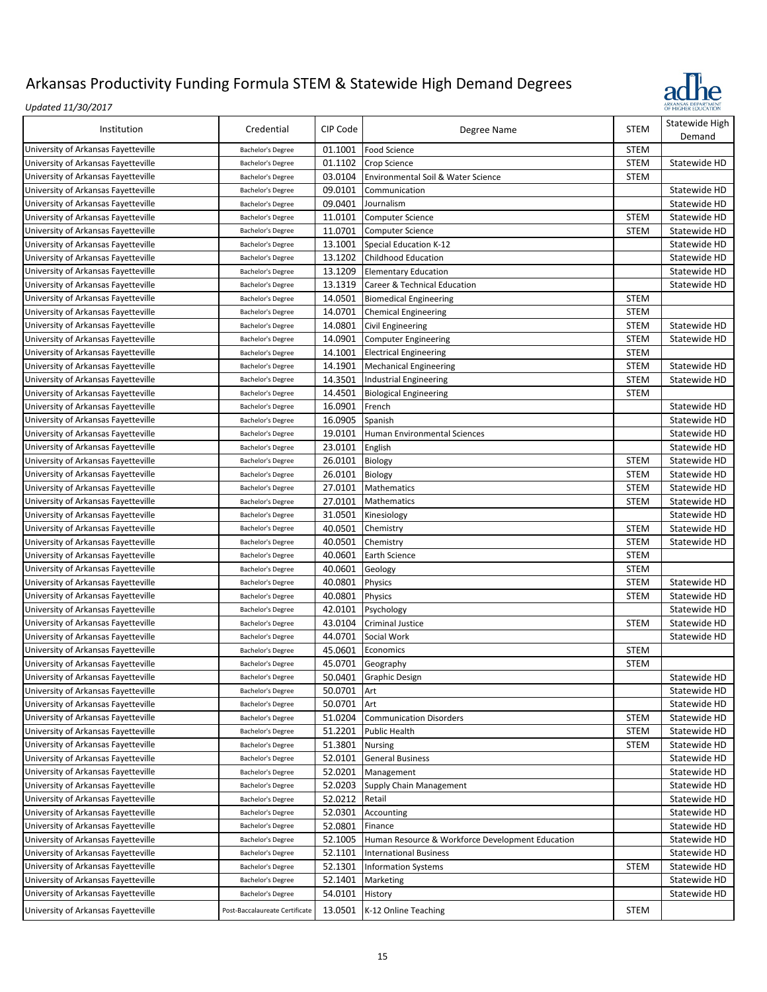

| Institution                         | Credential                     | CIP Code | Degree Name                                      | <b>STEM</b> | Statewide High<br>Demand |
|-------------------------------------|--------------------------------|----------|--------------------------------------------------|-------------|--------------------------|
| University of Arkansas Fayetteville | Bachelor's Degree              | 01.1001  | Food Science                                     | <b>STEM</b> |                          |
| University of Arkansas Fayetteville | Bachelor's Degree              | 01.1102  | Crop Science                                     | <b>STEM</b> | Statewide HD             |
| University of Arkansas Fayetteville | Bachelor's Degree              | 03.0104  | Environmental Soil & Water Science               | <b>STEM</b> |                          |
| University of Arkansas Fayetteville | Bachelor's Degree              | 09.0101  | Communication                                    |             | Statewide HD             |
| University of Arkansas Fayetteville | Bachelor's Degree              | 09.0401  | Journalism                                       |             | Statewide HD             |
| University of Arkansas Fayetteville | Bachelor's Degree              | 11.0101  | Computer Science                                 | <b>STEM</b> | Statewide HD             |
| University of Arkansas Fayetteville | Bachelor's Degree              | 11.0701  | Computer Science                                 | <b>STEM</b> | Statewide HD             |
| University of Arkansas Fayetteville | <b>Bachelor's Degree</b>       | 13.1001  | Special Education K-12                           |             | Statewide HD             |
| University of Arkansas Fayetteville | Bachelor's Degree              | 13.1202  | Childhood Education                              |             | Statewide HD             |
| University of Arkansas Fayetteville | Bachelor's Degree              | 13.1209  | <b>Elementary Education</b>                      |             | Statewide HD             |
| University of Arkansas Fayetteville | Bachelor's Degree              | 13.1319  | Career & Technical Education                     |             | Statewide HD             |
| University of Arkansas Fayetteville | Bachelor's Degree              | 14.0501  | <b>Biomedical Engineering</b>                    | <b>STEM</b> |                          |
| University of Arkansas Fayetteville | Bachelor's Degree              | 14.0701  | <b>Chemical Engineering</b>                      | <b>STEM</b> |                          |
| University of Arkansas Fayetteville | Bachelor's Degree              | 14.0801  | Civil Engineering                                | <b>STEM</b> | Statewide HD             |
| University of Arkansas Fayetteville | Bachelor's Degree              | 14.0901  | <b>Computer Engineering</b>                      | <b>STEM</b> | Statewide HD             |
| University of Arkansas Fayetteville | Bachelor's Degree              | 14.1001  | <b>Electrical Engineering</b>                    | <b>STEM</b> |                          |
| University of Arkansas Fayetteville | Bachelor's Degree              | 14.1901  | <b>Mechanical Engineering</b>                    | <b>STEM</b> | Statewide HD             |
| University of Arkansas Fayetteville | Bachelor's Degree              | 14.3501  | Industrial Engineering                           | <b>STEM</b> | Statewide HD             |
| University of Arkansas Fayetteville | Bachelor's Degree              | 14.4501  | <b>Biological Engineering</b>                    | <b>STEM</b> |                          |
| University of Arkansas Fayetteville | <b>Bachelor's Degree</b>       | 16.0901  | French                                           |             | Statewide HD             |
| University of Arkansas Fayetteville | Bachelor's Degree              | 16.0905  | Spanish                                          |             | Statewide HD             |
| University of Arkansas Fayetteville | Bachelor's Degree              | 19.0101  | Human Environmental Sciences                     |             | Statewide HD             |
| University of Arkansas Fayetteville | Bachelor's Degree              | 23.0101  | English                                          |             | Statewide HD             |
| University of Arkansas Fayetteville | Bachelor's Degree              | 26.0101  | Biology                                          | <b>STEM</b> | Statewide HD             |
| University of Arkansas Fayetteville | Bachelor's Degree              | 26.0101  | Biology                                          | <b>STEM</b> | Statewide HD             |
| University of Arkansas Fayetteville | Bachelor's Degree              | 27.0101  | <b>Mathematics</b>                               | <b>STEM</b> | Statewide HD             |
| University of Arkansas Fayetteville | Bachelor's Degree              | 27.0101  | Mathematics                                      | <b>STEM</b> | Statewide HD             |
| University of Arkansas Fayetteville | Bachelor's Degree              | 31.0501  | Kinesiology                                      |             | Statewide HD             |
| University of Arkansas Fayetteville | Bachelor's Degree              | 40.0501  | Chemistry                                        | <b>STEM</b> | Statewide HD             |
| University of Arkansas Fayetteville | Bachelor's Degree              | 40.0501  | Chemistry                                        | <b>STEM</b> | Statewide HD             |
| University of Arkansas Fayetteville | Bachelor's Degree              | 40.0601  | Earth Science                                    | <b>STEM</b> |                          |
| University of Arkansas Fayetteville | Bachelor's Degree              | 40.0601  | Geology                                          | <b>STEM</b> |                          |
| University of Arkansas Fayetteville | Bachelor's Degree              | 40.0801  | Physics                                          | <b>STEM</b> | Statewide HD             |
| University of Arkansas Fayetteville | Bachelor's Degree              | 40.0801  | Physics                                          | <b>STEM</b> | Statewide HD             |
| University of Arkansas Fayetteville | Bachelor's Degree              | 42.0101  | Psychology                                       |             | Statewide HD             |
| University of Arkansas Fayetteville | Bachelor's Degree              | 43.0104  | Criminal Justice                                 | <b>STEM</b> | Statewide HD             |
| University of Arkansas Fayetteville | Bachelor's Degree              | 44.0701  | Social Work                                      |             | Statewide HD             |
| University of Arkansas Fayetteville | Bachelor's Degree              | 45.0601  | Economics                                        | <b>STEM</b> |                          |
| University of Arkansas Fayetteville | Bachelor's Degree              | 45.0701  | Geography                                        | <b>STEM</b> |                          |
| University of Arkansas Fayetteville | Bachelor's Degree              |          | 50.0401 Graphic Design                           |             | Statewide HD             |
| University of Arkansas Fayetteville | Bachelor's Degree              | 50.0701  | Art                                              |             | Statewide HD             |
| University of Arkansas Fayetteville | Bachelor's Degree              | 50.0701  | Art                                              |             | Statewide HD             |
| University of Arkansas Fayetteville | Bachelor's Degree              | 51.0204  | <b>Communication Disorders</b>                   | <b>STEM</b> | Statewide HD             |
| University of Arkansas Fayetteville | Bachelor's Degree              | 51.2201  | Public Health                                    | <b>STEM</b> | Statewide HD             |
| University of Arkansas Fayetteville | Bachelor's Degree              | 51.3801  | Nursing                                          | <b>STEM</b> | Statewide HD             |
| University of Arkansas Fayetteville | Bachelor's Degree              | 52.0101  | <b>General Business</b>                          |             | Statewide HD             |
| University of Arkansas Fayetteville | Bachelor's Degree              | 52.0201  | Management                                       |             | Statewide HD             |
| University of Arkansas Fayetteville | Bachelor's Degree              | 52.0203  | Supply Chain Management                          |             | Statewide HD             |
| University of Arkansas Fayetteville | Bachelor's Degree              | 52.0212  | Retail                                           |             | Statewide HD             |
| University of Arkansas Fayetteville | Bachelor's Degree              | 52.0301  | Accounting                                       |             | Statewide HD             |
| University of Arkansas Fayetteville | Bachelor's Degree              | 52.0801  | Finance                                          |             | Statewide HD             |
| University of Arkansas Fayetteville | Bachelor's Degree              | 52.1005  | Human Resource & Workforce Development Education |             | Statewide HD             |
| University of Arkansas Fayetteville | Bachelor's Degree              | 52.1101  | <b>International Business</b>                    |             | Statewide HD             |
| University of Arkansas Fayetteville | Bachelor's Degree              | 52.1301  | <b>Information Systems</b>                       | <b>STEM</b> | Statewide HD             |
| University of Arkansas Fayetteville | Bachelor's Degree              | 52.1401  | Marketing                                        |             | Statewide HD             |
| University of Arkansas Fayetteville | Bachelor's Degree              | 54.0101  | History                                          |             | Statewide HD             |
| University of Arkansas Fayetteville | Post-Baccalaureate Certificate | 13.0501  | K-12 Online Teaching                             | <b>STEM</b> |                          |
|                                     |                                |          |                                                  |             |                          |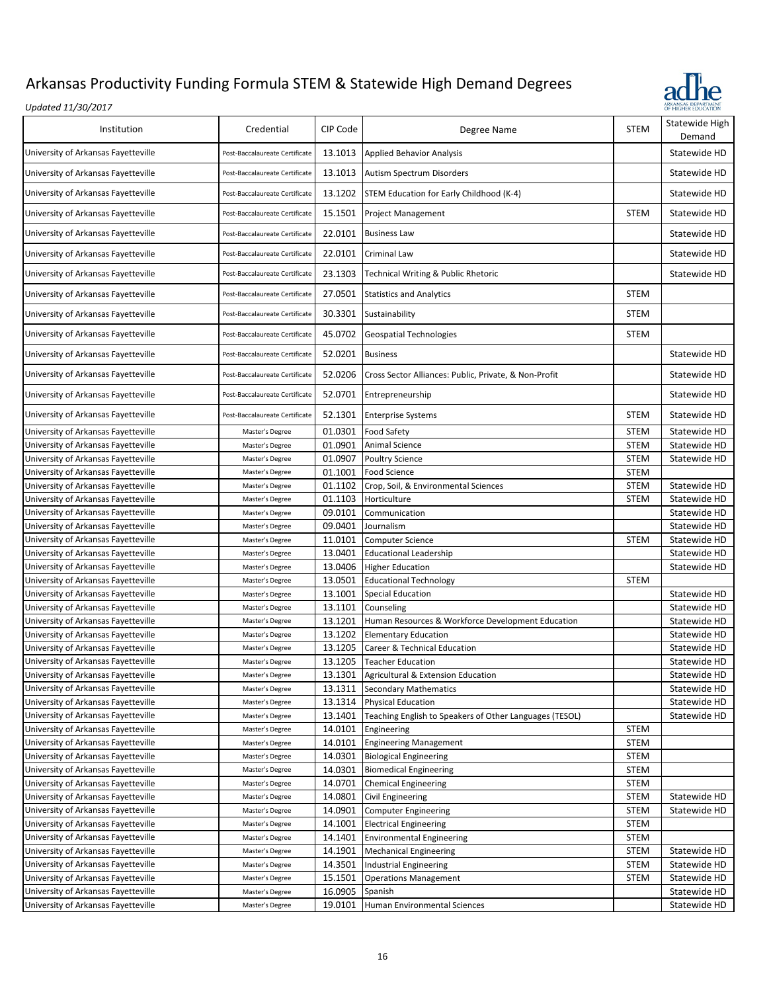

| Institution                         | Credential                     | CIP Code | Degree Name                                             | <b>STEM</b> | Statewide High<br>Demand |
|-------------------------------------|--------------------------------|----------|---------------------------------------------------------|-------------|--------------------------|
| University of Arkansas Fayetteville | Post-Baccalaureate Certificate | 13.1013  | <b>Applied Behavior Analysis</b>                        |             | Statewide HD             |
| University of Arkansas Fayetteville | Post-Baccalaureate Certificate | 13.1013  | <b>Autism Spectrum Disorders</b>                        |             | Statewide HD             |
| University of Arkansas Fayetteville | Post-Baccalaureate Certificate | 13.1202  | STEM Education for Early Childhood (K-4)                |             | Statewide HD             |
| University of Arkansas Fayetteville | Post-Baccalaureate Certificate | 15.1501  | <b>Project Management</b>                               | <b>STEM</b> | Statewide HD             |
| University of Arkansas Fayetteville | Post-Baccalaureate Certificate | 22.0101  | <b>Business Law</b>                                     |             | Statewide HD             |
| University of Arkansas Fayetteville | Post-Baccalaureate Certificate | 22.0101  | Criminal Law                                            |             | Statewide HD             |
| University of Arkansas Fayetteville | Post-Baccalaureate Certificate | 23.1303  | Technical Writing & Public Rhetoric                     |             | Statewide HD             |
| University of Arkansas Fayetteville | Post-Baccalaureate Certificate | 27.0501  | <b>Statistics and Analytics</b>                         | <b>STEM</b> |                          |
| University of Arkansas Fayetteville | Post-Baccalaureate Certificate | 30.3301  | Sustainability                                          | <b>STEM</b> |                          |
| University of Arkansas Fayetteville | Post-Baccalaureate Certificate | 45.0702  | <b>Geospatial Technologies</b>                          | <b>STEM</b> |                          |
| University of Arkansas Fayetteville | Post-Baccalaureate Certificate | 52.0201  | <b>Business</b>                                         |             | Statewide HD             |
| University of Arkansas Fayetteville | Post-Baccalaureate Certificate | 52.0206  | Cross Sector Alliances: Public, Private, & Non-Profit   |             | Statewide HD             |
| University of Arkansas Fayetteville | Post-Baccalaureate Certificate | 52.0701  | Entrepreneurship                                        |             | Statewide HD             |
| University of Arkansas Fayetteville | Post-Baccalaureate Certificate | 52.1301  | <b>Enterprise Systems</b>                               | <b>STEM</b> | Statewide HD             |
| University of Arkansas Fayetteville | Master's Degree                | 01.0301  | Food Safety                                             | <b>STEM</b> | Statewide HD             |
| University of Arkansas Fayetteville | Master's Degree                | 01.0901  | <b>Animal Science</b>                                   | <b>STEM</b> | Statewide HD             |
| University of Arkansas Fayetteville | Master's Degree                | 01.0907  | <b>Poultry Science</b>                                  | <b>STEM</b> | Statewide HD             |
| University of Arkansas Fayetteville | Master's Degree                | 01.1001  | Food Science                                            | <b>STEM</b> |                          |
| University of Arkansas Fayetteville | Master's Degree                | 01.1102  | Crop, Soil, & Environmental Sciences                    | <b>STEM</b> | Statewide HD             |
| University of Arkansas Fayetteville | Master's Degree                | 01.1103  | Horticulture                                            | <b>STEM</b> | Statewide HD             |
| University of Arkansas Fayetteville | Master's Degree                | 09.0101  | Communication                                           |             | Statewide HD             |
| University of Arkansas Fayetteville | Master's Degree                | 09.0401  | Journalism                                              |             | Statewide HD             |
| University of Arkansas Fayetteville | Master's Degree                | 11.0101  | Computer Science                                        | <b>STEM</b> | Statewide HD             |
| University of Arkansas Fayetteville | Master's Degree                | 13.0401  | <b>Educational Leadership</b>                           |             | Statewide HD             |
| University of Arkansas Fayetteville | Master's Degree                | 13.0406  | <b>Higher Education</b>                                 |             | Statewide HD             |
| University of Arkansas Fayetteville | Master's Degree                | 13.0501  | <b>Educational Technology</b>                           | <b>STEM</b> |                          |
| University of Arkansas Fayetteville | Master's Degree                | 13.1001  | Special Education                                       |             | Statewide HD             |
| University of Arkansas Fayetteville | Master's Degree                | 13.1101  | Counseling                                              |             | Statewide HD             |
| University of Arkansas Fayetteville | Master's Degree                | 13.1201  | Human Resources & Workforce Development Education       |             | Statewide HD             |
| University of Arkansas Fayetteville | Master's Degree                | 13.1202  | <b>Elementary Education</b>                             |             | Statewide HD             |
| University of Arkansas Fayetteville | Master's Degree                | 13.1205  | Career & Technical Education                            |             | Statewide HD             |
| University of Arkansas Fayetteville | Master's Degree                | 13.1205  | <b>Teacher Education</b>                                |             | Statewide HD             |
| University of Arkansas Fayetteville | Master's Degree                | 13.1301  | Agricultural & Extension Education                      |             | Statewide HD             |
| University of Arkansas Fayetteville | Master's Degree                | 13.1311  | <b>Secondary Mathematics</b>                            |             | Statewide HD             |
| University of Arkansas Fayetteville | Master's Degree                | 13.1314  | Physical Education                                      |             | Statewide HD             |
| University of Arkansas Fayetteville | Master's Degree                | 13.1401  | Teaching English to Speakers of Other Languages (TESOL) |             | Statewide HD             |
| University of Arkansas Fayetteville | Master's Degree                | 14.0101  | Engineering                                             | <b>STEM</b> |                          |
| University of Arkansas Fayetteville | Master's Degree                | 14.0101  | <b>Engineering Management</b>                           | STEM        |                          |
| University of Arkansas Fayetteville | Master's Degree                | 14.0301  | <b>Biological Engineering</b>                           | STEM        |                          |
| University of Arkansas Fayetteville | Master's Degree                | 14.0301  | <b>Biomedical Engineering</b>                           | STEM        |                          |
| University of Arkansas Fayetteville | Master's Degree                | 14.0701  | Chemical Engineering                                    | <b>STEM</b> |                          |
| University of Arkansas Fayetteville | Master's Degree                | 14.0801  | Civil Engineering                                       | <b>STEM</b> | Statewide HD             |
| University of Arkansas Fayetteville | Master's Degree                | 14.0901  | Computer Engineering                                    | <b>STEM</b> | Statewide HD             |
| University of Arkansas Fayetteville | Master's Degree                | 14.1001  | <b>Electrical Engineering</b>                           | <b>STEM</b> |                          |
| University of Arkansas Fayetteville | Master's Degree                | 14.1401  | <b>Environmental Engineering</b>                        | <b>STEM</b> |                          |
| University of Arkansas Fayetteville | Master's Degree                | 14.1901  | Mechanical Engineering                                  | <b>STEM</b> | Statewide HD             |
| University of Arkansas Fayetteville | Master's Degree                | 14.3501  | Industrial Engineering                                  | <b>STEM</b> | Statewide HD             |
| University of Arkansas Fayetteville | Master's Degree                | 15.1501  | <b>Operations Management</b>                            | <b>STEM</b> | Statewide HD             |
| University of Arkansas Fayetteville | Master's Degree                | 16.0905  | Spanish                                                 |             | Statewide HD             |
| University of Arkansas Fayetteville | Master's Degree                | 19.0101  | Human Environmental Sciences                            |             | Statewide HD             |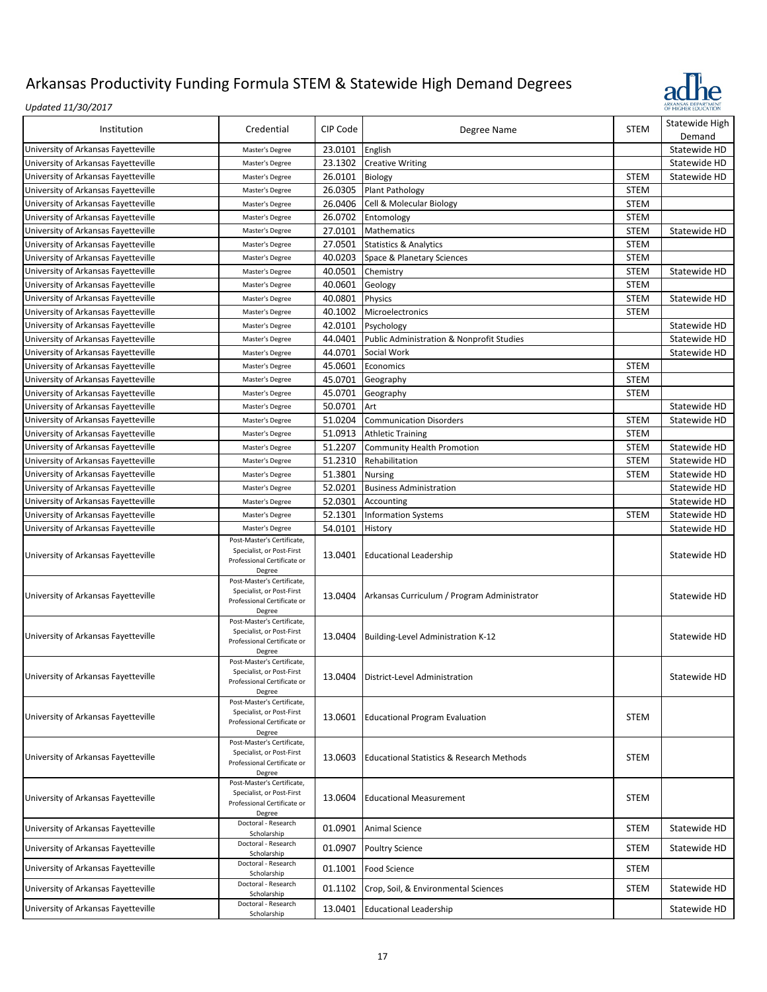

| Institution                         | Credential                                                                             | CIP Code | Degree Name                                          | <b>STEM</b> | Statewide High |
|-------------------------------------|----------------------------------------------------------------------------------------|----------|------------------------------------------------------|-------------|----------------|
|                                     |                                                                                        |          |                                                      |             | Demand         |
| University of Arkansas Fayetteville | Master's Degree                                                                        | 23.0101  | English                                              |             | Statewide HD   |
| University of Arkansas Fayetteville | Master's Degree                                                                        | 23.1302  | <b>Creative Writing</b>                              |             | Statewide HD   |
| University of Arkansas Fayetteville | Master's Degree                                                                        | 26.0101  | Biology                                              | <b>STEM</b> | Statewide HD   |
| University of Arkansas Fayetteville | Master's Degree                                                                        | 26.0305  | Plant Pathology                                      | <b>STEM</b> |                |
| University of Arkansas Fayetteville | Master's Degree                                                                        | 26.0406  | Cell & Molecular Biology                             | <b>STEM</b> |                |
| University of Arkansas Fayetteville | Master's Degree                                                                        | 26.0702  | Entomology                                           | <b>STEM</b> |                |
| University of Arkansas Fayetteville | Master's Degree                                                                        | 27.0101  | Mathematics                                          | <b>STEM</b> | Statewide HD   |
| University of Arkansas Fayetteville | Master's Degree                                                                        | 27.0501  | <b>Statistics &amp; Analytics</b>                    | <b>STEM</b> |                |
| University of Arkansas Fayetteville | Master's Degree                                                                        | 40.0203  | Space & Planetary Sciences                           | <b>STEM</b> |                |
| University of Arkansas Fayetteville | Master's Degree                                                                        | 40.0501  | Chemistry                                            | <b>STEM</b> | Statewide HD   |
| University of Arkansas Fayetteville | Master's Degree                                                                        | 40.0601  | Geology                                              | <b>STEM</b> |                |
| University of Arkansas Fayetteville | Master's Degree                                                                        | 40.0801  | <b>Physics</b>                                       | <b>STEM</b> | Statewide HD   |
| University of Arkansas Fayetteville | Master's Degree                                                                        | 40.1002  | Microelectronics                                     | <b>STEM</b> |                |
| University of Arkansas Fayetteville | Master's Degree                                                                        | 42.0101  | Psychology                                           |             | Statewide HD   |
| University of Arkansas Fayetteville | Master's Degree                                                                        | 44.0401  | <b>Public Administration &amp; Nonprofit Studies</b> |             | Statewide HD   |
| University of Arkansas Fayetteville | Master's Degree                                                                        | 44.0701  | Social Work                                          |             | Statewide HD   |
| University of Arkansas Fayetteville | Master's Degree                                                                        | 45.0601  | Economics                                            | <b>STEM</b> |                |
| University of Arkansas Fayetteville | Master's Degree                                                                        | 45.0701  | Geography                                            | <b>STEM</b> |                |
| University of Arkansas Fayetteville | Master's Degree                                                                        | 45.0701  | Geography                                            | <b>STEM</b> |                |
| University of Arkansas Fayetteville | Master's Degree                                                                        | 50.0701  | Art                                                  |             | Statewide HD   |
| University of Arkansas Fayetteville | Master's Degree                                                                        | 51.0204  | <b>Communication Disorders</b>                       | <b>STEM</b> | Statewide HD   |
|                                     |                                                                                        |          |                                                      |             |                |
| University of Arkansas Fayetteville | Master's Degree                                                                        | 51.0913  | <b>Athletic Training</b>                             | <b>STEM</b> |                |
| University of Arkansas Fayetteville | Master's Degree                                                                        | 51.2207  | <b>Community Health Promotion</b>                    | <b>STEM</b> | Statewide HD   |
| University of Arkansas Fayetteville | Master's Degree                                                                        | 51.2310  | Rehabilitation                                       | <b>STEM</b> | Statewide HD   |
| University of Arkansas Fayetteville | Master's Degree                                                                        | 51.3801  | Nursing                                              | <b>STEM</b> | Statewide HD   |
| University of Arkansas Fayetteville | Master's Degree                                                                        | 52.0201  | <b>Business Administration</b>                       |             | Statewide HD   |
| University of Arkansas Fayetteville | Master's Degree                                                                        | 52.0301  | Accounting                                           |             | Statewide HD   |
| University of Arkansas Fayetteville | Master's Degree                                                                        | 52.1301  | Information Systems                                  | <b>STEM</b> | Statewide HD   |
|                                     |                                                                                        |          |                                                      |             |                |
| University of Arkansas Fayetteville | Master's Degree                                                                        | 54.0101  | History                                              |             | Statewide HD   |
| University of Arkansas Fayetteville | Post-Master's Certificate,<br>Specialist, or Post-First<br>Professional Certificate or | 13.0401  | <b>Educational Leadership</b>                        |             | Statewide HD   |
|                                     | Degree<br>Post-Master's Certificate,                                                   |          |                                                      |             |                |
| University of Arkansas Fayetteville | Specialist, or Post-First<br>Professional Certificate or<br>Degree                     |          | 13.0404 Arkansas Curriculum / Program Administrator  |             | Statewide HD   |
|                                     | Post-Master's Certificate,                                                             |          |                                                      |             |                |
| University of Arkansas Fayetteville | Specialist, or Post-First                                                              | 13.0404  | Building-Level Administration K-12                   |             | Statewide HD   |
|                                     | Professional Certificate or<br>Degree                                                  |          |                                                      |             |                |
|                                     | Post-Master's Certificate,                                                             |          |                                                      |             |                |
| University of Arkansas Fayetteville | Specialist, or Post-First                                                              |          | 13.0404   District-Level Administration              |             | Statewide HD   |
|                                     | Professional Certificate or<br>Degree                                                  |          |                                                      |             |                |
|                                     | Post-Master's Certificate,                                                             |          |                                                      |             |                |
| University of Arkansas Fayetteville | Specialist, or Post-First<br>Professional Certificate or                               | 13.0601  | <b>Educational Program Evaluation</b>                | <b>STEM</b> |                |
|                                     | Degree                                                                                 |          |                                                      |             |                |
|                                     | Post-Master's Certificate,                                                             |          |                                                      |             |                |
| University of Arkansas Fayetteville | Specialist, or Post-First                                                              | 13.0603  | <b>Educational Statistics &amp; Research Methods</b> | <b>STEM</b> |                |
|                                     | Professional Certificate or<br>Degree                                                  |          |                                                      |             |                |
|                                     | Post-Master's Certificate,                                                             |          |                                                      |             |                |
| University of Arkansas Fayetteville | Specialist, or Post-First                                                              | 13.0604  | <b>Educational Measurement</b>                       | STEM        |                |
|                                     | Professional Certificate or<br>Degree                                                  |          |                                                      |             |                |
| University of Arkansas Fayetteville | Doctoral - Research                                                                    | 01.0901  | Animal Science                                       | <b>STEM</b> | Statewide HD   |
|                                     | Scholarship<br>Doctoral - Research                                                     |          |                                                      |             |                |
| University of Arkansas Fayetteville | Scholarship                                                                            | 01.0907  | <b>Poultry Science</b>                               | STEM        | Statewide HD   |
| University of Arkansas Fayetteville | Doctoral - Research<br>Scholarship                                                     | 01.1001  | Food Science                                         | <b>STEM</b> |                |
| University of Arkansas Fayetteville | Doctoral - Research<br>Scholarship                                                     | 01.1102  | Crop, Soil, & Environmental Sciences                 | <b>STEM</b> | Statewide HD   |
| University of Arkansas Fayetteville | Doctoral - Research<br>Scholarship                                                     | 13.0401  | <b>Educational Leadership</b>                        |             | Statewide HD   |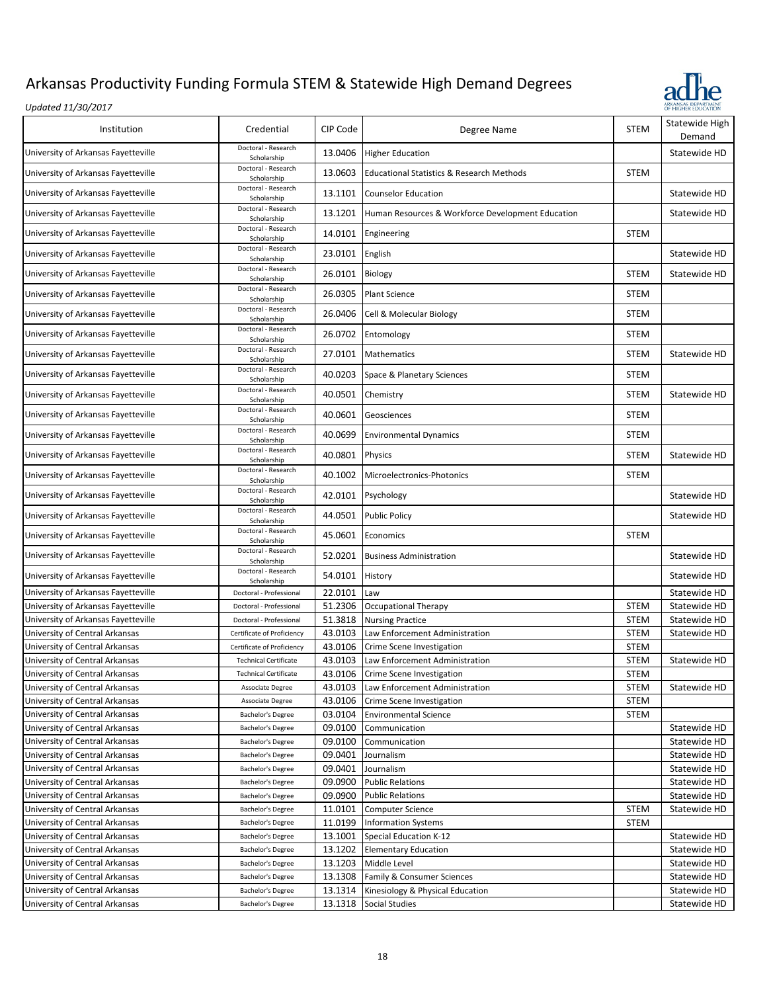

| Institution                                                      | Credential                         | CIP Code | Degree Name                                          | <b>STEM</b> | Statewide High<br>Demand |
|------------------------------------------------------------------|------------------------------------|----------|------------------------------------------------------|-------------|--------------------------|
| University of Arkansas Fayetteville                              | Doctoral - Research<br>Scholarship | 13.0406  | <b>Higher Education</b>                              |             | Statewide HD             |
| University of Arkansas Fayetteville                              | Doctoral - Research<br>Scholarship | 13.0603  | <b>Educational Statistics &amp; Research Methods</b> | <b>STEM</b> |                          |
| University of Arkansas Fayetteville                              | Doctoral - Research<br>Scholarship | 13.1101  | <b>Counselor Education</b>                           |             | Statewide HD             |
| University of Arkansas Fayetteville                              | Doctoral - Research<br>Scholarship | 13.1201  | Human Resources & Workforce Development Education    |             | Statewide HD             |
| University of Arkansas Fayetteville                              | Doctoral - Research<br>Scholarship | 14.0101  | Engineering                                          | <b>STEM</b> |                          |
| University of Arkansas Fayetteville                              | Doctoral - Research                | 23.0101  | English                                              |             | Statewide HD             |
| University of Arkansas Fayetteville                              | Scholarship<br>Doctoral - Research | 26.0101  | Biology                                              | <b>STEM</b> | Statewide HD             |
| University of Arkansas Fayetteville                              | Scholarship<br>Doctoral - Research | 26.0305  | <b>Plant Science</b>                                 | <b>STEM</b> |                          |
| University of Arkansas Fayetteville                              | Scholarship<br>Doctoral - Research | 26.0406  | Cell & Molecular Biology                             | <b>STEM</b> |                          |
| University of Arkansas Fayetteville                              | Scholarship<br>Doctoral - Research | 26.0702  |                                                      | <b>STEM</b> |                          |
|                                                                  | Scholarship<br>Doctoral - Research |          | Entomology                                           |             |                          |
| University of Arkansas Fayetteville                              | Scholarship                        | 27.0101  | Mathematics                                          | <b>STEM</b> | Statewide HD             |
| University of Arkansas Fayetteville                              | Doctoral - Research<br>Scholarship | 40.0203  | Space & Planetary Sciences                           | <b>STEM</b> |                          |
| University of Arkansas Fayetteville                              | Doctoral - Research<br>Scholarship | 40.0501  | Chemistry                                            | <b>STEM</b> | Statewide HD             |
| University of Arkansas Fayetteville                              | Doctoral - Research<br>Scholarship | 40.0601  | Geosciences                                          | <b>STEM</b> |                          |
| University of Arkansas Fayetteville                              | Doctoral - Research<br>Scholarship | 40.0699  | <b>Environmental Dynamics</b>                        | <b>STEM</b> |                          |
| University of Arkansas Fayetteville                              | Doctoral - Research<br>Scholarship | 40.0801  | Physics                                              | <b>STEM</b> | Statewide HD             |
| University of Arkansas Fayetteville                              | Doctoral - Research<br>Scholarship | 40.1002  | Microelectronics-Photonics                           | <b>STEM</b> |                          |
| University of Arkansas Fayetteville                              | Doctoral - Research<br>Scholarship | 42.0101  | Psychology                                           |             | Statewide HD             |
| University of Arkansas Fayetteville                              | Doctoral - Research<br>Scholarship | 44.0501  | <b>Public Policy</b>                                 |             | Statewide HD             |
| University of Arkansas Fayetteville                              | Doctoral - Research<br>Scholarship | 45.0601  | Economics                                            | <b>STEM</b> |                          |
| University of Arkansas Fayetteville                              | Doctoral - Research<br>Scholarship | 52.0201  | <b>Business Administration</b>                       |             | Statewide HD             |
| University of Arkansas Fayetteville                              | Doctoral - Research<br>Scholarship | 54.0101  | History                                              |             | Statewide HD             |
| University of Arkansas Fayetteville                              | Doctoral - Professional            | 22.0101  | Law                                                  |             | Statewide HD             |
| University of Arkansas Fayetteville                              | Doctoral - Professional            | 51.2306  | <b>Occupational Therapy</b>                          | <b>STEM</b> | Statewide HD             |
| University of Arkansas Fayetteville                              | Doctoral - Professional            | 51.3818  | <b>Nursing Practice</b>                              | <b>STEM</b> | Statewide HD             |
| University of Central Arkansas                                   | Certificate of Proficiency         | 43.0103  | Law Enforcement Administration                       | <b>STEM</b> | Statewide HD             |
| University of Central Arkansas                                   | Certificate of Proficiency         | 43.0106  | Crime Scene Investigation                            | <b>STEM</b> |                          |
| University of Central Arkansas                                   | <b>Technical Certificate</b>       | 43.0103  | Law Enforcement Administration                       | <b>STEM</b> | Statewide HD             |
| University of Central Arkansas                                   | <b>Technical Certificate</b>       | 43.0106  | Crime Scene Investigation                            | <b>STEM</b> |                          |
| University of Central Arkansas                                   | Associate Degree                   | 43.0103  | Law Enforcement Administration                       | <b>STEM</b> | Statewide HD             |
| University of Central Arkansas                                   | Associate Degree                   | 43.0106  | Crime Scene Investigation                            | <b>STEM</b> |                          |
| University of Central Arkansas                                   | Bachelor's Degree                  | 03.0104  | <b>Environmental Science</b>                         | <b>STEM</b> |                          |
| University of Central Arkansas                                   | Bachelor's Degree                  | 09.0100  | Communication                                        |             | Statewide HD             |
| University of Central Arkansas                                   | Bachelor's Degree                  | 09.0100  | Communication                                        |             | Statewide HD             |
| University of Central Arkansas                                   | Bachelor's Degree                  | 09.0401  | Journalism                                           |             | Statewide HD             |
| University of Central Arkansas                                   | Bachelor's Degree                  | 09.0401  | Journalism                                           |             | Statewide HD             |
| University of Central Arkansas                                   | Bachelor's Degree                  | 09.0900  | <b>Public Relations</b>                              |             | Statewide HD             |
|                                                                  | Bachelor's Degree                  | 09.0900  |                                                      |             | Statewide HD             |
| University of Central Arkansas<br>University of Central Arkansas | Bachelor's Degree                  | 11.0101  | <b>Public Relations</b><br>Computer Science          | <b>STEM</b> | Statewide HD             |
|                                                                  |                                    | 11.0199  |                                                      |             |                          |
| University of Central Arkansas                                   | Bachelor's Degree                  |          | <b>Information Systems</b>                           | <b>STEM</b> |                          |
| University of Central Arkansas                                   | Bachelor's Degree                  | 13.1001  | Special Education K-12                               |             | Statewide HD             |
| University of Central Arkansas                                   | Bachelor's Degree                  | 13.1202  | <b>Elementary Education</b>                          |             | Statewide HD             |
| University of Central Arkansas                                   | Bachelor's Degree                  | 13.1203  | Middle Level                                         |             | Statewide HD             |
| University of Central Arkansas                                   | Bachelor's Degree                  | 13.1308  | Family & Consumer Sciences                           |             | Statewide HD             |
| University of Central Arkansas                                   | Bachelor's Degree                  | 13.1314  | Kinesiology & Physical Education                     |             | Statewide HD             |
| University of Central Arkansas                                   | Bachelor's Degree                  | 13.1318  | Social Studies                                       |             | Statewide HD             |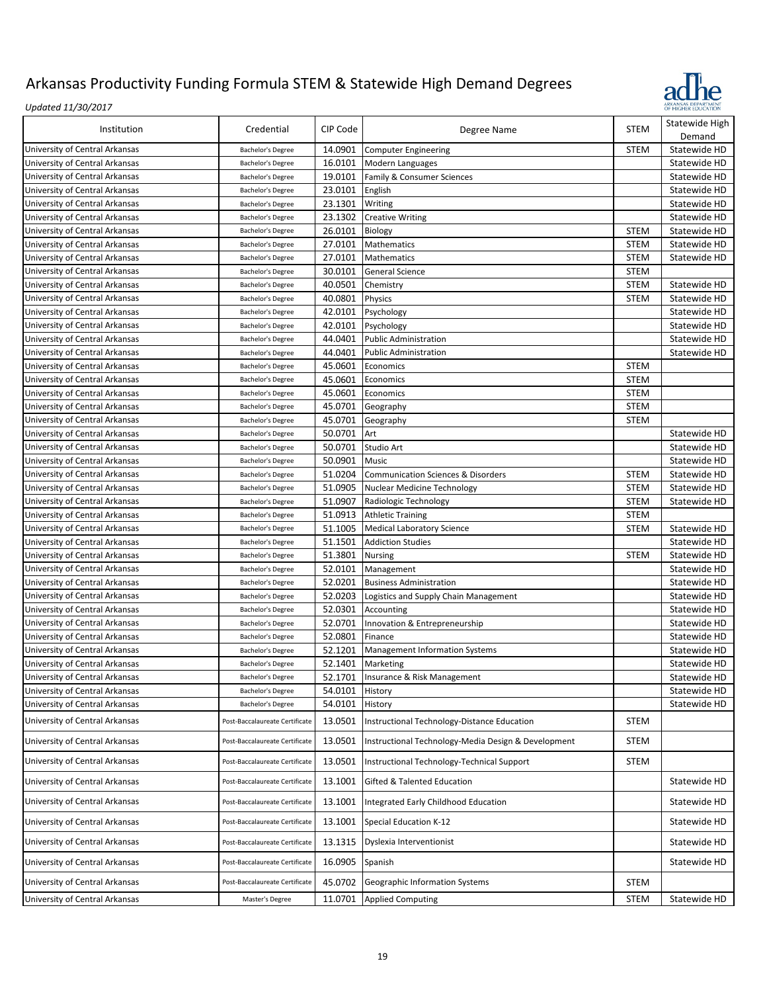

| Institution                    | Credential                     | CIP Code | Degree Name                                         | <b>STEM</b> | Statewide High<br>Demand |
|--------------------------------|--------------------------------|----------|-----------------------------------------------------|-------------|--------------------------|
| University of Central Arkansas | Bachelor's Degree              | 14.0901  | <b>Computer Engineering</b>                         | <b>STEM</b> | Statewide HD             |
| University of Central Arkansas | Bachelor's Degree              | 16.0101  | Modern Languages                                    |             | Statewide HD             |
| University of Central Arkansas | Bachelor's Degree              | 19.0101  | Family & Consumer Sciences                          |             | Statewide HD             |
| University of Central Arkansas | Bachelor's Degree              | 23.0101  | English                                             |             | Statewide HD             |
| University of Central Arkansas | Bachelor's Degree              | 23.1301  | Writing                                             |             | Statewide HD             |
| University of Central Arkansas | Bachelor's Degree              | 23.1302  | <b>Creative Writing</b>                             |             | Statewide HD             |
| University of Central Arkansas | Bachelor's Degree              | 26.0101  | Biology                                             | <b>STEM</b> | Statewide HD             |
| University of Central Arkansas | Bachelor's Degree              | 27.0101  | Mathematics                                         | <b>STEM</b> | Statewide HD             |
| University of Central Arkansas | Bachelor's Degree              | 27.0101  | Mathematics                                         | <b>STEM</b> | Statewide HD             |
| University of Central Arkansas | Bachelor's Degree              | 30.0101  | General Science                                     | <b>STEM</b> |                          |
| University of Central Arkansas | Bachelor's Degree              | 40.0501  | Chemistry                                           | <b>STEM</b> | Statewide HD             |
| University of Central Arkansas | Bachelor's Degree              | 40.0801  | Physics                                             | <b>STEM</b> | Statewide HD             |
| University of Central Arkansas | Bachelor's Degree              | 42.0101  | Psychology                                          |             | Statewide HD             |
| University of Central Arkansas | Bachelor's Degree              | 42.0101  | Psychology                                          |             | Statewide HD             |
| University of Central Arkansas | Bachelor's Degree              | 44.0401  | <b>Public Administration</b>                        |             | Statewide HD             |
| University of Central Arkansas | Bachelor's Degree              | 44.0401  | <b>Public Administration</b>                        |             | Statewide HD             |
| University of Central Arkansas | Bachelor's Degree              | 45.0601  | Economics                                           | <b>STEM</b> |                          |
| University of Central Arkansas | Bachelor's Degree              | 45.0601  | Economics                                           | <b>STEM</b> |                          |
| University of Central Arkansas | Bachelor's Degree              | 45.0601  | Economics                                           | <b>STEM</b> |                          |
| University of Central Arkansas | Bachelor's Degree              | 45.0701  | Geography                                           | <b>STEM</b> |                          |
| University of Central Arkansas | Bachelor's Degree              | 45.0701  | Geography                                           | <b>STEM</b> |                          |
| University of Central Arkansas | Bachelor's Degree              | 50.0701  | Art                                                 |             | Statewide HD             |
| University of Central Arkansas | Bachelor's Degree              | 50.0701  | Studio Art                                          |             | Statewide HD             |
| University of Central Arkansas | Bachelor's Degree              | 50.0901  | Music                                               |             | Statewide HD             |
| University of Central Arkansas | Bachelor's Degree              | 51.0204  | <b>Communication Sciences &amp; Disorders</b>       | <b>STEM</b> | Statewide HD             |
| University of Central Arkansas | Bachelor's Degree              | 51.0905  | Nuclear Medicine Technology                         | <b>STEM</b> | Statewide HD             |
| University of Central Arkansas | Bachelor's Degree              | 51.0907  | Radiologic Technology                               | <b>STEM</b> | Statewide HD             |
| University of Central Arkansas | Bachelor's Degree              | 51.0913  | Athletic Training                                   | <b>STEM</b> |                          |
| University of Central Arkansas | Bachelor's Degree              | 51.1005  | <b>Medical Laboratory Science</b>                   | <b>STEM</b> | Statewide HD             |
| University of Central Arkansas | Bachelor's Degree              | 51.1501  | <b>Addiction Studies</b>                            |             | Statewide HD             |
| University of Central Arkansas | Bachelor's Degree              | 51.3801  | Nursing                                             | <b>STEM</b> | Statewide HD             |
| University of Central Arkansas | Bachelor's Degree              | 52.0101  | Management                                          |             | Statewide HD             |
| University of Central Arkansas | Bachelor's Degree              | 52.0201  | <b>Business Administration</b>                      |             | Statewide HD             |
| University of Central Arkansas | Bachelor's Degree              | 52.0203  | Logistics and Supply Chain Management               |             | Statewide HD             |
| University of Central Arkansas | Bachelor's Degree              | 52.0301  | Accounting                                          |             | Statewide HD             |
| University of Central Arkansas | Bachelor's Degree              | 52.0701  | Innovation & Entrepreneurship                       |             | Statewide HD             |
| University of Central Arkansas | Bachelor's Degree              | 52.0801  | Finance                                             |             | Statewide HD             |
| University of Central Arkansas | Bachelor's Degree              | 52.1201  | <b>Management Information Systems</b>               |             | Statewide HD             |
| University of Central Arkansas | Bachelor's Degree              |          | 52.1401 Marketing                                   |             | Statewide HD             |
| University of Central Arkansas | Bachelor's Degree              |          | 52.1701 Insurance & Risk Management                 |             | Statewide HD             |
| University of Central Arkansas | Bachelor's Degree              | 54.0101  | History                                             |             | Statewide HD             |
| University of Central Arkansas | Bachelor's Degree              | 54.0101  | History                                             |             | Statewide HD             |
| University of Central Arkansas | Post-Baccalaureate Certificate | 13.0501  | Instructional Technology-Distance Education         | <b>STEM</b> |                          |
| University of Central Arkansas | Post-Baccalaureate Certificate | 13.0501  | Instructional Technology-Media Design & Development | STEM        |                          |
| University of Central Arkansas | Post-Baccalaureate Certificate | 13.0501  | Instructional Technology-Technical Support          | <b>STEM</b> |                          |
| University of Central Arkansas | Post-Baccalaureate Certificate | 13.1001  | Gifted & Talented Education                         |             | Statewide HD             |
| University of Central Arkansas | Post-Baccalaureate Certificate | 13.1001  | Integrated Early Childhood Education                |             | Statewide HD             |
| University of Central Arkansas | Post-Baccalaureate Certificate | 13.1001  | Special Education K-12                              |             | Statewide HD             |
| University of Central Arkansas | Post-Baccalaureate Certificate | 13.1315  | Dyslexia Interventionist                            |             | Statewide HD             |
| University of Central Arkansas | Post-Baccalaureate Certificate | 16.0905  | Spanish                                             |             | Statewide HD             |
| University of Central Arkansas | Post-Baccalaureate Certificate | 45.0702  | Geographic Information Systems                      | STEM        |                          |
| University of Central Arkansas | Master's Degree                | 11.0701  | <b>Applied Computing</b>                            | <b>STEM</b> | Statewide HD             |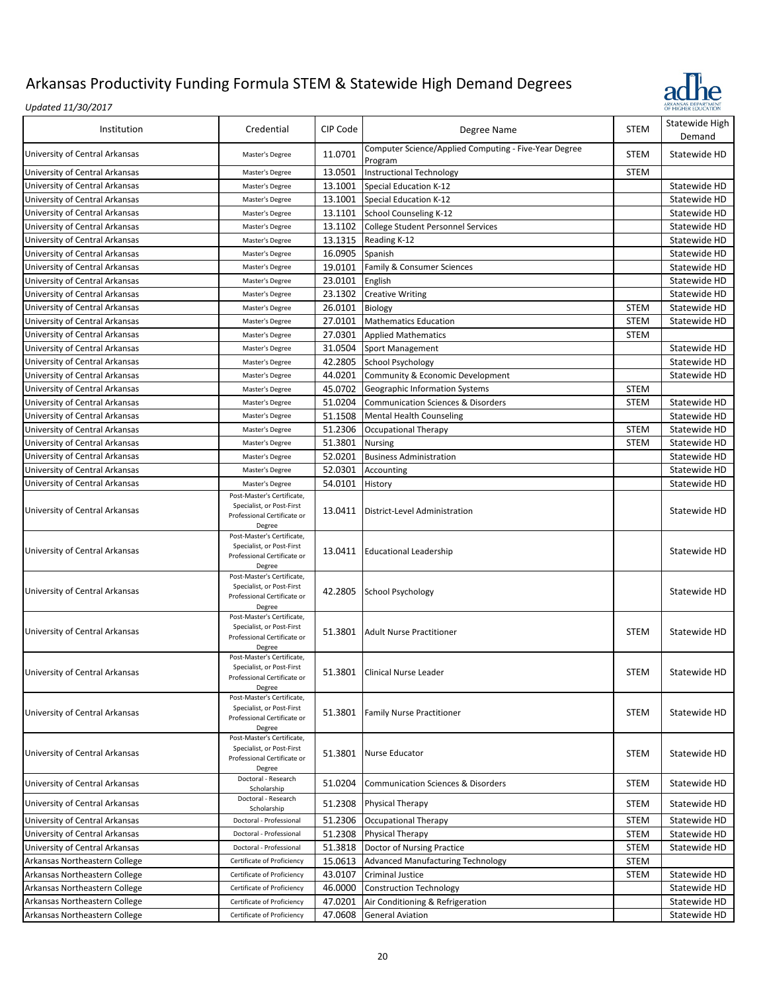

| Institution                    | Credential                                                                                       | CIP Code | Degree Name                                                      | <b>STEM</b> | Statewide High<br>Demand |
|--------------------------------|--------------------------------------------------------------------------------------------------|----------|------------------------------------------------------------------|-------------|--------------------------|
| University of Central Arkansas | Master's Degree                                                                                  | 11.0701  | Computer Science/Applied Computing - Five-Year Degree<br>Program | <b>STEM</b> | Statewide HD             |
| University of Central Arkansas | Master's Degree                                                                                  | 13.0501  | <b>Instructional Technology</b>                                  | <b>STEM</b> |                          |
| University of Central Arkansas | Master's Degree                                                                                  | 13.1001  | Special Education K-12                                           |             | Statewide HD             |
| University of Central Arkansas | Master's Degree                                                                                  | 13.1001  | Special Education K-12                                           |             | Statewide HD             |
| University of Central Arkansas | Master's Degree                                                                                  | 13.1101  | School Counseling K-12                                           |             | Statewide HD             |
| University of Central Arkansas | Master's Degree                                                                                  | 13.1102  | College Student Personnel Services                               |             | Statewide HD             |
| University of Central Arkansas | Master's Degree                                                                                  | 13.1315  | Reading K-12                                                     |             | Statewide HD             |
| University of Central Arkansas | Master's Degree                                                                                  | 16.0905  | Spanish                                                          |             | Statewide HD             |
| University of Central Arkansas | Master's Degree                                                                                  | 19.0101  | Family & Consumer Sciences                                       |             | Statewide HD             |
| University of Central Arkansas | Master's Degree                                                                                  | 23.0101  | English                                                          |             | Statewide HD             |
| University of Central Arkansas | Master's Degree                                                                                  | 23.1302  | <b>Creative Writing</b>                                          |             | Statewide HD             |
| University of Central Arkansas | Master's Degree                                                                                  | 26.0101  | Biology                                                          | <b>STEM</b> | Statewide HD             |
| University of Central Arkansas |                                                                                                  | 27.0101  | <b>Mathematics Education</b>                                     | <b>STEM</b> |                          |
| University of Central Arkansas | Master's Degree                                                                                  | 27.0301  |                                                                  | <b>STEM</b> | Statewide HD             |
|                                | Master's Degree                                                                                  |          | <b>Applied Mathematics</b>                                       |             |                          |
| University of Central Arkansas | Master's Degree                                                                                  | 31.0504  | Sport Management                                                 |             | Statewide HD             |
| University of Central Arkansas | Master's Degree                                                                                  | 42.2805  | School Psychology                                                |             | Statewide HD             |
| University of Central Arkansas | Master's Degree                                                                                  | 44.0201  | Community & Economic Development                                 |             | Statewide HD             |
| University of Central Arkansas | Master's Degree                                                                                  | 45.0702  | <b>Geographic Information Systems</b>                            | <b>STEM</b> |                          |
| University of Central Arkansas | Master's Degree                                                                                  | 51.0204  | <b>Communication Sciences &amp; Disorders</b>                    | <b>STEM</b> | Statewide HD             |
| University of Central Arkansas | Master's Degree                                                                                  | 51.1508  | <b>Mental Health Counseling</b>                                  |             | Statewide HD             |
| University of Central Arkansas | Master's Degree                                                                                  | 51.2306  | Occupational Therapy                                             | <b>STEM</b> | Statewide HD             |
| University of Central Arkansas | Master's Degree                                                                                  | 51.3801  | Nursing                                                          | <b>STEM</b> | Statewide HD             |
| University of Central Arkansas | Master's Degree                                                                                  | 52.0201  | <b>Business Administration</b>                                   |             | Statewide HD             |
| University of Central Arkansas | Master's Degree                                                                                  | 52.0301  | Accounting                                                       |             | Statewide HD             |
| University of Central Arkansas | Master's Degree                                                                                  | 54.0101  | History                                                          |             | Statewide HD             |
| University of Central Arkansas | Post-Master's Certificate,<br>Specialist, or Post-First<br>Professional Certificate or<br>Degree | 13.0411  | District-Level Administration                                    |             | Statewide HD             |
| University of Central Arkansas | Post-Master's Certificate,<br>Specialist, or Post-First<br>Professional Certificate or<br>Degree | 13.0411  | <b>Educational Leadership</b>                                    |             | Statewide HD             |
| University of Central Arkansas | Post-Master's Certificate,<br>Specialist, or Post-First<br>Professional Certificate or<br>Degree | 42.2805  | School Psychology                                                |             | Statewide HD             |
| University of Central Arkansas | Post-Master's Certificate,<br>Specialist, or Post-First<br>Professional Certificate or<br>Degree | 51.3801  | <b>Adult Nurse Practitioner</b>                                  | <b>STEM</b> | Statewide HD             |
| University of Central Arkansas | Post-Master's Certificate,<br>Specialist, or Post-First<br>Professional Certificate or<br>Degree |          | 51.3801 Clinical Nurse Leader                                    | STEM        | Statewide HD             |
| University of Central Arkansas | Post-Master's Certificate,<br>Specialist, or Post-First<br>Professional Certificate or<br>Degree | 51.3801  | <b>Family Nurse Practitioner</b>                                 | <b>STEM</b> | Statewide HD             |
| University of Central Arkansas | Post-Master's Certificate,<br>Specialist, or Post-First<br>Professional Certificate or<br>Degree | 51.3801  | Nurse Educator                                                   | <b>STEM</b> | Statewide HD             |
| University of Central Arkansas | Doctoral - Research<br>Scholarship                                                               | 51.0204  | <b>Communication Sciences &amp; Disorders</b>                    | <b>STEM</b> | Statewide HD             |
| University of Central Arkansas | Doctoral - Research<br>Scholarship                                                               | 51.2308  | <b>Physical Therapy</b>                                          | <b>STEM</b> | Statewide HD             |
| University of Central Arkansas | Doctoral - Professional                                                                          | 51.2306  | Occupational Therapy                                             | <b>STEM</b> | Statewide HD             |
| University of Central Arkansas | Doctoral - Professional                                                                          | 51.2308  | <b>Physical Therapy</b>                                          | <b>STEM</b> | Statewide HD             |
| University of Central Arkansas | Doctoral - Professional                                                                          | 51.3818  | Doctor of Nursing Practice                                       | <b>STEM</b> | Statewide HD             |
| Arkansas Northeastern College  | Certificate of Proficiency                                                                       | 15.0613  | <b>Advanced Manufacturing Technology</b>                         | <b>STEM</b> |                          |
| Arkansas Northeastern College  | Certificate of Proficiency                                                                       | 43.0107  | Criminal Justice                                                 | <b>STEM</b> | Statewide HD             |
| Arkansas Northeastern College  | Certificate of Proficiency                                                                       | 46.0000  | <b>Construction Technology</b>                                   |             | Statewide HD             |
| Arkansas Northeastern College  | Certificate of Proficiency                                                                       | 47.0201  | Air Conditioning & Refrigeration                                 |             | Statewide HD             |
| Arkansas Northeastern College  | Certificate of Proficiency                                                                       | 47.0608  | <b>General Aviation</b>                                          |             | Statewide HD             |
|                                |                                                                                                  |          |                                                                  |             |                          |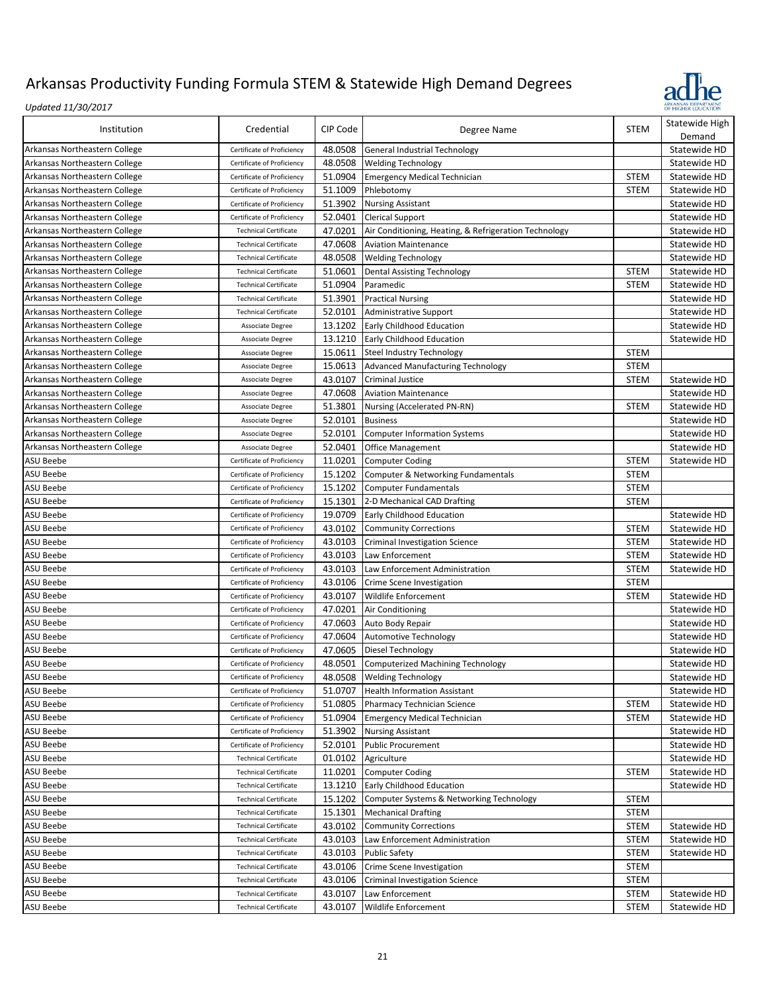

| Institution                   | Credential                   | CIP Code | Degree Name                                                               | <b>STEM</b>                | Statewide High<br>Demand     |
|-------------------------------|------------------------------|----------|---------------------------------------------------------------------------|----------------------------|------------------------------|
| Arkansas Northeastern College | Certificate of Proficiency   | 48.0508  | General Industrial Technology                                             |                            | Statewide HD                 |
| Arkansas Northeastern College | Certificate of Proficiency   | 48.0508  | <b>Welding Technology</b>                                                 |                            | Statewide HD                 |
| Arkansas Northeastern College | Certificate of Proficiency   | 51.0904  | <b>Emergency Medical Technician</b>                                       | <b>STEM</b>                | Statewide HD                 |
| Arkansas Northeastern College | Certificate of Proficiency   | 51.1009  | Phlebotomy                                                                | <b>STEM</b>                | Statewide HD                 |
| Arkansas Northeastern College | Certificate of Proficiency   | 51.3902  | <b>Nursing Assistant</b>                                                  |                            | Statewide HD                 |
| Arkansas Northeastern College | Certificate of Proficiency   | 52.0401  | <b>Clerical Support</b>                                                   |                            | Statewide HD                 |
| Arkansas Northeastern College | <b>Technical Certificate</b> | 47.0201  | Air Conditioning, Heating, & Refrigeration Technology                     |                            | Statewide HD                 |
| Arkansas Northeastern College | <b>Technical Certificate</b> | 47.0608  | <b>Aviation Maintenance</b>                                               |                            | Statewide HD                 |
| Arkansas Northeastern College | <b>Technical Certificate</b> | 48.0508  | <b>Welding Technology</b>                                                 |                            | Statewide HD                 |
| Arkansas Northeastern College | <b>Technical Certificate</b> | 51.0601  | <b>Dental Assisting Technology</b>                                        | <b>STEM</b>                | Statewide HD                 |
| Arkansas Northeastern College | <b>Technical Certificate</b> | 51.0904  | Paramedic                                                                 | <b>STEM</b>                | Statewide HD                 |
| Arkansas Northeastern College | <b>Technical Certificate</b> | 51.3901  | <b>Practical Nursing</b>                                                  |                            | Statewide HD                 |
| Arkansas Northeastern College | <b>Technical Certificate</b> | 52.0101  | Administrative Support                                                    |                            | Statewide HD                 |
| Arkansas Northeastern College | Associate Degree             | 13.1202  | Early Childhood Education                                                 |                            | Statewide HD                 |
| Arkansas Northeastern College |                              | 13.1210  | Early Childhood Education                                                 |                            | Statewide HD                 |
|                               | Associate Degree             |          |                                                                           | <b>STEM</b>                |                              |
| Arkansas Northeastern College | Associate Degree             | 15.0611  | Steel Industry Technology                                                 |                            |                              |
| Arkansas Northeastern College | Associate Degree             | 15.0613  | <b>Advanced Manufacturing Technology</b>                                  | <b>STEM</b>                |                              |
| Arkansas Northeastern College | Associate Degree             | 43.0107  | <b>Criminal Justice</b>                                                   | <b>STEM</b>                | Statewide HD                 |
| Arkansas Northeastern College | Associate Degree             | 47.0608  | <b>Aviation Maintenance</b>                                               |                            | Statewide HD                 |
| Arkansas Northeastern College | Associate Degree             | 51.3801  | Nursing (Accelerated PN-RN)                                               | <b>STEM</b>                | Statewide HD                 |
| Arkansas Northeastern College | Associate Degree             | 52.0101  | <b>Business</b>                                                           |                            | Statewide HD                 |
| Arkansas Northeastern College | Associate Degree             | 52.0101  | <b>Computer Information Systems</b>                                       |                            | Statewide HD                 |
| Arkansas Northeastern College | Associate Degree             | 52.0401  | <b>Office Management</b>                                                  |                            | Statewide HD                 |
| ASU Beebe                     | Certificate of Proficiency   | 11.0201  | <b>Computer Coding</b>                                                    | <b>STEM</b>                | Statewide HD                 |
| ASU Beebe                     | Certificate of Proficiency   | 15.1202  | Computer & Networking Fundamentals                                        | <b>STEM</b>                |                              |
| ASU Beebe                     | Certificate of Proficiency   | 15.1202  | Computer Fundamentals                                                     | <b>STEM</b>                |                              |
| <b>ASU Beebe</b>              | Certificate of Proficiency   | 15.1301  | 2-D Mechanical CAD Drafting                                               | <b>STEM</b>                |                              |
| ASU Beebe                     | Certificate of Proficiency   | 19.0709  | Early Childhood Education                                                 |                            | Statewide HD                 |
| ASU Beebe                     | Certificate of Proficiency   | 43.0102  | <b>Community Corrections</b>                                              | <b>STEM</b>                | Statewide HD                 |
| ASU Beebe                     | Certificate of Proficiency   | 43.0103  | <b>Criminal Investigation Science</b>                                     | <b>STEM</b>                | Statewide HD                 |
| ASU Beebe                     | Certificate of Proficiency   | 43.0103  | Law Enforcement                                                           | <b>STEM</b>                | Statewide HD                 |
| ASU Beebe                     | Certificate of Proficiency   | 43.0103  | Law Enforcement Administration                                            | <b>STEM</b>                | Statewide HD                 |
| ASU Beebe                     | Certificate of Proficiency   | 43.0106  | Crime Scene Investigation                                                 | <b>STEM</b>                |                              |
| ASU Beebe                     | Certificate of Proficiency   | 43.0107  | <b>Wildlife Enforcement</b>                                               | <b>STEM</b>                | Statewide HD                 |
| ASU Beebe                     | Certificate of Proficiency   | 47.0201  | Air Conditioning                                                          |                            | Statewide HD                 |
| <b>ASU Beebe</b>              | Certificate of Proficiency   | 47.0603  | Auto Body Repair                                                          |                            | Statewide HD                 |
| <b>ASU Beebe</b>              | Certificate of Proficiency   | 47.0604  | Automotive Technology                                                     |                            | Statewide HD                 |
| ASU Beebe                     | Certificate of Proficiency   | 47.0605  | Diesel Technology                                                         |                            | Statewide HD                 |
| ASU Beebe                     | Certificate of Proficiency   | 48.0501  | <b>Computerized Machining Technology</b>                                  |                            | Statewide HD                 |
| ASU Beebe                     | Certificate of Proficiency   |          | 48.0508 Welding Technology                                                |                            | Statewide HD                 |
| ASU Beebe                     | Certificate of Proficiency   | 51.0707  | <b>Health Information Assistant</b>                                       |                            | Statewide HD                 |
| ASU Beebe                     | Certificate of Proficiency   | 51.0805  |                                                                           |                            | Statewide HD                 |
| ASU Beebe                     | Certificate of Proficiency   | 51.0904  | <b>Pharmacy Technician Science</b><br><b>Emergency Medical Technician</b> | <b>STEM</b><br><b>STEM</b> |                              |
| ASU Beebe                     | Certificate of Proficiency   | 51.3902  |                                                                           |                            | Statewide HD                 |
| ASU Beebe                     | Certificate of Proficiency   |          | <b>Nursing Assistant</b><br><b>Public Procurement</b>                     |                            | Statewide HD                 |
|                               |                              | 52.0101  |                                                                           |                            | Statewide HD<br>Statewide HD |
| ASU Beebe                     | <b>Technical Certificate</b> | 01.0102  | Agriculture                                                               |                            |                              |
| ASU Beebe                     | <b>Technical Certificate</b> | 11.0201  | <b>Computer Coding</b>                                                    | <b>STEM</b>                | Statewide HD                 |
| ASU Beebe                     | <b>Technical Certificate</b> | 13.1210  | Early Childhood Education                                                 |                            | Statewide HD                 |
| <b>ASU Beebe</b>              | <b>Technical Certificate</b> | 15.1202  | Computer Systems & Networking Technology                                  | <b>STEM</b>                |                              |
| ASU Beebe                     | <b>Technical Certificate</b> | 15.1301  | <b>Mechanical Drafting</b>                                                | <b>STEM</b>                |                              |
| <b>ASU Beebe</b>              | <b>Technical Certificate</b> | 43.0102  | <b>Community Corrections</b>                                              | <b>STEM</b>                | Statewide HD                 |
| ASU Beebe                     | <b>Technical Certificate</b> | 43.0103  | Law Enforcement Administration                                            | <b>STEM</b>                | Statewide HD                 |
| ASU Beebe                     | <b>Technical Certificate</b> | 43.0103  | <b>Public Safety</b>                                                      | <b>STEM</b>                | Statewide HD                 |
| ASU Beebe                     | <b>Technical Certificate</b> | 43.0106  | Crime Scene Investigation                                                 | <b>STEM</b>                |                              |
| ASU Beebe                     | <b>Technical Certificate</b> | 43.0106  | <b>Criminal Investigation Science</b>                                     | <b>STEM</b>                |                              |
| ASU Beebe                     | <b>Technical Certificate</b> | 43.0107  | Law Enforcement                                                           | <b>STEM</b>                | Statewide HD                 |
| <b>ASU Beebe</b>              | <b>Technical Certificate</b> | 43.0107  | Wildlife Enforcement                                                      | <b>STEM</b>                | Statewide HD                 |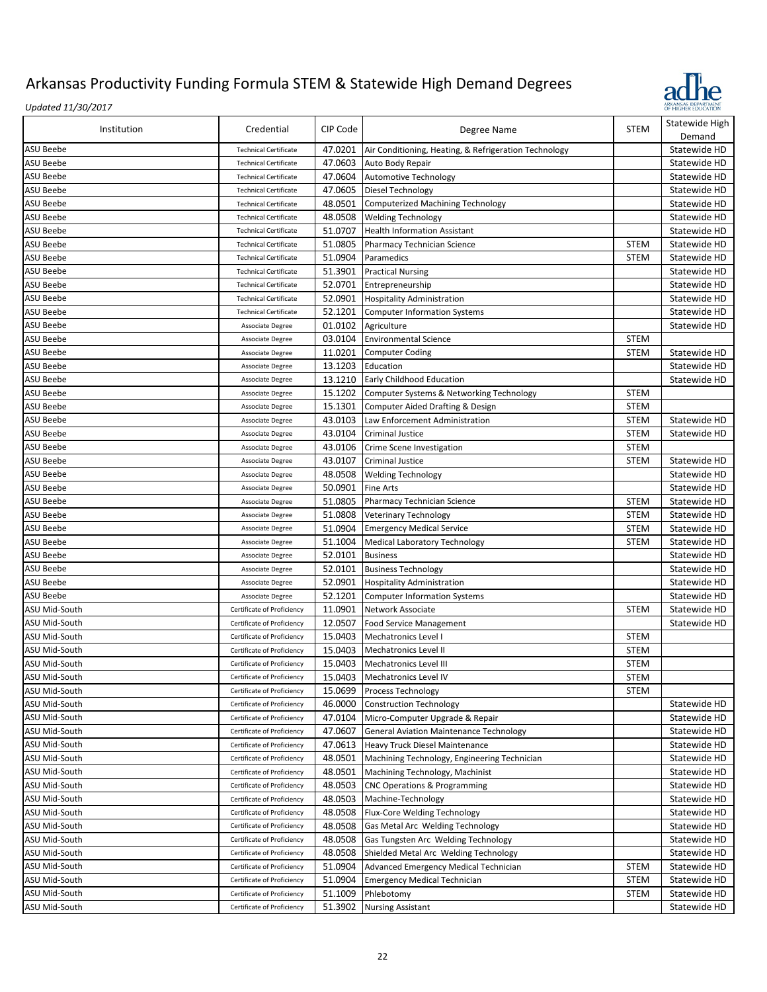

| Institution                   | Credential                   | CIP Code | Degree Name                                           | <b>STEM</b> | Statewide High<br>Demand |
|-------------------------------|------------------------------|----------|-------------------------------------------------------|-------------|--------------------------|
| <b>ASU Beebe</b>              | <b>Technical Certificate</b> | 47.0201  | Air Conditioning, Heating, & Refrigeration Technology |             | Statewide HD             |
| <b>ASU Beebe</b>              | <b>Technical Certificate</b> | 47.0603  | Auto Body Repair                                      |             | Statewide HD             |
| <b>ASU Beebe</b>              | <b>Technical Certificate</b> | 47.0604  | Automotive Technology                                 |             | Statewide HD             |
| ASU Beebe                     | <b>Technical Certificate</b> | 47.0605  | Diesel Technology                                     |             | Statewide HD             |
| ASU Beebe                     | <b>Technical Certificate</b> | 48.0501  | Computerized Machining Technology                     |             | Statewide HD             |
| <b>ASU Beebe</b>              | <b>Technical Certificate</b> | 48.0508  | <b>Welding Technology</b>                             |             | Statewide HD             |
| <b>ASU Beebe</b>              | <b>Technical Certificate</b> | 51.0707  | <b>Health Information Assistant</b>                   |             | Statewide HD             |
| ASU Beebe                     | <b>Technical Certificate</b> | 51.0805  | <b>Pharmacy Technician Science</b>                    | <b>STEM</b> | Statewide HD             |
| ASU Beebe                     | <b>Technical Certificate</b> | 51.0904  | Paramedics                                            | <b>STEM</b> | Statewide HD             |
| ASU Beebe                     | <b>Technical Certificate</b> | 51.3901  | <b>Practical Nursing</b>                              |             | Statewide HD             |
| <b>ASU Beebe</b>              | <b>Technical Certificate</b> | 52.0701  | Entrepreneurship                                      |             | Statewide HD             |
| <b>ASU Beebe</b>              | <b>Technical Certificate</b> | 52.0901  | <b>Hospitality Administration</b>                     |             | Statewide HD             |
| <b>ASU Beebe</b>              | <b>Technical Certificate</b> | 52.1201  | <b>Computer Information Systems</b>                   |             | Statewide HD             |
| ASU Beebe                     |                              | 01.0102  |                                                       |             | Statewide HD             |
|                               | Associate Degree             |          | Agriculture                                           |             |                          |
| ASU Beebe<br><b>ASU Beebe</b> | Associate Degree             | 03.0104  | <b>Environmental Science</b>                          | <b>STEM</b> |                          |
|                               | Associate Degree             | 11.0201  | <b>Computer Coding</b>                                | <b>STEM</b> | Statewide HD             |
| <b>ASU Beebe</b>              | Associate Degree             | 13.1203  | Education                                             |             | Statewide HD             |
| ASU Beebe                     | Associate Degree             | 13.1210  | Early Childhood Education                             |             | Statewide HD             |
| ASU Beebe                     | Associate Degree             | 15.1202  | Computer Systems & Networking Technology              | <b>STEM</b> |                          |
| ASU Beebe                     | Associate Degree             | 15.1301  | Computer Aided Drafting & Design                      | <b>STEM</b> |                          |
| ASU Beebe                     | <b>Associate Degree</b>      | 43.0103  | Law Enforcement Administration                        | <b>STEM</b> | Statewide HD             |
| <b>ASU Beebe</b>              | Associate Degree             | 43.0104  | Criminal Justice                                      | <b>STEM</b> | Statewide HD             |
| <b>ASU Beebe</b>              | Associate Degree             | 43.0106  | Crime Scene Investigation                             | <b>STEM</b> |                          |
| ASU Beebe                     | Associate Degree             | 43.0107  | Criminal Justice                                      | <b>STEM</b> | Statewide HD             |
| ASU Beebe                     | Associate Degree             | 48.0508  | <b>Welding Technology</b>                             |             | Statewide HD             |
| <b>ASU Beebe</b>              | Associate Degree             | 50.0901  | <b>Fine Arts</b>                                      |             | Statewide HD             |
| <b>ASU Beebe</b>              | Associate Degree             | 51.0805  | Pharmacy Technician Science                           | <b>STEM</b> | Statewide HD             |
| <b>ASU Beebe</b>              | Associate Degree             | 51.0808  | <b>Veterinary Technology</b>                          | <b>STEM</b> | Statewide HD             |
| ASU Beebe                     | Associate Degree             | 51.0904  | <b>Emergency Medical Service</b>                      | <b>STEM</b> | Statewide HD             |
| ASU Beebe                     | Associate Degree             | 51.1004  | <b>Medical Laboratory Technology</b>                  | <b>STEM</b> | Statewide HD             |
| ASU Beebe                     | Associate Degree             | 52.0101  | <b>Business</b>                                       |             | Statewide HD             |
| <b>ASU Beebe</b>              | Associate Degree             | 52.0101  | <b>Business Technology</b>                            |             | Statewide HD             |
| <b>ASU Beebe</b>              | Associate Degree             | 52.0901  | <b>Hospitality Administration</b>                     |             | Statewide HD             |
| <b>ASU Beebe</b>              | Associate Degree             | 52.1201  | <b>Computer Information Systems</b>                   |             | Statewide HD             |
| ASU Mid-South                 | Certificate of Proficiency   | 11.0901  | Network Associate                                     | <b>STEM</b> | Statewide HD             |
| ASU Mid-South                 | Certificate of Proficiency   | 12.0507  | <b>Food Service Management</b>                        |             | Statewide HD             |
| ASU Mid-South                 | Certificate of Proficiency   | 15.0403  | Mechatronics Level I                                  | <b>STEM</b> |                          |
| ASU Mid-South                 | Certificate of Proficiency   | 15.0403  | <b>Mechatronics Level II</b>                          | <b>STEM</b> |                          |
| ASU Mid-South                 | Certificate of Proficiency   | 15.0403  | <b>Mechatronics Level III</b>                         | <b>STEM</b> |                          |
| ASU Mid-South                 | Certificate of Proficiency   |          | 15.0403 Mechatronics Level IV                         | STEM        |                          |
| ASU Mid-South                 | Certificate of Proficiency   | 15.0699  | <b>Process Technology</b>                             | <b>STEM</b> |                          |
| ASU Mid-South                 | Certificate of Proficiency   | 46.0000  | <b>Construction Technology</b>                        |             | Statewide HD             |
| ASU Mid-South                 | Certificate of Proficiency   | 47.0104  | Micro-Computer Upgrade & Repair                       |             | Statewide HD             |
| ASU Mid-South                 | Certificate of Proficiency   | 47.0607  | <b>General Aviation Maintenance Technology</b>        |             | Statewide HD             |
| ASU Mid-South                 | Certificate of Proficiency   | 47.0613  | <b>Heavy Truck Diesel Maintenance</b>                 |             | Statewide HD             |
| ASU Mid-South                 | Certificate of Proficiency   | 48.0501  | Machining Technology, Engineering Technician          |             | Statewide HD             |
| ASU Mid-South                 | Certificate of Proficiency   | 48.0501  | Machining Technology, Machinist                       |             | Statewide HD             |
| ASU Mid-South                 | Certificate of Proficiency   | 48.0503  | <b>CNC Operations &amp; Programming</b>               |             | Statewide HD             |
| ASU Mid-South                 | Certificate of Proficiency   | 48.0503  | Machine-Technology                                    |             | Statewide HD             |
| ASU Mid-South                 | Certificate of Proficiency   | 48.0508  | Flux-Core Welding Technology                          |             | Statewide HD             |
| ASU Mid-South                 | Certificate of Proficiency   | 48.0508  | Gas Metal Arc Welding Technology                      |             | Statewide HD             |
| ASU Mid-South                 | Certificate of Proficiency   | 48.0508  | Gas Tungsten Arc Welding Technology                   |             | Statewide HD             |
| ASU Mid-South                 | Certificate of Proficiency   | 48.0508  | Shielded Metal Arc Welding Technology                 |             | Statewide HD             |
| ASU Mid-South                 | Certificate of Proficiency   | 51.0904  | Advanced Emergency Medical Technician                 | <b>STEM</b> | Statewide HD             |
| ASU Mid-South                 | Certificate of Proficiency   | 51.0904  | <b>Emergency Medical Technician</b>                   | STEM        | Statewide HD             |
| ASU Mid-South                 | Certificate of Proficiency   | 51.1009  | Phlebotomy                                            | <b>STEM</b> | Statewide HD             |
| ASU Mid-South                 | Certificate of Proficiency   | 51.3902  | <b>Nursing Assistant</b>                              |             | Statewide HD             |
|                               |                              |          |                                                       |             |                          |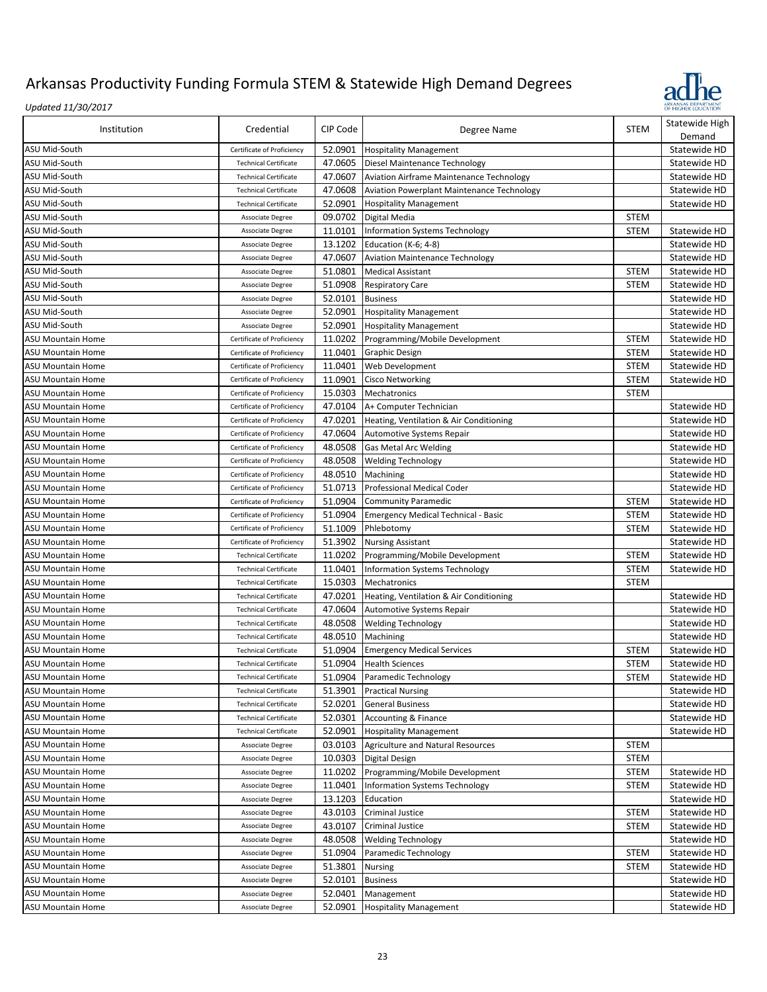

| Institution                                   | Credential                   | CIP Code           | Degree Name                                                 | <b>STEM</b>                | Statewide High<br>Demand     |
|-----------------------------------------------|------------------------------|--------------------|-------------------------------------------------------------|----------------------------|------------------------------|
| ASU Mid-South                                 | Certificate of Proficiency   | 52.0901            | <b>Hospitality Management</b>                               |                            | Statewide HD                 |
| ASU Mid-South                                 | <b>Technical Certificate</b> | 47.0605            | Diesel Maintenance Technology                               |                            | Statewide HD                 |
| ASU Mid-South                                 | <b>Technical Certificate</b> | 47.0607            | <b>Aviation Airframe Maintenance Technology</b>             |                            | Statewide HD                 |
| ASU Mid-South                                 | <b>Technical Certificate</b> | 47.0608            | Aviation Powerplant Maintenance Technology                  |                            | Statewide HD                 |
| ASU Mid-South                                 | <b>Technical Certificate</b> | 52.0901            | <b>Hospitality Management</b>                               |                            | Statewide HD                 |
| ASU Mid-South                                 | Associate Degree             | 09.0702            | Digital Media                                               | <b>STEM</b>                |                              |
| ASU Mid-South                                 | Associate Degree             | 11.0101            | Information Systems Technology                              | <b>STEM</b>                | Statewide HD                 |
| ASU Mid-South                                 | <b>Associate Degree</b>      | 13.1202            | Education (K-6; 4-8)                                        |                            | Statewide HD                 |
| ASU Mid-South                                 | Associate Degree             | 47.0607            | <b>Aviation Maintenance Technology</b>                      |                            | Statewide HD                 |
| ASU Mid-South                                 | Associate Degree             | 51.0801            | <b>Medical Assistant</b>                                    | <b>STEM</b>                | Statewide HD                 |
| ASU Mid-South                                 | <b>Associate Degree</b>      | 51.0908            | <b>Respiratory Care</b>                                     | <b>STEM</b>                | Statewide HD                 |
| ASU Mid-South                                 | Associate Degree             | 52.0101            | <b>Business</b>                                             |                            | Statewide HD                 |
| ASU Mid-South                                 | Associate Degree             | 52.0901            | <b>Hospitality Management</b>                               |                            | Statewide HD                 |
| ASU Mid-South                                 | Associate Degree             | 52.0901            | <b>Hospitality Management</b>                               |                            | Statewide HD                 |
| <b>ASU Mountain Home</b>                      | Certificate of Proficiency   | 11.0202            | Programming/Mobile Development                              | <b>STEM</b>                | Statewide HD                 |
| ASU Mountain Home                             | Certificate of Proficiency   | 11.0401            | <b>Graphic Design</b>                                       | <b>STEM</b>                | Statewide HD                 |
| ASU Mountain Home                             | Certificate of Proficiency   | 11.0401            | Web Development                                             | <b>STEM</b>                | Statewide HD                 |
| <b>ASU Mountain Home</b>                      | Certificate of Proficiency   | 11.0901            | <b>Cisco Networking</b>                                     | <b>STEM</b>                | Statewide HD                 |
| <b>ASU Mountain Home</b>                      | Certificate of Proficiency   | 15.0303            | Mechatronics                                                | <b>STEM</b>                |                              |
| <b>ASU Mountain Home</b>                      | Certificate of Proficiency   | 47.0104            | A+ Computer Technician                                      |                            | Statewide HD                 |
| <b>ASU Mountain Home</b>                      | Certificate of Proficiency   | 47.0201            | Heating, Ventilation & Air Conditioning                     |                            | Statewide HD                 |
| <b>ASU Mountain Home</b>                      | Certificate of Proficiency   | 47.0604            | Automotive Systems Repair                                   |                            | Statewide HD                 |
| <b>ASU Mountain Home</b>                      | Certificate of Proficiency   | 48.0508            | <b>Gas Metal Arc Welding</b>                                |                            | Statewide HD                 |
| ASU Mountain Home                             | Certificate of Proficiency   | 48.0508            | <b>Welding Technology</b>                                   |                            | Statewide HD                 |
| <b>ASU Mountain Home</b>                      | Certificate of Proficiency   | 48.0510            | Machining                                                   |                            | Statewide HD                 |
| <b>ASU Mountain Home</b>                      | Certificate of Proficiency   | 51.0713            | Professional Medical Coder                                  |                            | Statewide HD                 |
| <b>ASU Mountain Home</b>                      | Certificate of Proficiency   | 51.0904            | <b>Community Paramedic</b>                                  | <b>STEM</b>                | Statewide HD                 |
| <b>ASU Mountain Home</b>                      | Certificate of Proficiency   | 51.0904            |                                                             |                            | Statewide HD                 |
| <b>ASU Mountain Home</b>                      | Certificate of Proficiency   | 51.1009            | <b>Emergency Medical Technical - Basic</b><br>Phlebotomy    | <b>STEM</b><br><b>STEM</b> | Statewide HD                 |
| <b>ASU Mountain Home</b>                      | Certificate of Proficiency   | 51.3902            | <b>Nursing Assistant</b>                                    |                            | Statewide HD                 |
| <b>ASU Mountain Home</b>                      | <b>Technical Certificate</b> | 11.0202            | Programming/Mobile Development                              | <b>STEM</b>                | Statewide HD                 |
| <b>ASU Mountain Home</b>                      | <b>Technical Certificate</b> | 11.0401            | Information Systems Technology                              | <b>STEM</b>                | Statewide HD                 |
| <b>ASU Mountain Home</b>                      | <b>Technical Certificate</b> | 15.0303            | Mechatronics                                                | <b>STEM</b>                |                              |
| <b>ASU Mountain Home</b>                      | <b>Technical Certificate</b> | 47.0201            | Heating, Ventilation & Air Conditioning                     |                            | Statewide HD                 |
| ASU Mountain Home                             | <b>Technical Certificate</b> |                    | <b>Automotive Systems Repair</b>                            |                            | Statewide HD                 |
|                                               | <b>Technical Certificate</b> | 47.0604<br>48.0508 |                                                             |                            | Statewide HD                 |
| <b>ASU Mountain Home</b>                      | <b>Technical Certificate</b> | 48.0510            | <b>Welding Technology</b>                                   |                            | Statewide HD                 |
| ASU Mountain Home<br><b>ASU Mountain Home</b> | <b>Technical Certificate</b> | 51.0904            | Machining                                                   |                            | Statewide HD                 |
|                                               | <b>Technical Certificate</b> |                    | <b>Emergency Medical Services</b><br><b>Health Sciences</b> | <b>STEM</b>                |                              |
| ASU Mountain Home<br>ASU Mountain Home        |                              | 51.0904            | 51.0904 Paramedic Technology                                | <b>STEM</b><br>STEM        | Statewide HD<br>Statewide HD |
|                                               | <b>Technical Certificate</b> | 51.3901            |                                                             |                            | Statewide HD                 |
| <b>ASU Mountain Home</b>                      | <b>Technical Certificate</b> |                    | <b>Practical Nursing</b>                                    |                            |                              |
| <b>ASU Mountain Home</b>                      | <b>Technical Certificate</b> | 52.0201            | <b>General Business</b>                                     |                            | Statewide HD                 |
| <b>ASU Mountain Home</b>                      | <b>Technical Certificate</b> | 52.0301            | Accounting & Finance                                        |                            | Statewide HD                 |
| ASU Mountain Home                             | <b>Technical Certificate</b> | 52.0901            | <b>Hospitality Management</b>                               |                            | Statewide HD                 |
| <b>ASU Mountain Home</b>                      | Associate Degree             | 03.0103            | Agriculture and Natural Resources                           | <b>STEM</b>                |                              |
| <b>ASU Mountain Home</b>                      | Associate Degree             | 10.0303            | Digital Design                                              | <b>STEM</b>                |                              |
| ASU Mountain Home                             | Associate Degree             | 11.0202            | Programming/Mobile Development                              | STEM                       | Statewide HD                 |
| ASU Mountain Home                             | Associate Degree             | 11.0401            | Information Systems Technology                              | <b>STEM</b>                | Statewide HD                 |
| <b>ASU Mountain Home</b>                      | Associate Degree             | 13.1203            | Education                                                   |                            | Statewide HD                 |
| <b>ASU Mountain Home</b>                      | Associate Degree             | 43.0103            | Criminal Justice                                            | <b>STEM</b>                | Statewide HD                 |
| <b>ASU Mountain Home</b>                      | Associate Degree             | 43.0107            | <b>Criminal Justice</b>                                     | <b>STEM</b>                | Statewide HD                 |
| <b>ASU Mountain Home</b>                      | Associate Degree             | 48.0508            | <b>Welding Technology</b>                                   |                            | Statewide HD                 |
| <b>ASU Mountain Home</b>                      | Associate Degree             | 51.0904            | Paramedic Technology                                        | <b>STEM</b>                | Statewide HD                 |
| ASU Mountain Home                             | Associate Degree             | 51.3801            | Nursing                                                     | STEM                       | Statewide HD                 |
| <b>ASU Mountain Home</b>                      | Associate Degree             | 52.0101            | <b>Business</b>                                             |                            | Statewide HD                 |
| ASU Mountain Home                             | Associate Degree             | 52.0401            | Management                                                  |                            | Statewide HD                 |
| <b>ASU Mountain Home</b>                      | Associate Degree             | 52.0901            | <b>Hospitality Management</b>                               |                            | Statewide HD                 |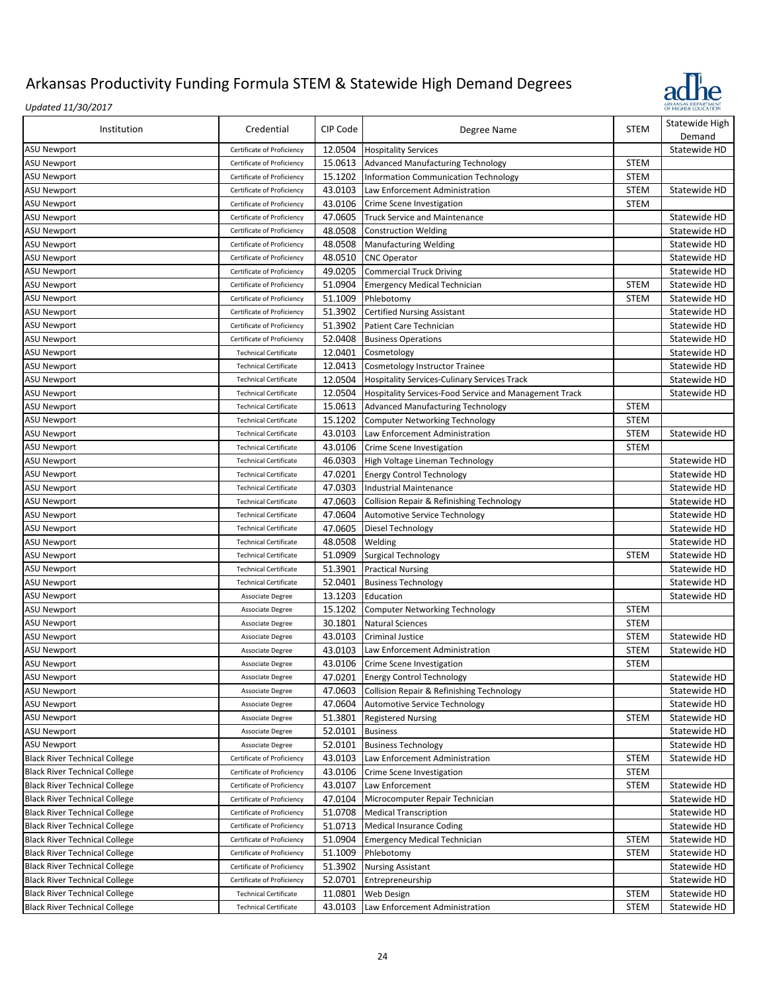

| Institution                              | Credential                                               | CIP Code           | Degree Name                                            | <b>STEM</b> | Statewide High<br>Demand     |
|------------------------------------------|----------------------------------------------------------|--------------------|--------------------------------------------------------|-------------|------------------------------|
| <b>ASU Newport</b>                       | Certificate of Proficiency                               | 12.0504            | <b>Hospitality Services</b>                            |             | Statewide HD                 |
| <b>ASU Newport</b>                       | Certificate of Proficiency                               | 15.0613            | <b>Advanced Manufacturing Technology</b>               | <b>STEM</b> |                              |
| <b>ASU Newport</b>                       | Certificate of Proficiency                               | 15.1202            | <b>Information Communication Technology</b>            | <b>STEM</b> |                              |
| <b>ASU Newport</b>                       | Certificate of Proficiency                               | 43.0103            | Law Enforcement Administration                         | <b>STEM</b> | Statewide HD                 |
| <b>ASU Newport</b>                       | Certificate of Proficiency                               | 43.0106            | Crime Scene Investigation                              | <b>STEM</b> |                              |
| <b>ASU Newport</b>                       | Certificate of Proficiency                               | 47.0605            | <b>Truck Service and Maintenance</b>                   |             | Statewide HD                 |
| <b>ASU Newport</b>                       | Certificate of Proficiency                               | 48.0508            | <b>Construction Welding</b>                            |             | Statewide HD                 |
| <b>ASU Newport</b>                       | Certificate of Proficiency                               | 48.0508            | <b>Manufacturing Welding</b>                           |             | Statewide HD                 |
| <b>ASU Newport</b>                       | Certificate of Proficiency                               | 48.0510            | <b>CNC Operator</b>                                    |             | Statewide HD                 |
| <b>ASU Newport</b>                       | Certificate of Proficiency                               | 49.0205            | <b>Commercial Truck Driving</b>                        |             | Statewide HD                 |
| <b>ASU Newport</b>                       | Certificate of Proficiency                               | 51.0904            | <b>Emergency Medical Technician</b>                    | <b>STEM</b> | Statewide HD                 |
| <b>ASU Newport</b>                       | Certificate of Proficiency                               | 51.1009            | Phlebotomy                                             | <b>STEM</b> | Statewide HD                 |
| <b>ASU Newport</b>                       | Certificate of Proficiency                               | 51.3902            | <b>Certified Nursing Assistant</b>                     |             | Statewide HD                 |
| <b>ASU Newport</b>                       | Certificate of Proficiency                               | 51.3902            | Patient Care Technician                                |             | Statewide HD                 |
| <b>ASU Newport</b>                       | Certificate of Proficiency                               | 52.0408            | <b>Business Operations</b>                             |             | Statewide HD                 |
| <b>ASU Newport</b>                       | <b>Technical Certificate</b>                             | 12.0401            | Cosmetology                                            |             | Statewide HD                 |
| <b>ASU Newport</b>                       | <b>Technical Certificate</b>                             | 12.0413            | Cosmetology Instructor Trainee                         |             | Statewide HD                 |
| <b>ASU Newport</b>                       | <b>Technical Certificate</b>                             | 12.0504            | <b>Hospitality Services-Culinary Services Track</b>    |             | Statewide HD                 |
| <b>ASU Newport</b>                       | <b>Technical Certificate</b>                             | 12.0504            | Hospitality Services-Food Service and Management Track |             | Statewide HD                 |
| <b>ASU Newport</b>                       | <b>Technical Certificate</b>                             | 15.0613            | <b>Advanced Manufacturing Technology</b>               | <b>STEM</b> |                              |
| <b>ASU Newport</b>                       | <b>Technical Certificate</b>                             | 15.1202            | <b>Computer Networking Technology</b>                  | <b>STEM</b> |                              |
| <b>ASU Newport</b>                       | <b>Technical Certificate</b>                             | 43.0103            | Law Enforcement Administration                         | <b>STEM</b> | Statewide HD                 |
| <b>ASU Newport</b>                       | <b>Technical Certificate</b>                             | 43.0106            | Crime Scene Investigation                              | <b>STEM</b> |                              |
| <b>ASU Newport</b>                       | <b>Technical Certificate</b>                             | 46.0303            | High Voltage Lineman Technology                        |             | Statewide HD                 |
| <b>ASU Newport</b>                       | <b>Technical Certificate</b>                             | 47.0201            | <b>Energy Control Technology</b>                       |             | Statewide HD                 |
| <b>ASU Newport</b>                       | <b>Technical Certificate</b>                             | 47.0303            | <b>Industrial Maintenance</b>                          |             | Statewide HD                 |
| <b>ASU Newport</b>                       | <b>Technical Certificate</b>                             | 47.0603            | <b>Collision Repair &amp; Refinishing Technology</b>   |             | Statewide HD                 |
| <b>ASU Newport</b>                       | <b>Technical Certificate</b>                             | 47.0604            | Automotive Service Technology                          |             | Statewide HD                 |
| <b>ASU Newport</b>                       | <b>Technical Certificate</b>                             | 47.0605            | Diesel Technology                                      |             | Statewide HD                 |
| <b>ASU Newport</b>                       | <b>Technical Certificate</b>                             | 48.0508            | Welding                                                |             | Statewide HD                 |
| <b>ASU Newport</b>                       | <b>Technical Certificate</b>                             | 51.0909            | <b>Surgical Technology</b>                             | <b>STEM</b> | Statewide HD                 |
| <b>ASU Newport</b>                       | <b>Technical Certificate</b>                             | 51.3901            | <b>Practical Nursing</b>                               |             | Statewide HD                 |
| <b>ASU Newport</b>                       | <b>Technical Certificate</b>                             | 52.0401            | <b>Business Technology</b>                             |             | Statewide HD                 |
| <b>ASU Newport</b>                       | Associate Degree                                         | 13.1203            | Education                                              |             | Statewide HD                 |
| <b>ASU Newport</b>                       | Associate Degree                                         | 15.1202            | <b>Computer Networking Technology</b>                  | <b>STEM</b> |                              |
| <b>ASU Newport</b>                       | Associate Degree                                         | 30.1801            | <b>Natural Sciences</b>                                | <b>STEM</b> |                              |
| <b>ASU Newport</b>                       | Associate Degree                                         | 43.0103            | <b>Criminal Justice</b>                                | <b>STEM</b> | Statewide HD                 |
| <b>ASU Newport</b>                       | Associate Degree                                         | 43.0103            | Law Enforcement Administration                         | <b>STEM</b> | Statewide HD                 |
| <b>ASU Newport</b>                       | Associate Degree                                         |                    | 43.0106 Crime Scene Investigation                      | <b>STEM</b> |                              |
| ASU Newport                              | Associate Degree                                         |                    | 47.0201 Energy Control Technology                      |             | Statewide HD                 |
|                                          |                                                          |                    | 47.0603 Collision Repair & Refinishing Technology      |             | Statewide HD                 |
| <b>ASU Newport</b><br><b>ASU Newport</b> | Associate Degree<br>Associate Degree                     | 47.0604            | <b>Automotive Service Technology</b>                   |             | Statewide HD                 |
| <b>ASU Newport</b>                       | Associate Degree                                         | 51.3801            |                                                        | <b>STEM</b> | Statewide HD                 |
| <b>ASU Newport</b>                       | Associate Degree                                         | 52.0101            | <b>Registered Nursing</b><br><b>Business</b>           |             | Statewide HD                 |
| <b>ASU Newport</b>                       | Associate Degree                                         | 52.0101            | <b>Business Technology</b>                             |             | Statewide HD                 |
| <b>Black River Technical College</b>     | Certificate of Proficiency                               | 43.0103            | Law Enforcement Administration                         | <b>STEM</b> | Statewide HD                 |
| <b>Black River Technical College</b>     | Certificate of Proficiency                               | 43.0106            | Crime Scene Investigation                              | <b>STEM</b> |                              |
|                                          |                                                          |                    |                                                        |             |                              |
| <b>Black River Technical College</b>     | Certificate of Proficiency<br>Certificate of Proficiency | 43.0107<br>47.0104 | Law Enforcement                                        | <b>STEM</b> | Statewide HD<br>Statewide HD |
| <b>Black River Technical College</b>     |                                                          |                    | Microcomputer Repair Technician                        |             |                              |
| <b>Black River Technical College</b>     | Certificate of Proficiency                               | 51.0708            | <b>Medical Transcription</b>                           |             | Statewide HD                 |
| <b>Black River Technical College</b>     | Certificate of Proficiency                               | 51.0713            | <b>Medical Insurance Coding</b>                        |             | Statewide HD                 |
| <b>Black River Technical College</b>     | Certificate of Proficiency                               | 51.0904            | <b>Emergency Medical Technician</b>                    | <b>STEM</b> | Statewide HD                 |
| <b>Black River Technical College</b>     | Certificate of Proficiency                               | 51.1009            | Phlebotomy                                             | <b>STEM</b> | Statewide HD                 |
| <b>Black River Technical College</b>     | Certificate of Proficiency                               | 51.3902            | <b>Nursing Assistant</b>                               |             | Statewide HD                 |
| <b>Black River Technical College</b>     | Certificate of Proficiency                               | 52.0701            | Entrepreneurship                                       |             | Statewide HD                 |
| <b>Black River Technical College</b>     | <b>Technical Certificate</b>                             | 11.0801            | Web Design                                             | <b>STEM</b> | Statewide HD                 |
| <b>Black River Technical College</b>     | <b>Technical Certificate</b>                             | 43.0103            | Law Enforcement Administration                         | <b>STEM</b> | Statewide HD                 |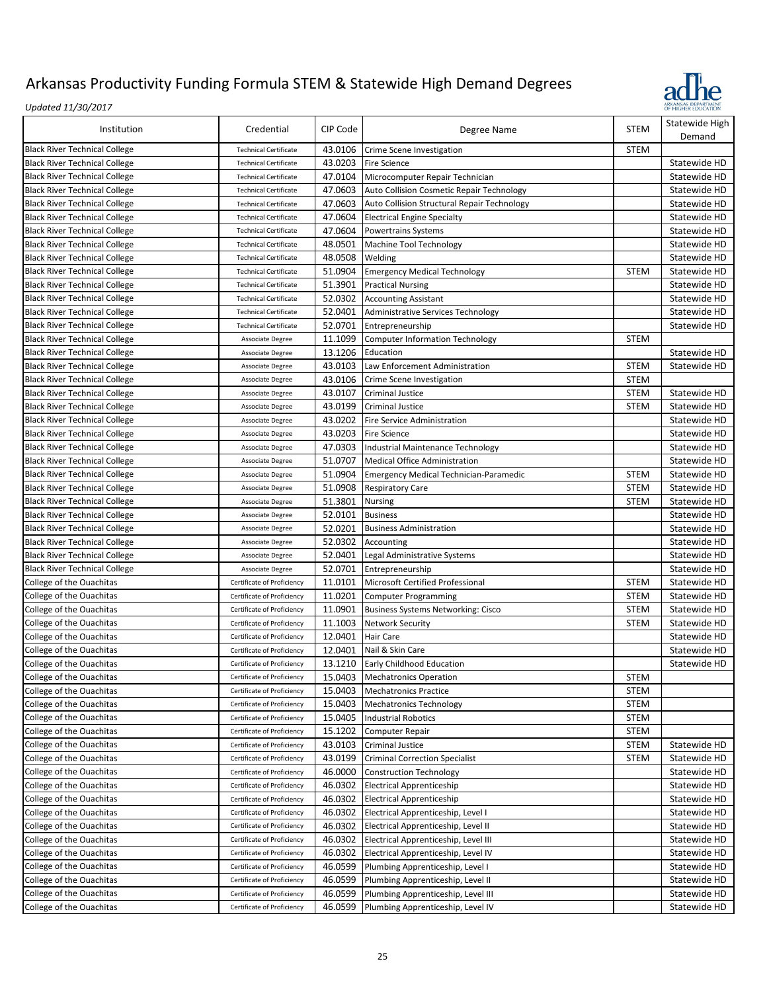

| Institution                          | Credential                   | CIP Code | Degree Name                                   | <b>STEM</b> | Statewide High<br>Demand |
|--------------------------------------|------------------------------|----------|-----------------------------------------------|-------------|--------------------------|
| <b>Black River Technical College</b> | <b>Technical Certificate</b> | 43.0106  | Crime Scene Investigation                     | <b>STEM</b> |                          |
| <b>Black River Technical College</b> | <b>Technical Certificate</b> | 43.0203  | <b>Fire Science</b>                           |             | Statewide HD             |
| <b>Black River Technical College</b> | <b>Technical Certificate</b> | 47.0104  | Microcomputer Repair Technician               |             | Statewide HD             |
| <b>Black River Technical College</b> | <b>Technical Certificate</b> | 47.0603  | Auto Collision Cosmetic Repair Technology     |             | Statewide HD             |
| <b>Black River Technical College</b> | <b>Technical Certificate</b> | 47.0603  | Auto Collision Structural Repair Technology   |             | Statewide HD             |
| <b>Black River Technical College</b> | <b>Technical Certificate</b> | 47.0604  | <b>Electrical Engine Specialty</b>            |             | Statewide HD             |
| <b>Black River Technical College</b> | <b>Technical Certificate</b> | 47.0604  | <b>Powertrains Systems</b>                    |             | Statewide HD             |
| <b>Black River Technical College</b> | <b>Technical Certificate</b> | 48.0501  | Machine Tool Technology                       |             | Statewide HD             |
| <b>Black River Technical College</b> | <b>Technical Certificate</b> | 48.0508  | Welding                                       |             | Statewide HD             |
| <b>Black River Technical College</b> | <b>Technical Certificate</b> | 51.0904  | <b>Emergency Medical Technology</b>           | <b>STEM</b> | Statewide HD             |
| <b>Black River Technical College</b> | <b>Technical Certificate</b> | 51.3901  | <b>Practical Nursing</b>                      |             | Statewide HD             |
| <b>Black River Technical College</b> | <b>Technical Certificate</b> | 52.0302  | <b>Accounting Assistant</b>                   |             | Statewide HD             |
| <b>Black River Technical College</b> | <b>Technical Certificate</b> | 52.0401  | Administrative Services Technology            |             | Statewide HD             |
| <b>Black River Technical College</b> | <b>Technical Certificate</b> | 52.0701  | Entrepreneurship                              |             | Statewide HD             |
|                                      |                              |          |                                               | <b>STEM</b> |                          |
| <b>Black River Technical College</b> | Associate Degree             | 11.1099  | <b>Computer Information Technology</b>        |             |                          |
| <b>Black River Technical College</b> | Associate Degree             | 13.1206  | Education                                     |             | Statewide HD             |
| <b>Black River Technical College</b> | Associate Degree             | 43.0103  | Law Enforcement Administration                | <b>STEM</b> | Statewide HD             |
| <b>Black River Technical College</b> | Associate Degree             | 43.0106  | Crime Scene Investigation                     | <b>STEM</b> |                          |
| <b>Black River Technical College</b> | Associate Degree             | 43.0107  | <b>Criminal Justice</b>                       | <b>STEM</b> | Statewide HD             |
| <b>Black River Technical College</b> | Associate Degree             | 43.0199  | <b>Criminal Justice</b>                       | <b>STEM</b> | Statewide HD             |
| <b>Black River Technical College</b> | Associate Degree             | 43.0202  | Fire Service Administration                   |             | Statewide HD             |
| <b>Black River Technical College</b> | Associate Degree             | 43.0203  | <b>Fire Science</b>                           |             | Statewide HD             |
| <b>Black River Technical College</b> | Associate Degree             | 47.0303  | Industrial Maintenance Technology             |             | Statewide HD             |
| <b>Black River Technical College</b> | Associate Degree             | 51.0707  | <b>Medical Office Administration</b>          |             | Statewide HD             |
| <b>Black River Technical College</b> | Associate Degree             | 51.0904  | <b>Emergency Medical Technician-Paramedic</b> | <b>STEM</b> | Statewide HD             |
| <b>Black River Technical College</b> | Associate Degree             | 51.0908  | <b>Respiratory Care</b>                       | <b>STEM</b> | Statewide HD             |
| <b>Black River Technical College</b> | Associate Degree             | 51.3801  | Nursing                                       | <b>STEM</b> | Statewide HD             |
| <b>Black River Technical College</b> | Associate Degree             | 52.0101  | <b>Business</b>                               |             | Statewide HD             |
| <b>Black River Technical College</b> | Associate Degree             | 52.0201  | <b>Business Administration</b>                |             | Statewide HD             |
| <b>Black River Technical College</b> | Associate Degree             | 52.0302  | Accounting                                    |             | Statewide HD             |
| <b>Black River Technical College</b> | Associate Degree             | 52.0401  | Legal Administrative Systems                  |             | Statewide HD             |
| <b>Black River Technical College</b> | Associate Degree             | 52.0701  | Entrepreneurship                              |             | Statewide HD             |
| College of the Ouachitas             | Certificate of Proficiency   | 11.0101  | Microsoft Certified Professional              | <b>STEM</b> | Statewide HD             |
| College of the Ouachitas             | Certificate of Proficiency   | 11.0201  | <b>Computer Programming</b>                   | <b>STEM</b> | Statewide HD             |
| College of the Ouachitas             | Certificate of Proficiency   | 11.0901  | <b>Business Systems Networking: Cisco</b>     | <b>STEM</b> | Statewide HD             |
| College of the Ouachitas             | Certificate of Proficiency   | 11.1003  | Network Security                              | <b>STEM</b> | Statewide HD             |
| College of the Ouachitas             | Certificate of Proficiency   | 12.0401  | Hair Care                                     |             | Statewide HD             |
| College of the Ouachitas             | Certificate of Proficiency   | 12.0401  | Nail & Skin Care                              |             | Statewide HD             |
| College of the Ouachitas             | Certificate of Proficiency   |          | 13.1210 Early Childhood Education             |             | Statewide HD             |
| College of the Ouachitas             | Certificate of Proficiency   |          | 15.0403 Mechatronics Operation                | STEM        |                          |
| College of the Ouachitas             | Certificate of Proficiency   | 15.0403  | <b>Mechatronics Practice</b>                  | STEM        |                          |
| College of the Ouachitas             | Certificate of Proficiency   | 15.0403  | <b>Mechatronics Technology</b>                | <b>STEM</b> |                          |
| College of the Ouachitas             | Certificate of Proficiency   | 15.0405  | <b>Industrial Robotics</b>                    | STEM        |                          |
| College of the Ouachitas             | Certificate of Proficiency   | 15.1202  | Computer Repair                               | STEM        |                          |
| College of the Ouachitas             | Certificate of Proficiency   | 43.0103  | Criminal Justice                              | <b>STEM</b> | Statewide HD             |
| College of the Ouachitas             | Certificate of Proficiency   | 43.0199  | <b>Criminal Correction Specialist</b>         | STEM        | Statewide HD             |
| College of the Ouachitas             | Certificate of Proficiency   | 46.0000  | <b>Construction Technology</b>                |             | Statewide HD             |
| College of the Ouachitas             | Certificate of Proficiency   | 46.0302  | <b>Electrical Apprenticeship</b>              |             | Statewide HD             |
| College of the Ouachitas             | Certificate of Proficiency   | 46.0302  | Electrical Apprenticeship                     |             | Statewide HD             |
| College of the Ouachitas             | Certificate of Proficiency   | 46.0302  | Electrical Apprenticeship, Level I            |             | Statewide HD             |
| College of the Ouachitas             | Certificate of Proficiency   | 46.0302  | Electrical Apprenticeship, Level II           |             | Statewide HD             |
| College of the Ouachitas             | Certificate of Proficiency   | 46.0302  | Electrical Apprenticeship, Level III          |             | Statewide HD             |
| College of the Ouachitas             | Certificate of Proficiency   | 46.0302  | Electrical Apprenticeship, Level IV           |             | Statewide HD             |
| College of the Ouachitas             | Certificate of Proficiency   | 46.0599  | Plumbing Apprenticeship, Level I              |             | Statewide HD             |
| College of the Ouachitas             | Certificate of Proficiency   | 46.0599  | Plumbing Apprenticeship, Level II             |             | Statewide HD             |
| College of the Ouachitas             | Certificate of Proficiency   | 46.0599  | Plumbing Apprenticeship, Level III            |             | Statewide HD             |
| College of the Ouachitas             | Certificate of Proficiency   | 46.0599  | Plumbing Apprenticeship, Level IV             |             | Statewide HD             |
|                                      |                              |          |                                               |             |                          |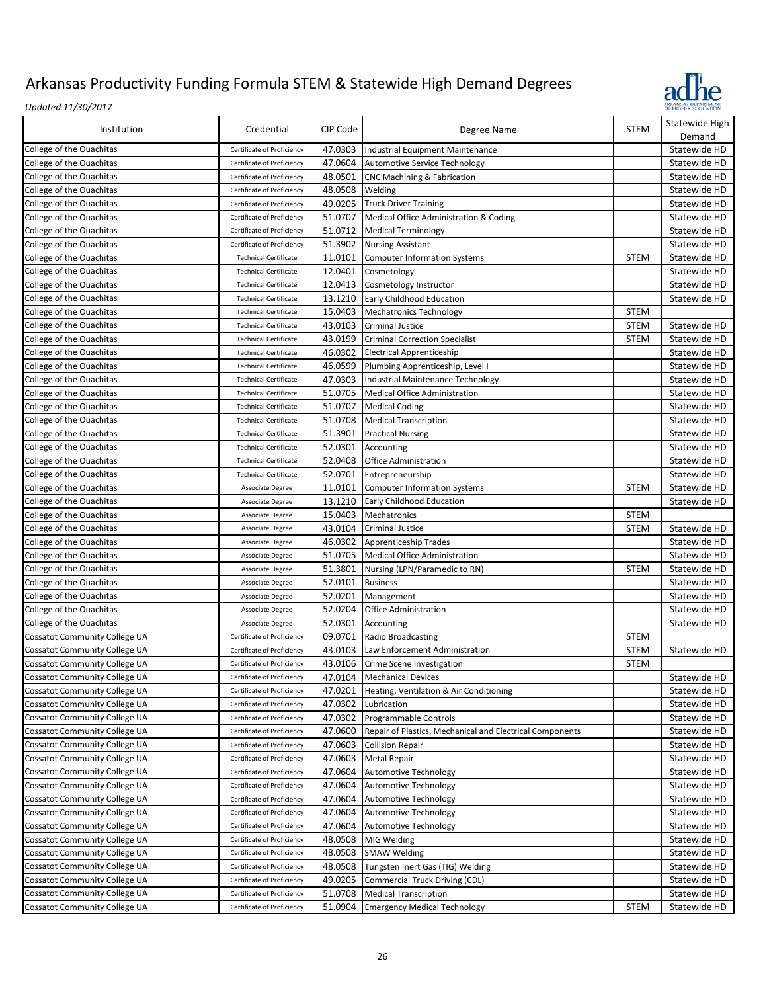

| Institution                                                                  | Credential                                               | CIP Code           | Degree Name                                                                         | <b>STEM</b> | Statewide High<br>Demand     |
|------------------------------------------------------------------------------|----------------------------------------------------------|--------------------|-------------------------------------------------------------------------------------|-------------|------------------------------|
| College of the Ouachitas                                                     | Certificate of Proficiency                               | 47.0303            | Industrial Equipment Maintenance                                                    |             | Statewide HD                 |
| College of the Ouachitas                                                     | Certificate of Proficiency                               | 47.0604            | Automotive Service Technology                                                       |             | Statewide HD                 |
| College of the Ouachitas                                                     | Certificate of Proficiency                               | 48.0501            | <b>CNC Machining &amp; Fabrication</b>                                              |             | Statewide HD                 |
| College of the Ouachitas                                                     | Certificate of Proficiency                               | 48.0508            | Welding                                                                             |             | Statewide HD                 |
| College of the Ouachitas                                                     | Certificate of Proficiency                               | 49.0205            | <b>Truck Driver Training</b>                                                        |             | Statewide HD                 |
| College of the Ouachitas                                                     | Certificate of Proficiency                               | 51.0707            | Medical Office Administration & Coding                                              |             | Statewide HD                 |
| College of the Ouachitas                                                     | Certificate of Proficiency                               | 51.0712            | <b>Medical Terminology</b>                                                          |             | Statewide HD                 |
| College of the Ouachitas                                                     | Certificate of Proficiency                               | 51.3902            | <b>Nursing Assistant</b>                                                            |             | Statewide HD                 |
| College of the Ouachitas                                                     | <b>Technical Certificate</b>                             | 11.0101            | <b>Computer Information Systems</b>                                                 | <b>STEM</b> | Statewide HD                 |
| College of the Ouachitas                                                     | <b>Technical Certificate</b>                             | 12.0401            | Cosmetology                                                                         |             | Statewide HD                 |
| College of the Ouachitas                                                     | <b>Technical Certificate</b>                             | 12.0413            | Cosmetology Instructor                                                              |             | Statewide HD                 |
| College of the Ouachitas                                                     | <b>Technical Certificate</b>                             | 13.1210            | Early Childhood Education                                                           |             | Statewide HD                 |
| College of the Ouachitas                                                     | <b>Technical Certificate</b>                             | 15.0403            | <b>Mechatronics Technology</b>                                                      | <b>STEM</b> |                              |
| College of the Ouachitas                                                     | <b>Technical Certificate</b>                             | 43.0103            | Criminal Justice                                                                    | <b>STEM</b> | Statewide HD                 |
| College of the Ouachitas                                                     | <b>Technical Certificate</b>                             | 43.0199            | <b>Criminal Correction Specialist</b>                                               | <b>STEM</b> | Statewide HD                 |
| College of the Ouachitas                                                     | <b>Technical Certificate</b>                             | 46.0302            | <b>Electrical Apprenticeship</b>                                                    |             | Statewide HD                 |
| College of the Ouachitas                                                     | <b>Technical Certificate</b>                             | 46.0599            | Plumbing Apprenticeship, Level I                                                    |             | Statewide HD                 |
| College of the Ouachitas                                                     | <b>Technical Certificate</b>                             | 47.0303            | Industrial Maintenance Technology                                                   |             | Statewide HD                 |
|                                                                              | <b>Technical Certificate</b>                             | 51.0705            | <b>Medical Office Administration</b>                                                |             |                              |
| College of the Ouachitas<br>College of the Ouachitas                         | <b>Technical Certificate</b>                             | 51.0707            | <b>Medical Coding</b>                                                               |             | Statewide HD<br>Statewide HD |
| College of the Ouachitas                                                     | <b>Technical Certificate</b>                             | 51.0708            |                                                                                     |             | Statewide HD                 |
|                                                                              |                                                          |                    | <b>Medical Transcription</b>                                                        |             |                              |
| College of the Ouachitas                                                     | <b>Technical Certificate</b>                             | 51.3901            | <b>Practical Nursing</b>                                                            |             | Statewide HD                 |
| College of the Ouachitas                                                     | <b>Technical Certificate</b>                             | 52.0301            | Accounting                                                                          |             | Statewide HD                 |
| College of the Ouachitas                                                     | <b>Technical Certificate</b>                             | 52.0408            | Office Administration                                                               |             | Statewide HD                 |
| College of the Ouachitas                                                     | <b>Technical Certificate</b>                             | 52.0701            | Entrepreneurship                                                                    |             | Statewide HD                 |
| College of the Ouachitas                                                     | Associate Degree                                         | 11.0101            | <b>Computer Information Systems</b>                                                 | <b>STEM</b> | Statewide HD                 |
| College of the Ouachitas                                                     | Associate Degree                                         | 13.1210            | Early Childhood Education                                                           |             | Statewide HD                 |
| College of the Ouachitas                                                     | Associate Degree                                         | 15.0403            | Mechatronics                                                                        | <b>STEM</b> |                              |
| College of the Ouachitas                                                     | Associate Degree                                         | 43.0104            | Criminal Justice                                                                    | <b>STEM</b> | Statewide HD                 |
| College of the Ouachitas                                                     | Associate Degree                                         | 46.0302            | Apprenticeship Trades                                                               |             | Statewide HD                 |
| College of the Ouachitas                                                     | Associate Degree                                         | 51.0705            | <b>Medical Office Administration</b>                                                |             | Statewide HD                 |
| College of the Ouachitas                                                     | Associate Degree                                         | 51.3801            | Nursing (LPN/Paramedic to RN)                                                       | <b>STEM</b> | Statewide HD                 |
| College of the Ouachitas                                                     | Associate Degree                                         | 52.0101            | <b>Business</b>                                                                     |             | Statewide HD                 |
| College of the Ouachitas                                                     | Associate Degree                                         | 52.0201            | Management                                                                          |             | Statewide HD                 |
| College of the Ouachitas                                                     | Associate Degree                                         | 52.0204            | Office Administration                                                               |             | Statewide HD                 |
| College of the Ouachitas                                                     | Associate Degree                                         | 52.0301            | Accounting                                                                          |             | Statewide HD                 |
| <b>Cossatot Community College UA</b>                                         | Certificate of Proficiency                               | 09.0701            | Radio Broadcasting                                                                  | <b>STEM</b> |                              |
| <b>Cossatot Community College UA</b>                                         | Certificate of Proficiency                               | 43.0103            | Law Enforcement Administration                                                      | <b>STEM</b> | Statewide HD                 |
| <b>Cossatot Community College UA</b>                                         | Certificate of Proficiency                               | 43.0106            | Crime Scene Investigation                                                           | <b>STEM</b> |                              |
| <b>Cossatot Community College UA</b>                                         | Certificate of Proficiency                               |                    | 47.0104 Mechanical Devices                                                          |             | Statewide HD                 |
| <b>Cossatot Community College UA</b><br><b>Cossatot Community College UA</b> | Certificate of Proficiency                               | 47.0201<br>47.0302 | Heating, Ventilation & Air Conditioning                                             |             | Statewide HD                 |
| <b>Cossatot Community College UA</b>                                         | Certificate of Proficiency                               |                    | Lubrication                                                                         |             | Statewide HD<br>Statewide HD |
|                                                                              | Certificate of Proficiency<br>Certificate of Proficiency | 47.0302<br>47.0600 | Programmable Controls                                                               |             |                              |
| <b>Cossatot Community College UA</b><br><b>Cossatot Community College UA</b> | Certificate of Proficiency                               | 47.0603            | Repair of Plastics, Mechanical and Electrical Components<br><b>Collision Repair</b> |             | Statewide HD<br>Statewide HD |
| <b>Cossatot Community College UA</b>                                         | Certificate of Proficiency                               | 47.0603            | <b>Metal Repair</b>                                                                 |             | Statewide HD                 |
| <b>Cossatot Community College UA</b>                                         |                                                          | 47.0604            |                                                                                     |             | Statewide HD                 |
|                                                                              | Certificate of Proficiency                               |                    | Automotive Technology                                                               |             |                              |
| <b>Cossatot Community College UA</b>                                         | Certificate of Proficiency                               | 47.0604            | <b>Automotive Technology</b>                                                        |             | Statewide HD                 |
| <b>Cossatot Community College UA</b>                                         | Certificate of Proficiency                               | 47.0604            | Automotive Technology                                                               |             | Statewide HD                 |
| <b>Cossatot Community College UA</b><br><b>Cossatot Community College UA</b> | Certificate of Proficiency<br>Certificate of Proficiency | 47.0604<br>47.0604 | <b>Automotive Technology</b><br>Automotive Technology                               |             | Statewide HD<br>Statewide HD |
| Cossatot Community College UA                                                | Certificate of Proficiency                               | 48.0508            | MIG Welding                                                                         |             | Statewide HD                 |
|                                                                              |                                                          | 48.0508            | <b>SMAW Welding</b>                                                                 |             | Statewide HD                 |
| <b>Cossatot Community College UA</b>                                         | Certificate of Proficiency                               |                    |                                                                                     |             |                              |
| <b>Cossatot Community College UA</b><br><b>Cossatot Community College UA</b> | Certificate of Proficiency<br>Certificate of Proficiency | 48.0508<br>49.0205 | Tungsten Inert Gas (TIG) Welding<br><b>Commercial Truck Driving (CDL)</b>           |             | Statewide HD<br>Statewide HD |
| Cossatot Community College UA                                                | Certificate of Proficiency                               | 51.0708            | <b>Medical Transcription</b>                                                        |             | Statewide HD                 |
| Cossatot Community College UA                                                | Certificate of Proficiency                               | 51.0904            | <b>Emergency Medical Technology</b>                                                 | <b>STEM</b> | Statewide HD                 |
|                                                                              |                                                          |                    |                                                                                     |             |                              |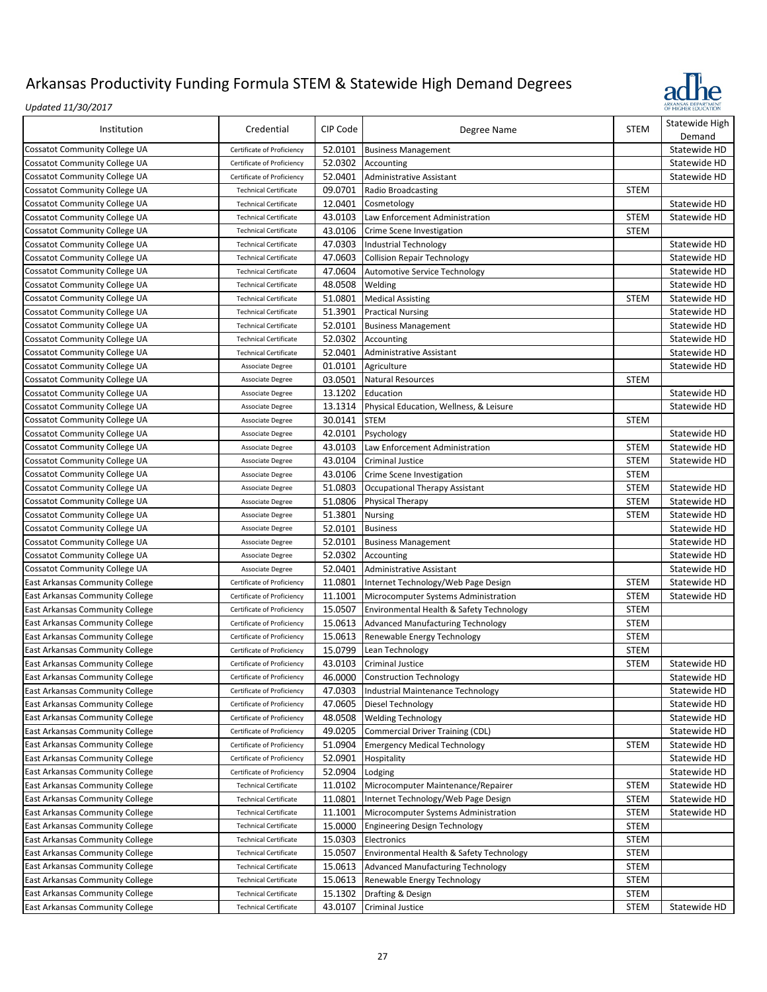

| Institution                                                                  | Credential                                               | CIP Code           | Degree Name                                   | <b>STEM</b>                | Statewide High<br>Demand |
|------------------------------------------------------------------------------|----------------------------------------------------------|--------------------|-----------------------------------------------|----------------------------|--------------------------|
| <b>Cossatot Community College UA</b>                                         | Certificate of Proficiency                               | 52.0101            | <b>Business Management</b>                    |                            | Statewide HD             |
| Cossatot Community College UA                                                | Certificate of Proficiency                               | 52.0302            | Accounting                                    |                            | Statewide HD             |
| <b>Cossatot Community College UA</b>                                         | Certificate of Proficiency                               | 52.0401            | <b>Administrative Assistant</b>               |                            | Statewide HD             |
| <b>Cossatot Community College UA</b>                                         | <b>Technical Certificate</b>                             | 09.0701            | <b>Radio Broadcasting</b>                     | <b>STEM</b>                |                          |
| <b>Cossatot Community College UA</b>                                         | <b>Technical Certificate</b>                             | 12.0401            | Cosmetology                                   |                            | Statewide HD             |
| <b>Cossatot Community College UA</b>                                         | <b>Technical Certificate</b>                             | 43.0103            | Law Enforcement Administration                | <b>STEM</b>                | Statewide HD             |
| <b>Cossatot Community College UA</b>                                         | <b>Technical Certificate</b>                             | 43.0106            | Crime Scene Investigation                     | <b>STEM</b>                |                          |
| <b>Cossatot Community College UA</b>                                         | <b>Technical Certificate</b>                             | 47.0303            | Industrial Technology                         |                            | Statewide HD             |
| <b>Cossatot Community College UA</b>                                         | <b>Technical Certificate</b>                             | 47.0603            | <b>Collision Repair Technology</b>            |                            | Statewide HD             |
| <b>Cossatot Community College UA</b>                                         | <b>Technical Certificate</b>                             | 47.0604            | <b>Automotive Service Technology</b>          |                            | Statewide HD             |
| <b>Cossatot Community College UA</b>                                         | <b>Technical Certificate</b>                             | 48.0508            | Welding                                       |                            | Statewide HD             |
| <b>Cossatot Community College UA</b>                                         | <b>Technical Certificate</b>                             | 51.0801            | <b>Medical Assisting</b>                      | <b>STEM</b>                | Statewide HD             |
| <b>Cossatot Community College UA</b>                                         | <b>Technical Certificate</b>                             | 51.3901            | <b>Practical Nursing</b>                      |                            | Statewide HD             |
| <b>Cossatot Community College UA</b>                                         | <b>Technical Certificate</b>                             | 52.0101            | <b>Business Management</b>                    |                            | Statewide HD             |
| <b>Cossatot Community College UA</b>                                         | <b>Technical Certificate</b>                             | 52.0302            | Accounting                                    |                            | Statewide HD             |
| <b>Cossatot Community College UA</b>                                         | <b>Technical Certificate</b>                             | 52.0401            | Administrative Assistant                      |                            | Statewide HD             |
| <b>Cossatot Community College UA</b>                                         | Associate Degree                                         | 01.0101            | Agriculture                                   |                            | Statewide HD             |
| <b>Cossatot Community College UA</b>                                         | Associate Degree                                         | 03.0501            | <b>Natural Resources</b>                      | <b>STEM</b>                |                          |
| <b>Cossatot Community College UA</b>                                         | Associate Degree                                         | 13.1202            | Education                                     |                            | Statewide HD             |
| <b>Cossatot Community College UA</b>                                         | <b>Associate Degree</b>                                  | 13.1314            | Physical Education, Wellness, & Leisure       |                            | Statewide HD             |
| <b>Cossatot Community College UA</b>                                         | Associate Degree                                         | 30.0141            | <b>STEM</b>                                   | <b>STEM</b>                |                          |
| <b>Cossatot Community College UA</b>                                         | Associate Degree                                         | 42.0101            | Psychology                                    |                            | Statewide HD             |
| <b>Cossatot Community College UA</b>                                         | Associate Degree                                         | 43.0103            | Law Enforcement Administration                | <b>STEM</b>                | Statewide HD             |
| <b>Cossatot Community College UA</b>                                         | Associate Degree                                         | 43.0104            | <b>Criminal Justice</b>                       | <b>STEM</b>                | Statewide HD             |
| <b>Cossatot Community College UA</b>                                         | Associate Degree                                         | 43.0106            | Crime Scene Investigation                     | <b>STEM</b>                |                          |
|                                                                              |                                                          | 51.0803            |                                               | <b>STEM</b>                | Statewide HD             |
| <b>Cossatot Community College UA</b>                                         | Associate Degree                                         | 51.0806            | Occupational Therapy Assistant                |                            | Statewide HD             |
| <b>Cossatot Community College UA</b>                                         | Associate Degree                                         |                    | Physical Therapy                              | <b>STEM</b>                | Statewide HD             |
| <b>Cossatot Community College UA</b>                                         | Associate Degree                                         | 51.3801            | <b>Nursing</b><br><b>Business</b>             | <b>STEM</b>                | Statewide HD             |
| <b>Cossatot Community College UA</b>                                         | Associate Degree                                         | 52.0101<br>52.0101 |                                               |                            | Statewide HD             |
| <b>Cossatot Community College UA</b>                                         | Associate Degree                                         | 52.0302            | <b>Business Management</b>                    |                            | Statewide HD             |
| <b>Cossatot Community College UA</b><br><b>Cossatot Community College UA</b> | Associate Degree<br>Associate Degree                     | 52.0401            | Accounting<br><b>Administrative Assistant</b> |                            | Statewide HD             |
| East Arkansas Community College                                              | Certificate of Proficiency                               | 11.0801            |                                               | <b>STEM</b>                | Statewide HD             |
|                                                                              | Certificate of Proficiency                               |                    | Internet Technology/Web Page Design           |                            |                          |
| East Arkansas Community College<br>East Arkansas Community College           |                                                          | 11.1001<br>15.0507 | Microcomputer Systems Administration          | <b>STEM</b><br><b>STEM</b> | Statewide HD             |
|                                                                              | Certificate of Proficiency                               |                    | Environmental Health & Safety Technology      |                            |                          |
| East Arkansas Community College                                              | Certificate of Proficiency                               | 15.0613            | <b>Advanced Manufacturing Technology</b>      | <b>STEM</b>                |                          |
| East Arkansas Community College                                              | Certificate of Proficiency<br>Certificate of Proficiency | 15.0613            | Renewable Energy Technology                   | <b>STEM</b>                |                          |
| East Arkansas Community College                                              |                                                          | 15.0799            | Lean Technology<br><b>Criminal Justice</b>    | <b>STEM</b>                | Statewide HD             |
| <b>East Arkansas Community College</b><br>East Arkansas Community College    | Certificate of Proficiency                               | 43.0103            |                                               | <b>STEM</b>                | Statewide HD             |
|                                                                              | Certificate of Proficiency                               |                    | 46.0000 Construction Technology               |                            |                          |
| East Arkansas Community College                                              | Certificate of Proficiency                               | 47.0303            | Industrial Maintenance Technology             |                            | Statewide HD             |
| East Arkansas Community College                                              | Certificate of Proficiency                               | 47.0605            | Diesel Technology                             |                            | Statewide HD             |
| East Arkansas Community College                                              | Certificate of Proficiency                               | 48.0508            | <b>Welding Technology</b>                     |                            | Statewide HD             |
| East Arkansas Community College                                              | Certificate of Proficiency                               | 49.0205            | <b>Commercial Driver Training (CDL)</b>       |                            | Statewide HD             |
| East Arkansas Community College                                              | Certificate of Proficiency                               | 51.0904            | <b>Emergency Medical Technology</b>           | <b>STEM</b>                | Statewide HD             |
| East Arkansas Community College                                              | Certificate of Proficiency                               | 52.0901            | Hospitality                                   |                            | Statewide HD             |
| East Arkansas Community College                                              | Certificate of Proficiency                               | 52.0904            | Lodging                                       |                            | Statewide HD             |
| East Arkansas Community College                                              | <b>Technical Certificate</b>                             | 11.0102            | Microcomputer Maintenance/Repairer            | <b>STEM</b>                | Statewide HD             |
| East Arkansas Community College                                              | <b>Technical Certificate</b>                             | 11.0801            | Internet Technology/Web Page Design           | <b>STEM</b>                | Statewide HD             |
| East Arkansas Community College                                              | <b>Technical Certificate</b>                             | 11.1001            | Microcomputer Systems Administration          | <b>STEM</b>                | Statewide HD             |
| East Arkansas Community College                                              | <b>Technical Certificate</b>                             | 15.0000            | Engineering Design Technology                 | <b>STEM</b>                |                          |
| East Arkansas Community College                                              | <b>Technical Certificate</b>                             | 15.0303            | Electronics                                   | STEM                       |                          |
| East Arkansas Community College                                              | <b>Technical Certificate</b>                             | 15.0507            | Environmental Health & Safety Technology      | <b>STEM</b>                |                          |
| East Arkansas Community College                                              | <b>Technical Certificate</b>                             | 15.0613            | <b>Advanced Manufacturing Technology</b>      | <b>STEM</b>                |                          |
| East Arkansas Community College                                              | <b>Technical Certificate</b>                             | 15.0613            | Renewable Energy Technology                   | <b>STEM</b>                |                          |
| East Arkansas Community College                                              | <b>Technical Certificate</b>                             | 15.1302            | Drafting & Design                             | <b>STEM</b>                |                          |
| East Arkansas Community College                                              | <b>Technical Certificate</b>                             | 43.0107            | <b>Criminal Justice</b>                       | <b>STEM</b>                | Statewide HD             |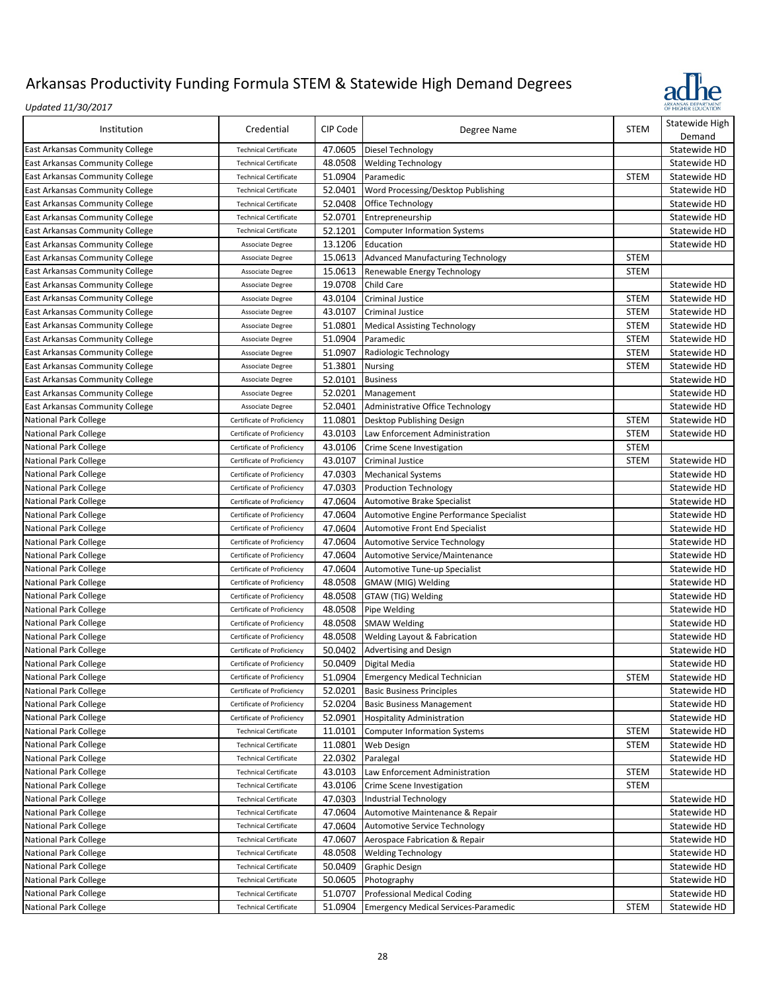

| Institution                     | Credential                   | CIP Code | Degree Name                                 | <b>STEM</b> | Statewide High<br>Demand |
|---------------------------------|------------------------------|----------|---------------------------------------------|-------------|--------------------------|
| East Arkansas Community College | <b>Technical Certificate</b> | 47.0605  | Diesel Technology                           |             | Statewide HD             |
| East Arkansas Community College | <b>Technical Certificate</b> | 48.0508  | <b>Welding Technology</b>                   |             | Statewide HD             |
| East Arkansas Community College | <b>Technical Certificate</b> | 51.0904  | Paramedic                                   | <b>STEM</b> | Statewide HD             |
| East Arkansas Community College | <b>Technical Certificate</b> | 52.0401  | Word Processing/Desktop Publishing          |             | Statewide HD             |
| East Arkansas Community College | <b>Technical Certificate</b> | 52.0408  | Office Technology                           |             | Statewide HD             |
| East Arkansas Community College | <b>Technical Certificate</b> | 52.0701  | Entrepreneurship                            |             | Statewide HD             |
| East Arkansas Community College | <b>Technical Certificate</b> | 52.1201  | <b>Computer Information Systems</b>         |             | Statewide HD             |
| East Arkansas Community College | <b>Associate Degree</b>      | 13.1206  | Education                                   |             | Statewide HD             |
| East Arkansas Community College | <b>Associate Degree</b>      | 15.0613  | <b>Advanced Manufacturing Technology</b>    | <b>STEM</b> |                          |
| East Arkansas Community College | <b>Associate Degree</b>      | 15.0613  | Renewable Energy Technology                 | <b>STEM</b> |                          |
| East Arkansas Community College | Associate Degree             | 19.0708  | <b>Child Care</b>                           |             | Statewide HD             |
| East Arkansas Community College | Associate Degree             | 43.0104  | <b>Criminal Justice</b>                     | <b>STEM</b> | Statewide HD             |
| East Arkansas Community College | Associate Degree             | 43.0107  | Criminal Justice                            | <b>STEM</b> | Statewide HD             |
| East Arkansas Community College | Associate Degree             | 51.0801  | <b>Medical Assisting Technology</b>         | <b>STEM</b> | Statewide HD             |
| East Arkansas Community College | Associate Degree             | 51.0904  | Paramedic                                   | <b>STEM</b> | Statewide HD             |
| East Arkansas Community College | Associate Degree             | 51.0907  | Radiologic Technology                       | <b>STEM</b> | Statewide HD             |
| East Arkansas Community College | Associate Degree             | 51.3801  |                                             | <b>STEM</b> | Statewide HD             |
|                                 |                              | 52.0101  | <b>Nursing</b>                              |             | Statewide HD             |
| East Arkansas Community College | Associate Degree             |          | <b>Business</b>                             |             |                          |
| East Arkansas Community College | Associate Degree             | 52.0201  | Management                                  |             | Statewide HD             |
| East Arkansas Community College | Associate Degree             | 52.0401  | Administrative Office Technology            |             | Statewide HD             |
| <b>National Park College</b>    | Certificate of Proficiency   | 11.0801  | Desktop Publishing Design                   | <b>STEM</b> | Statewide HD             |
| <b>National Park College</b>    | Certificate of Proficiency   | 43.0103  | Law Enforcement Administration              | <b>STEM</b> | Statewide HD             |
| National Park College           | Certificate of Proficiency   | 43.0106  | Crime Scene Investigation                   | <b>STEM</b> |                          |
| <b>National Park College</b>    | Certificate of Proficiency   | 43.0107  | <b>Criminal Justice</b>                     | <b>STEM</b> | Statewide HD             |
| <b>National Park College</b>    | Certificate of Proficiency   | 47.0303  | <b>Mechanical Systems</b>                   |             | Statewide HD             |
| National Park College           | Certificate of Proficiency   | 47.0303  | <b>Production Technology</b>                |             | Statewide HD             |
| <b>National Park College</b>    | Certificate of Proficiency   | 47.0604  | Automotive Brake Specialist                 |             | Statewide HD             |
| National Park College           | Certificate of Proficiency   | 47.0604  | Automotive Engine Performance Specialist    |             | Statewide HD             |
| <b>National Park College</b>    | Certificate of Proficiency   | 47.0604  | Automotive Front End Specialist             |             | Statewide HD             |
| <b>National Park College</b>    | Certificate of Proficiency   | 47.0604  | Automotive Service Technology               |             | Statewide HD             |
| <b>National Park College</b>    | Certificate of Proficiency   | 47.0604  | Automotive Service/Maintenance              |             | Statewide HD             |
| <b>National Park College</b>    | Certificate of Proficiency   | 47.0604  | Automotive Tune-up Specialist               |             | Statewide HD             |
| National Park College           | Certificate of Proficiency   | 48.0508  | GMAW (MIG) Welding                          |             | Statewide HD             |
| <b>National Park College</b>    | Certificate of Proficiency   | 48.0508  | GTAW (TIG) Welding                          |             | Statewide HD             |
| <b>National Park College</b>    | Certificate of Proficiency   | 48.0508  | Pipe Welding                                |             | Statewide HD             |
| <b>National Park College</b>    | Certificate of Proficiency   | 48.0508  | <b>SMAW Welding</b>                         |             | Statewide HD             |
| <b>National Park College</b>    | Certificate of Proficiency   | 48.0508  | Welding Layout & Fabrication                |             | Statewide HD             |
| National Park College           | Certificate of Proficiency   | 50.0402  | Advertising and Design                      |             | Statewide HD             |
| <b>National Park College</b>    | Certificate of Proficiency   | 50.0409  | Digital Media                               |             | Statewide HD             |
| National Park College           | Certificate of Proficiency   |          | 51.0904 Emergency Medical Technician        | STEM        | Statewide HD             |
| <b>National Park College</b>    | Certificate of Proficiency   | 52.0201  | <b>Basic Business Principles</b>            |             | Statewide HD             |
| <b>National Park College</b>    | Certificate of Proficiency   | 52.0204  | <b>Basic Business Management</b>            |             | Statewide HD             |
| National Park College           | Certificate of Proficiency   | 52.0901  | <b>Hospitality Administration</b>           |             | Statewide HD             |
| <b>National Park College</b>    | <b>Technical Certificate</b> | 11.0101  | <b>Computer Information Systems</b>         | <b>STEM</b> | Statewide HD             |
| <b>National Park College</b>    | <b>Technical Certificate</b> | 11.0801  | Web Design                                  | <b>STEM</b> | Statewide HD             |
| <b>National Park College</b>    | <b>Technical Certificate</b> | 22.0302  | Paralegal                                   |             | Statewide HD             |
| <b>National Park College</b>    | <b>Technical Certificate</b> | 43.0103  | Law Enforcement Administration              | <b>STEM</b> | Statewide HD             |
| National Park College           | <b>Technical Certificate</b> | 43.0106  | Crime Scene Investigation                   | STEM        |                          |
| <b>National Park College</b>    | <b>Technical Certificate</b> | 47.0303  | Industrial Technology                       |             | Statewide HD             |
| <b>National Park College</b>    | <b>Technical Certificate</b> | 47.0604  | Automotive Maintenance & Repair             |             | Statewide HD             |
| <b>National Park College</b>    | <b>Technical Certificate</b> | 47.0604  | Automotive Service Technology               |             | Statewide HD             |
| <b>National Park College</b>    | <b>Technical Certificate</b> | 47.0607  | Aerospace Fabrication & Repair              |             | Statewide HD             |
| <b>National Park College</b>    | <b>Technical Certificate</b> | 48.0508  | <b>Welding Technology</b>                   |             | Statewide HD             |
| <b>National Park College</b>    | <b>Technical Certificate</b> | 50.0409  | Graphic Design                              |             | Statewide HD             |
| <b>National Park College</b>    | <b>Technical Certificate</b> | 50.0605  | Photography                                 |             | Statewide HD             |
| <b>National Park College</b>    | <b>Technical Certificate</b> | 51.0707  | <b>Professional Medical Coding</b>          |             | Statewide HD             |
| National Park College           | <b>Technical Certificate</b> | 51.0904  | <b>Emergency Medical Services-Paramedic</b> | <b>STEM</b> | Statewide HD             |
|                                 |                              |          |                                             |             |                          |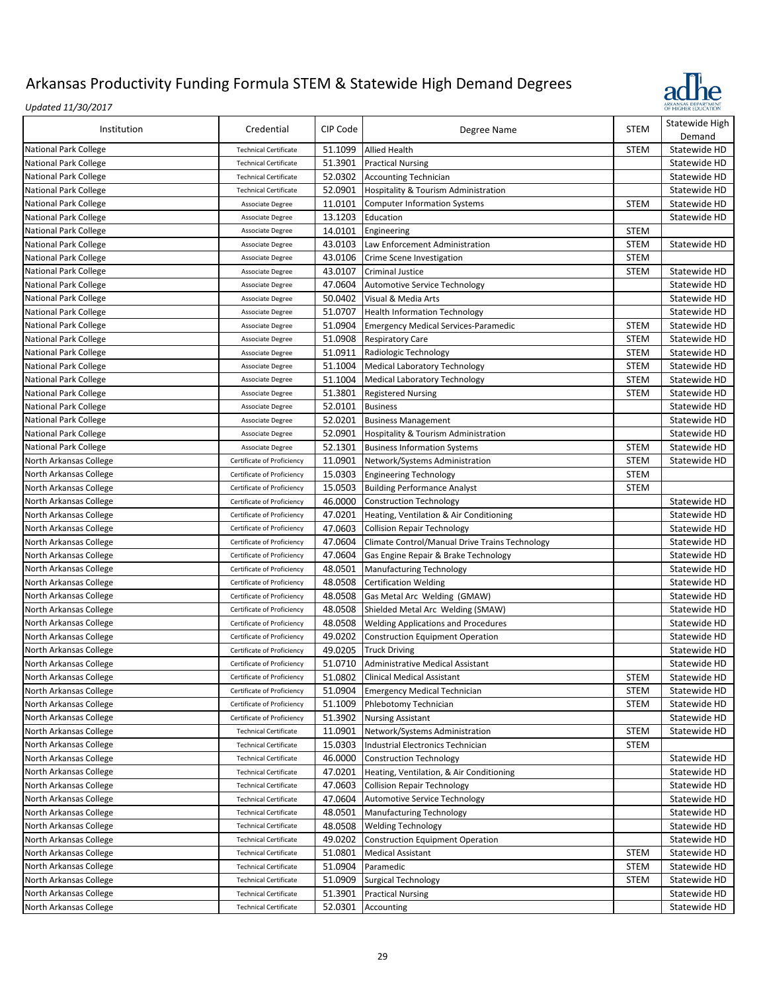

| Institution                  | Credential                   | CIP Code           | Degree Name                                    | <b>STEM</b> | Statewide High<br>Demand |
|------------------------------|------------------------------|--------------------|------------------------------------------------|-------------|--------------------------|
| <b>National Park College</b> | <b>Technical Certificate</b> | 51.1099            | <b>Allied Health</b>                           | <b>STEM</b> | Statewide HD             |
| <b>National Park College</b> | <b>Technical Certificate</b> | 51.3901            | <b>Practical Nursing</b>                       |             | Statewide HD             |
| National Park College        | <b>Technical Certificate</b> | 52.0302            | <b>Accounting Technician</b>                   |             | Statewide HD             |
| <b>National Park College</b> | <b>Technical Certificate</b> | 52.0901            | Hospitality & Tourism Administration           |             | Statewide HD             |
| <b>National Park College</b> | Associate Degree             | 11.0101            | <b>Computer Information Systems</b>            | <b>STEM</b> | Statewide HD             |
| <b>National Park College</b> | Associate Degree             | 13.1203            | Education                                      |             | Statewide HD             |
| <b>National Park College</b> | Associate Degree             | 14.0101            | Engineering                                    | <b>STEM</b> |                          |
|                              | Associate Degree             |                    | Law Enforcement Administration                 | <b>STEM</b> | Statewide HD             |
| National Park College        |                              | 43.0103<br>43.0106 |                                                | <b>STEM</b> |                          |
| <b>National Park College</b> | Associate Degree             |                    | Crime Scene Investigation                      |             |                          |
| <b>National Park College</b> | <b>Associate Degree</b>      | 43.0107            | <b>Criminal Justice</b>                        | <b>STEM</b> | Statewide HD             |
| National Park College        | Associate Degree             | 47.0604            | Automotive Service Technology                  |             | Statewide HD             |
| National Park College        | Associate Degree             | 50.0402            | Visual & Media Arts                            |             | Statewide HD             |
| National Park College        | Associate Degree             | 51.0707            | <b>Health Information Technology</b>           |             | Statewide HD             |
| <b>National Park College</b> | Associate Degree             | 51.0904            | <b>Emergency Medical Services-Paramedic</b>    | <b>STEM</b> | Statewide HD             |
| <b>National Park College</b> | Associate Degree             | 51.0908            | <b>Respiratory Care</b>                        | <b>STEM</b> | Statewide HD             |
| <b>National Park College</b> | Associate Degree             | 51.0911            | Radiologic Technology                          | <b>STEM</b> | Statewide HD             |
| <b>National Park College</b> | Associate Degree             | 51.1004            | Medical Laboratory Technology                  | <b>STEM</b> | Statewide HD             |
| National Park College        | Associate Degree             | 51.1004            | Medical Laboratory Technology                  | <b>STEM</b> | Statewide HD             |
| <b>National Park College</b> | Associate Degree             | 51.3801            | <b>Registered Nursing</b>                      | <b>STEM</b> | Statewide HD             |
| National Park College        | Associate Degree             | 52.0101            | <b>Business</b>                                |             | Statewide HD             |
| <b>National Park College</b> | Associate Degree             | 52.0201            | <b>Business Management</b>                     |             | Statewide HD             |
| National Park College        | <b>Associate Degree</b>      | 52.0901            | Hospitality & Tourism Administration           |             | Statewide HD             |
| National Park College        | Associate Degree             | 52.1301            | <b>Business Information Systems</b>            | <b>STEM</b> | Statewide HD             |
| North Arkansas College       | Certificate of Proficiency   | 11.0901            | Network/Systems Administration                 | <b>STEM</b> | Statewide HD             |
| North Arkansas College       | Certificate of Proficiency   | 15.0303            | <b>Engineering Technology</b>                  | <b>STEM</b> |                          |
| North Arkansas College       | Certificate of Proficiency   | 15.0503            | <b>Building Performance Analyst</b>            | <b>STEM</b> |                          |
| North Arkansas College       | Certificate of Proficiency   | 46.0000            | <b>Construction Technology</b>                 |             | Statewide HD             |
| North Arkansas College       | Certificate of Proficiency   | 47.0201            | Heating, Ventilation & Air Conditioning        |             | Statewide HD             |
| North Arkansas College       | Certificate of Proficiency   | 47.0603            | <b>Collision Repair Technology</b>             |             | Statewide HD             |
| North Arkansas College       | Certificate of Proficiency   | 47.0604            | Climate Control/Manual Drive Trains Technology |             | Statewide HD             |
|                              |                              | 47.0604            |                                                |             | Statewide HD             |
| North Arkansas College       | Certificate of Proficiency   |                    | Gas Engine Repair & Brake Technology           |             |                          |
| North Arkansas College       | Certificate of Proficiency   | 48.0501            | <b>Manufacturing Technology</b>                |             | Statewide HD             |
| North Arkansas College       | Certificate of Proficiency   | 48.0508            | <b>Certification Welding</b>                   |             | Statewide HD             |
| North Arkansas College       | Certificate of Proficiency   | 48.0508            | Gas Metal Arc Welding (GMAW)                   |             | Statewide HD             |
| North Arkansas College       | Certificate of Proficiency   | 48.0508            | Shielded Metal Arc Welding (SMAW)              |             | Statewide HD             |
| North Arkansas College       | Certificate of Proficiency   | 48.0508            | <b>Welding Applications and Procedures</b>     |             | Statewide HD             |
| North Arkansas College       | Certificate of Proficiency   | 49.0202            | <b>Construction Equipment Operation</b>        |             | Statewide HD             |
| North Arkansas College       | Certificate of Proficiency   | 49.0205            | <b>Truck Driving</b>                           |             | Statewide HD             |
| North Arkansas College       | Certificate of Proficiency   |                    | 51.0710 Administrative Medical Assistant       |             | Statewide HD             |
| North Arkansas College       | Certificate of Proficiency   |                    | 51.0802 Clinical Medical Assistant             | STEM        | Statewide HD             |
| North Arkansas College       | Certificate of Proficiency   | 51.0904            | <b>Emergency Medical Technician</b>            | <b>STEM</b> | Statewide HD             |
| North Arkansas College       | Certificate of Proficiency   | 51.1009            | Phlebotomy Technician                          | <b>STEM</b> | Statewide HD             |
| North Arkansas College       | Certificate of Proficiency   | 51.3902            | <b>Nursing Assistant</b>                       |             | Statewide HD             |
| North Arkansas College       | <b>Technical Certificate</b> | 11.0901            | Network/Systems Administration                 | <b>STEM</b> | Statewide HD             |
| North Arkansas College       | <b>Technical Certificate</b> | 15.0303            | Industrial Electronics Technician              | <b>STEM</b> |                          |
| North Arkansas College       | <b>Technical Certificate</b> | 46.0000            | <b>Construction Technology</b>                 |             | Statewide HD             |
| North Arkansas College       | <b>Technical Certificate</b> | 47.0201            | Heating, Ventilation, & Air Conditioning       |             | Statewide HD             |
| North Arkansas College       | <b>Technical Certificate</b> | 47.0603            | <b>Collision Repair Technology</b>             |             | Statewide HD             |
| North Arkansas College       | <b>Technical Certificate</b> | 47.0604            | Automotive Service Technology                  |             | Statewide HD             |
| North Arkansas College       | <b>Technical Certificate</b> | 48.0501            | <b>Manufacturing Technology</b>                |             | Statewide HD             |
| North Arkansas College       | <b>Technical Certificate</b> | 48.0508            | <b>Welding Technology</b>                      |             | Statewide HD             |
| North Arkansas College       | <b>Technical Certificate</b> | 49.0202            | <b>Construction Equipment Operation</b>        |             | Statewide HD             |
| North Arkansas College       | <b>Technical Certificate</b> | 51.0801            | <b>Medical Assistant</b>                       | <b>STEM</b> | Statewide HD             |
| North Arkansas College       | <b>Technical Certificate</b> | 51.0904            | Paramedic                                      | <b>STEM</b> | Statewide HD             |
| North Arkansas College       | <b>Technical Certificate</b> | 51.0909            |                                                | <b>STEM</b> | Statewide HD             |
|                              |                              |                    | <b>Surgical Technology</b>                     |             | Statewide HD             |
| North Arkansas College       | <b>Technical Certificate</b> | 51.3901            | <b>Practical Nursing</b>                       |             |                          |
| North Arkansas College       | <b>Technical Certificate</b> | 52.0301            | Accounting                                     |             | Statewide HD             |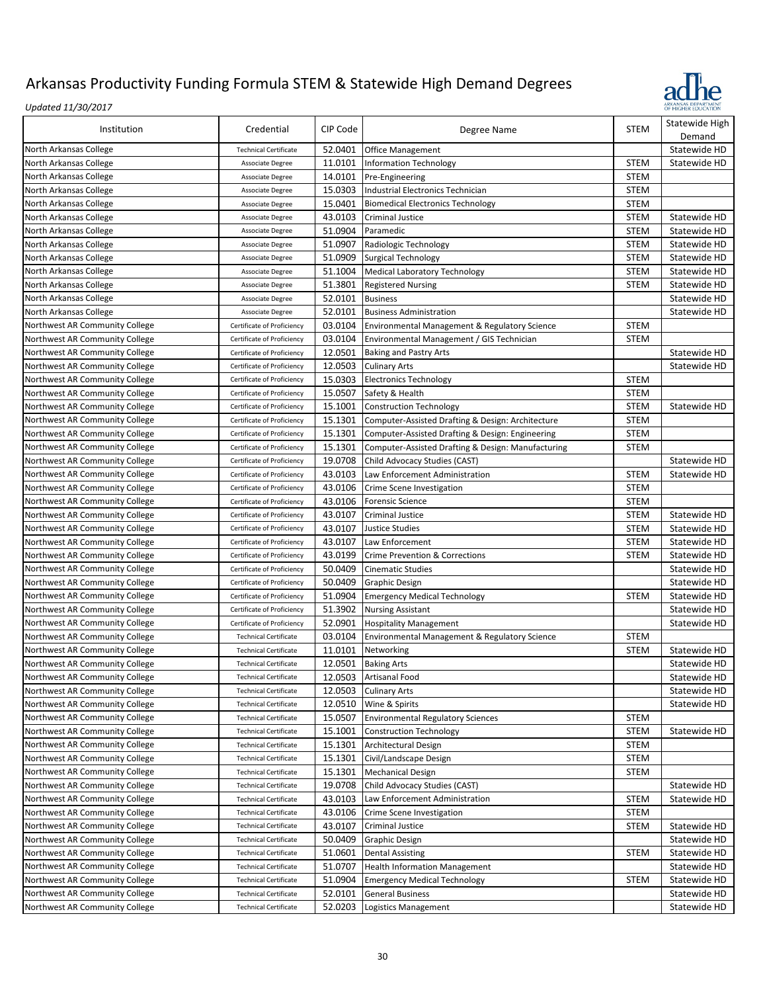

| Institution                    | Credential                   | CIP Code | Degree Name                                        | <b>STEM</b> | Statewide High<br>Demand |
|--------------------------------|------------------------------|----------|----------------------------------------------------|-------------|--------------------------|
| North Arkansas College         | <b>Technical Certificate</b> | 52.0401  | <b>Office Management</b>                           |             | Statewide HD             |
| North Arkansas College         | Associate Degree             | 11.0101  | <b>Information Technology</b>                      | <b>STEM</b> | Statewide HD             |
| North Arkansas College         | Associate Degree             | 14.0101  | Pre-Engineering                                    | <b>STEM</b> |                          |
| North Arkansas College         | Associate Degree             | 15.0303  | Industrial Electronics Technician                  | <b>STEM</b> |                          |
| North Arkansas College         | Associate Degree             | 15.0401  | <b>Biomedical Electronics Technology</b>           | <b>STEM</b> |                          |
| North Arkansas College         | Associate Degree             | 43.0103  | Criminal Justice                                   | <b>STEM</b> | Statewide HD             |
| North Arkansas College         | Associate Degree             | 51.0904  | Paramedic                                          | <b>STEM</b> | Statewide HD             |
| North Arkansas College         | Associate Degree             | 51.0907  | Radiologic Technology                              | <b>STEM</b> | Statewide HD             |
| North Arkansas College         | Associate Degree             | 51.0909  | <b>Surgical Technology</b>                         | <b>STEM</b> | Statewide HD             |
| North Arkansas College         | Associate Degree             | 51.1004  | <b>Medical Laboratory Technology</b>               | <b>STEM</b> | Statewide HD             |
| North Arkansas College         | Associate Degree             | 51.3801  | <b>Registered Nursing</b>                          | <b>STEM</b> | Statewide HD             |
| North Arkansas College         | Associate Degree             | 52.0101  | <b>Business</b>                                    |             | Statewide HD             |
|                                |                              |          |                                                    |             |                          |
| North Arkansas College         | Associate Degree             | 52.0101  | <b>Business Administration</b>                     |             | Statewide HD             |
| Northwest AR Community College | Certificate of Proficiency   | 03.0104  | Environmental Management & Regulatory Science      | <b>STEM</b> |                          |
| Northwest AR Community College | Certificate of Proficiency   | 03.0104  | Environmental Management / GIS Technician          | <b>STEM</b> |                          |
| Northwest AR Community College | Certificate of Proficiency   | 12.0501  | <b>Baking and Pastry Arts</b>                      |             | Statewide HD             |
| Northwest AR Community College | Certificate of Proficiency   | 12.0503  | <b>Culinary Arts</b>                               |             | Statewide HD             |
| Northwest AR Community College | Certificate of Proficiency   | 15.0303  | <b>Electronics Technology</b>                      | <b>STEM</b> |                          |
| Northwest AR Community College | Certificate of Proficiency   | 15.0507  | Safety & Health                                    | <b>STEM</b> |                          |
| Northwest AR Community College | Certificate of Proficiency   | 15.1001  | <b>Construction Technology</b>                     | <b>STEM</b> | Statewide HD             |
| Northwest AR Community College | Certificate of Proficiency   | 15.1301  | Computer-Assisted Drafting & Design: Architecture  | <b>STEM</b> |                          |
| Northwest AR Community College | Certificate of Proficiency   | 15.1301  | Computer-Assisted Drafting & Design: Engineering   | <b>STEM</b> |                          |
| Northwest AR Community College | Certificate of Proficiency   | 15.1301  | Computer-Assisted Drafting & Design: Manufacturing | <b>STEM</b> |                          |
| Northwest AR Community College | Certificate of Proficiency   | 19.0708  | Child Advocacy Studies (CAST)                      |             | Statewide HD             |
| Northwest AR Community College | Certificate of Proficiency   | 43.0103  | Law Enforcement Administration                     | <b>STEM</b> | Statewide HD             |
| Northwest AR Community College | Certificate of Proficiency   | 43.0106  | Crime Scene Investigation                          | <b>STEM</b> |                          |
| Northwest AR Community College | Certificate of Proficiency   | 43.0106  | <b>Forensic Science</b>                            | <b>STEM</b> |                          |
| Northwest AR Community College | Certificate of Proficiency   | 43.0107  | Criminal Justice                                   | <b>STEM</b> | Statewide HD             |
| Northwest AR Community College | Certificate of Proficiency   | 43.0107  | Justice Studies                                    | <b>STEM</b> | Statewide HD             |
| Northwest AR Community College | Certificate of Proficiency   | 43.0107  | Law Enforcement                                    | <b>STEM</b> | Statewide HD             |
| Northwest AR Community College | Certificate of Proficiency   | 43.0199  | <b>Crime Prevention &amp; Corrections</b>          | <b>STEM</b> | Statewide HD             |
| Northwest AR Community College | Certificate of Proficiency   | 50.0409  | <b>Cinematic Studies</b>                           |             | Statewide HD             |
| Northwest AR Community College | Certificate of Proficiency   | 50.0409  | Graphic Design                                     |             | Statewide HD             |
| Northwest AR Community College | Certificate of Proficiency   | 51.0904  | <b>Emergency Medical Technology</b>                | <b>STEM</b> | Statewide HD             |
| Northwest AR Community College | Certificate of Proficiency   | 51.3902  | <b>Nursing Assistant</b>                           |             | Statewide HD             |
| Northwest AR Community College | Certificate of Proficiency   | 52.0901  | <b>Hospitality Management</b>                      |             | Statewide HD             |
| Northwest AR Community College | <b>Technical Certificate</b> | 03.0104  | Environmental Management & Regulatory Science      | <b>STEM</b> |                          |
| Northwest AR Community College | <b>Technical Certificate</b> | 11.0101  | Networking                                         | <b>STEM</b> | Statewide HD             |
| Northwest AR Community College | <b>Technical Certificate</b> |          | 12.0501 Baking Arts                                |             | Statewide HD             |
| Northwest AR Community College | <b>Technical Certificate</b> |          | 12.0503 Artisanal Food                             |             | Statewide HD             |
| Northwest AR Community College | <b>Technical Certificate</b> |          | 12.0503 Culinary Arts                              |             | Statewide HD             |
| Northwest AR Community College | <b>Technical Certificate</b> | 12.0510  | Wine & Spirits                                     |             | Statewide HD             |
| Northwest AR Community College | <b>Technical Certificate</b> | 15.0507  | <b>Environmental Regulatory Sciences</b>           | <b>STEM</b> |                          |
| Northwest AR Community College | <b>Technical Certificate</b> | 15.1001  | <b>Construction Technology</b>                     | STEM        | Statewide HD             |
| Northwest AR Community College | <b>Technical Certificate</b> | 15.1301  | Architectural Design                               | <b>STEM</b> |                          |
| Northwest AR Community College | <b>Technical Certificate</b> | 15.1301  | Civil/Landscape Design                             | STEM        |                          |
| Northwest AR Community College | <b>Technical Certificate</b> | 15.1301  | <b>Mechanical Design</b>                           | <b>STEM</b> |                          |
| Northwest AR Community College | <b>Technical Certificate</b> | 19.0708  | Child Advocacy Studies (CAST)                      |             | Statewide HD             |
| Northwest AR Community College | <b>Technical Certificate</b> | 43.0103  | Law Enforcement Administration                     | <b>STEM</b> | Statewide HD             |
| Northwest AR Community College | <b>Technical Certificate</b> | 43.0106  | Crime Scene Investigation                          | <b>STEM</b> |                          |
| Northwest AR Community College | <b>Technical Certificate</b> | 43.0107  | Criminal Justice                                   | <b>STEM</b> | Statewide HD             |
| Northwest AR Community College | <b>Technical Certificate</b> | 50.0409  | Graphic Design                                     |             | Statewide HD             |
| Northwest AR Community College | <b>Technical Certificate</b> | 51.0601  | <b>Dental Assisting</b>                            | <b>STEM</b> | Statewide HD             |
| Northwest AR Community College | <b>Technical Certificate</b> | 51.0707  | <b>Health Information Management</b>               |             | Statewide HD             |
| Northwest AR Community College | <b>Technical Certificate</b> | 51.0904  | <b>Emergency Medical Technology</b>                | <b>STEM</b> | Statewide HD             |
| Northwest AR Community College | <b>Technical Certificate</b> | 52.0101  | General Business                                   |             | Statewide HD             |
| Northwest AR Community College | <b>Technical Certificate</b> | 52.0203  | Logistics Management                               |             | Statewide HD             |
|                                |                              |          |                                                    |             |                          |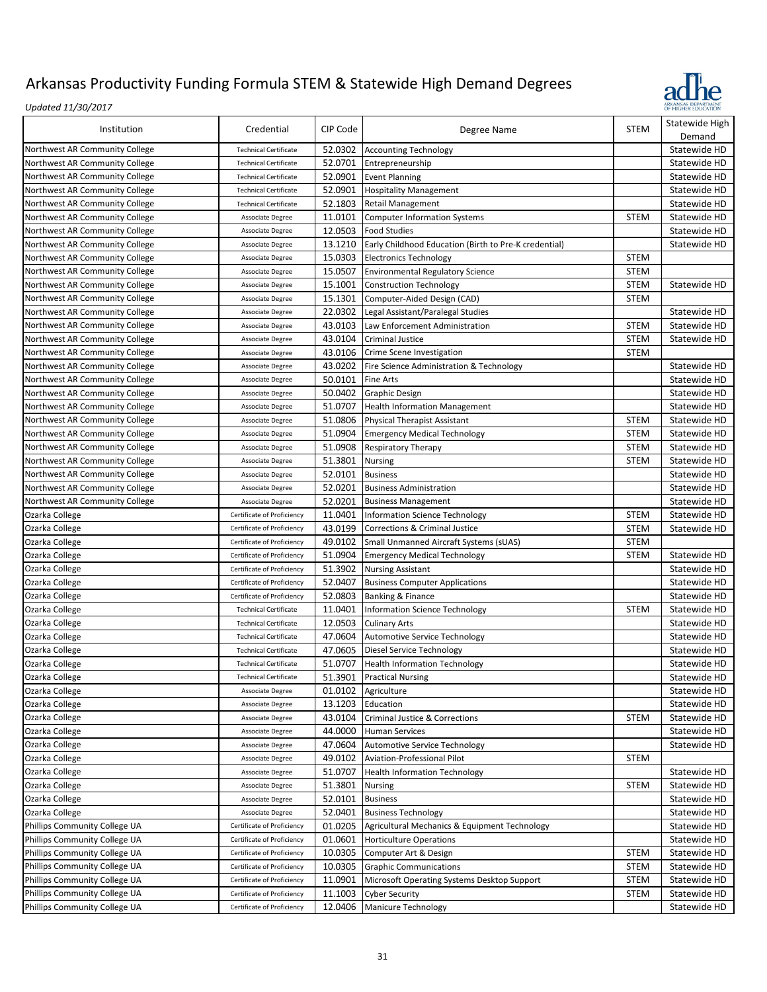

| Institution                    | Credential                   | CIP Code | Degree Name                                           | <b>STEM</b> | Statewide High |
|--------------------------------|------------------------------|----------|-------------------------------------------------------|-------------|----------------|
|                                |                              |          |                                                       |             | Demand         |
| Northwest AR Community College | <b>Technical Certificate</b> | 52.0302  | <b>Accounting Technology</b>                          |             | Statewide HD   |
| Northwest AR Community College | <b>Technical Certificate</b> | 52.0701  | Entrepreneurship                                      |             | Statewide HD   |
| Northwest AR Community College | <b>Technical Certificate</b> | 52.0901  | <b>Event Planning</b>                                 |             | Statewide HD   |
| Northwest AR Community College | <b>Technical Certificate</b> | 52.0901  | <b>Hospitality Management</b>                         |             | Statewide HD   |
| Northwest AR Community College | <b>Technical Certificate</b> | 52.1803  | <b>Retail Management</b>                              |             | Statewide HD   |
| Northwest AR Community College | Associate Degree             | 11.0101  | <b>Computer Information Systems</b>                   | <b>STEM</b> | Statewide HD   |
| Northwest AR Community College | Associate Degree             | 12.0503  | <b>Food Studies</b>                                   |             | Statewide HD   |
| Northwest AR Community College | Associate Degree             | 13.1210  | Early Childhood Education (Birth to Pre-K credential) |             | Statewide HD   |
| Northwest AR Community College | Associate Degree             | 15.0303  | <b>Electronics Technology</b>                         | <b>STEM</b> |                |
| Northwest AR Community College | Associate Degree             | 15.0507  | <b>Environmental Regulatory Science</b>               | <b>STEM</b> |                |
| Northwest AR Community College | Associate Degree             | 15.1001  | <b>Construction Technology</b>                        | <b>STEM</b> | Statewide HD   |
| Northwest AR Community College | Associate Degree             | 15.1301  | Computer-Aided Design (CAD)                           | <b>STEM</b> |                |
| Northwest AR Community College | Associate Degree             | 22.0302  | Legal Assistant/Paralegal Studies                     |             | Statewide HD   |
| Northwest AR Community College | Associate Degree             | 43.0103  | Law Enforcement Administration                        | <b>STEM</b> | Statewide HD   |
| Northwest AR Community College | Associate Degree             | 43.0104  | Criminal Justice                                      | <b>STEM</b> | Statewide HD   |
| Northwest AR Community College | Associate Degree             | 43.0106  | Crime Scene Investigation                             | <b>STEM</b> |                |
| Northwest AR Community College | Associate Degree             | 43.0202  | Fire Science Administration & Technology              |             | Statewide HD   |
| Northwest AR Community College | Associate Degree             | 50.0101  | Fine Arts                                             |             | Statewide HD   |
|                                |                              | 50.0402  |                                                       |             |                |
| Northwest AR Community College | Associate Degree             | 51.0707  | <b>Graphic Design</b>                                 |             | Statewide HD   |
| Northwest AR Community College | Associate Degree             |          | <b>Health Information Management</b>                  |             | Statewide HD   |
| Northwest AR Community College | Associate Degree             | 51.0806  | Physical Therapist Assistant                          | <b>STEM</b> | Statewide HD   |
| Northwest AR Community College | Associate Degree             | 51.0904  | <b>Emergency Medical Technology</b>                   | <b>STEM</b> | Statewide HD   |
| Northwest AR Community College | Associate Degree             | 51.0908  | <b>Respiratory Therapy</b>                            | <b>STEM</b> | Statewide HD   |
| Northwest AR Community College | Associate Degree             | 51.3801  | Nursing                                               | <b>STEM</b> | Statewide HD   |
| Northwest AR Community College | Associate Degree             | 52.0101  | <b>Business</b>                                       |             | Statewide HD   |
| Northwest AR Community College | Associate Degree             | 52.0201  | <b>Business Administration</b>                        |             | Statewide HD   |
| Northwest AR Community College | Associate Degree             | 52.0201  | <b>Business Management</b>                            |             | Statewide HD   |
| Ozarka College                 | Certificate of Proficiency   | 11.0401  | <b>Information Science Technology</b>                 | <b>STEM</b> | Statewide HD   |
| Ozarka College                 | Certificate of Proficiency   | 43.0199  | Corrections & Criminal Justice                        | <b>STEM</b> | Statewide HD   |
| Ozarka College                 | Certificate of Proficiency   | 49.0102  | Small Unmanned Aircraft Systems (sUAS)                | <b>STEM</b> |                |
| Ozarka College                 | Certificate of Proficiency   | 51.0904  | <b>Emergency Medical Technology</b>                   | <b>STEM</b> | Statewide HD   |
| Ozarka College                 | Certificate of Proficiency   | 51.3902  | <b>Nursing Assistant</b>                              |             | Statewide HD   |
| Ozarka College                 | Certificate of Proficiency   | 52.0407  | <b>Business Computer Applications</b>                 |             | Statewide HD   |
| Ozarka College                 | Certificate of Proficiency   | 52.0803  | Banking & Finance                                     |             | Statewide HD   |
| Ozarka College                 | <b>Technical Certificate</b> | 11.0401  | <b>Information Science Technology</b>                 | <b>STEM</b> | Statewide HD   |
| Ozarka College                 | <b>Technical Certificate</b> | 12.0503  | <b>Culinary Arts</b>                                  |             | Statewide HD   |
| Ozarka College                 | <b>Technical Certificate</b> | 47.0604  | Automotive Service Technology                         |             | Statewide HD   |
| Ozarka College                 | <b>Technical Certificate</b> | 47.0605  | Diesel Service Technology                             |             | Statewide HD   |
| Ozarka College                 | <b>Technical Certificate</b> | 51.0707  | <b>Health Information Technology</b>                  |             | Statewide HD   |
| Ozarka College                 | <b>Technical Certificate</b> | 51.3901  | <b>Practical Nursing</b>                              |             | Statewide HD   |
| Ozarka College                 | Associate Degree             |          | 01.0102 Agriculture                                   |             | Statewide HD   |
| Ozarka College                 | Associate Degree             | 13.1203  | Education                                             |             | Statewide HD   |
| Ozarka College                 | Associate Degree             | 43.0104  | Criminal Justice & Corrections                        | <b>STEM</b> | Statewide HD   |
| Ozarka College                 | Associate Degree             | 44.0000  | Human Services                                        |             | Statewide HD   |
|                                |                              |          |                                                       |             |                |
| Ozarka College                 | Associate Degree             | 47.0604  | <b>Automotive Service Technology</b>                  |             | Statewide HD   |
| Ozarka College                 | Associate Degree             | 49.0102  | Aviation-Professional Pilot                           | STEM        |                |
| Ozarka College                 | Associate Degree             | 51.0707  | <b>Health Information Technology</b>                  |             | Statewide HD   |
| Ozarka College                 | Associate Degree             | 51.3801  | Nursing                                               | <b>STEM</b> | Statewide HD   |
| Ozarka College                 | Associate Degree             | 52.0101  | <b>Business</b>                                       |             | Statewide HD   |
| Ozarka College                 | Associate Degree             | 52.0401  | <b>Business Technology</b>                            |             | Statewide HD   |
| Phillips Community College UA  | Certificate of Proficiency   | 01.0205  | Agricultural Mechanics & Equipment Technology         |             | Statewide HD   |
| Phillips Community College UA  | Certificate of Proficiency   | 01.0601  | <b>Horticulture Operations</b>                        |             | Statewide HD   |
| Phillips Community College UA  | Certificate of Proficiency   | 10.0305  | Computer Art & Design                                 | <b>STEM</b> | Statewide HD   |
| Phillips Community College UA  | Certificate of Proficiency   | 10.0305  | <b>Graphic Communications</b>                         | <b>STEM</b> | Statewide HD   |
| Phillips Community College UA  | Certificate of Proficiency   | 11.0901  | Microsoft Operating Systems Desktop Support           | <b>STEM</b> | Statewide HD   |
| Phillips Community College UA  | Certificate of Proficiency   | 11.1003  | Cyber Security                                        | STEM        | Statewide HD   |
| Phillips Community College UA  | Certificate of Proficiency   | 12.0406  | Manicure Technology                                   |             | Statewide HD   |
|                                |                              |          |                                                       |             |                |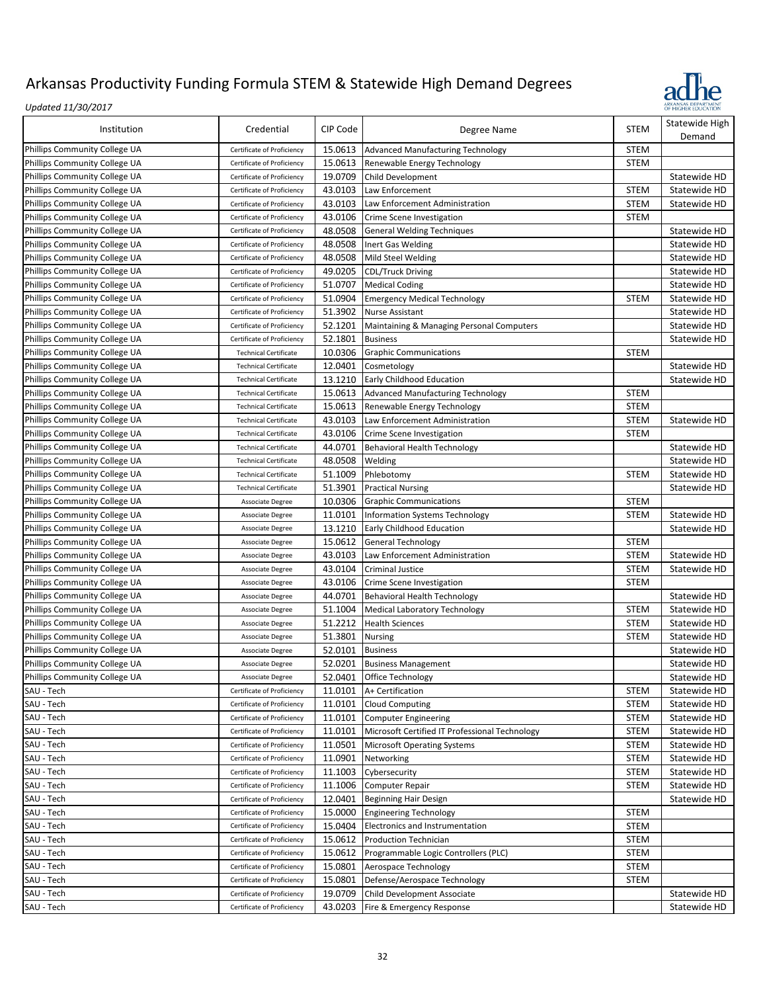

| Institution                   | Credential                   | CIP Code           | Degree Name                                    | <b>STEM</b>                | Statewide High<br>Demand |
|-------------------------------|------------------------------|--------------------|------------------------------------------------|----------------------------|--------------------------|
| Phillips Community College UA | Certificate of Proficiency   | 15.0613            | <b>Advanced Manufacturing Technology</b>       | <b>STEM</b>                |                          |
| Phillips Community College UA | Certificate of Proficiency   | 15.0613            | Renewable Energy Technology                    | <b>STEM</b>                |                          |
| Phillips Community College UA | Certificate of Proficiency   | 19.0709            | Child Development                              |                            | Statewide HD             |
| Phillips Community College UA | Certificate of Proficiency   | 43.0103            | Law Enforcement                                | <b>STEM</b>                | Statewide HD             |
| Phillips Community College UA | Certificate of Proficiency   | 43.0103            | Law Enforcement Administration                 | <b>STEM</b>                | Statewide HD             |
| Phillips Community College UA | Certificate of Proficiency   | 43.0106            | Crime Scene Investigation                      | <b>STEM</b>                |                          |
| Phillips Community College UA | Certificate of Proficiency   | 48.0508            | <b>General Welding Techniques</b>              |                            | Statewide HD             |
| Phillips Community College UA | Certificate of Proficiency   | 48.0508            | Inert Gas Welding                              |                            | Statewide HD             |
| Phillips Community College UA | Certificate of Proficiency   | 48.0508            | Mild Steel Welding                             |                            | Statewide HD             |
| Phillips Community College UA | Certificate of Proficiency   | 49.0205            | <b>CDL/Truck Driving</b>                       |                            | Statewide HD             |
| Phillips Community College UA | Certificate of Proficiency   | 51.0707            | <b>Medical Coding</b>                          |                            | Statewide HD             |
| Phillips Community College UA | Certificate of Proficiency   | 51.0904            | <b>Emergency Medical Technology</b>            | <b>STEM</b>                | Statewide HD             |
| Phillips Community College UA | Certificate of Proficiency   | 51.3902            | <b>Nurse Assistant</b>                         |                            | Statewide HD             |
| Phillips Community College UA | Certificate of Proficiency   | 52.1201            | Maintaining & Managing Personal Computers      |                            | Statewide HD             |
| Phillips Community College UA | Certificate of Proficiency   | 52.1801            | <b>Business</b>                                |                            | Statewide HD             |
| Phillips Community College UA | <b>Technical Certificate</b> | 10.0306            | <b>Graphic Communications</b>                  | <b>STEM</b>                |                          |
| Phillips Community College UA | <b>Technical Certificate</b> | 12.0401            | Cosmetology                                    |                            | Statewide HD             |
| Phillips Community College UA | <b>Technical Certificate</b> | 13.1210            | Early Childhood Education                      |                            | Statewide HD             |
| Phillips Community College UA | <b>Technical Certificate</b> | 15.0613            | <b>Advanced Manufacturing Technology</b>       | <b>STEM</b>                |                          |
| Phillips Community College UA | <b>Technical Certificate</b> | 15.0613            | Renewable Energy Technology                    | <b>STEM</b>                |                          |
| Phillips Community College UA | <b>Technical Certificate</b> | 43.0103            | Law Enforcement Administration                 | <b>STEM</b>                | Statewide HD             |
| Phillips Community College UA | <b>Technical Certificate</b> | 43.0106            | Crime Scene Investigation                      | <b>STEM</b>                |                          |
| Phillips Community College UA | <b>Technical Certificate</b> | 44.0701            | <b>Behavioral Health Technology</b>            |                            | Statewide HD             |
| Phillips Community College UA | <b>Technical Certificate</b> | 48.0508            | Welding                                        |                            | Statewide HD             |
| Phillips Community College UA | <b>Technical Certificate</b> | 51.1009            | Phlebotomy                                     | <b>STEM</b>                | Statewide HD             |
|                               |                              |                    |                                                |                            | Statewide HD             |
| Phillips Community College UA | <b>Technical Certificate</b> | 51.3901            | <b>Practical Nursing</b>                       |                            |                          |
| Phillips Community College UA | Associate Degree             | 10.0306            | <b>Graphic Communications</b>                  | <b>STEM</b>                |                          |
| Phillips Community College UA | Associate Degree             | 11.0101            | <b>Information Systems Technology</b>          | <b>STEM</b>                | Statewide HD             |
| Phillips Community College UA | Associate Degree             | 13.1210<br>15.0612 | Early Childhood Education                      | <b>STEM</b>                | Statewide HD             |
| Phillips Community College UA | Associate Degree             | 43.0103            | <b>General Technology</b>                      |                            | Statewide HD             |
| Phillips Community College UA | Associate Degree             | 43.0104            | Law Enforcement Administration                 | <b>STEM</b><br><b>STEM</b> |                          |
| Phillips Community College UA | Associate Degree             |                    | Criminal Justice                               |                            | Statewide HD             |
| Phillips Community College UA | Associate Degree             | 43.0106            | Crime Scene Investigation                      | <b>STEM</b>                |                          |
| Phillips Community College UA | Associate Degree             | 44.0701            | Behavioral Health Technology                   |                            | Statewide HD             |
| Phillips Community College UA | Associate Degree             | 51.1004            | <b>Medical Laboratory Technology</b>           | <b>STEM</b>                | Statewide HD             |
| Phillips Community College UA | Associate Degree             | 51.2212            | <b>Health Sciences</b>                         | <b>STEM</b>                | Statewide HD             |
| Phillips Community College UA | Associate Degree             | 51.3801            | Nursing                                        | <b>STEM</b>                | Statewide HD             |
| Phillips Community College UA | Associate Degree             | 52.0101            | <b>Business</b>                                |                            | Statewide HD             |
| Phillips Community College UA | Associate Degree             | 52.0201            | <b>Business Management</b>                     |                            | Statewide HD             |
| Phillips Community College UA | Associate Degree             |                    | 52.0401 Office Technology                      |                            | Statewide HD             |
| SAU - Tech                    | Certificate of Proficiency   | 11.0101            | A+ Certification                               | <b>STEM</b>                | Statewide HD             |
| SAU - Tech                    | Certificate of Proficiency   | 11.0101            | <b>Cloud Computing</b>                         | STEM                       | Statewide HD             |
| SAU - Tech                    | Certificate of Proficiency   | 11.0101            | <b>Computer Engineering</b>                    | STEM                       | Statewide HD             |
| SAU - Tech                    | Certificate of Proficiency   | 11.0101            | Microsoft Certified IT Professional Technology | STEM                       | Statewide HD             |
| SAU - Tech                    | Certificate of Proficiency   | 11.0501            | <b>Microsoft Operating Systems</b>             | STEM                       | Statewide HD             |
| SAU - Tech                    | Certificate of Proficiency   | 11.0901            | Networking                                     | <b>STEM</b>                | Statewide HD             |
| SAU - Tech                    | Certificate of Proficiency   | 11.1003            | Cybersecurity                                  | STEM                       | Statewide HD             |
| SAU - Tech                    | Certificate of Proficiency   | 11.1006            | Computer Repair                                | <b>STEM</b>                | Statewide HD             |
| SAU - Tech                    | Certificate of Proficiency   | 12.0401            | Beginning Hair Design                          |                            | Statewide HD             |
| SAU - Tech                    | Certificate of Proficiency   | 15.0000            | <b>Engineering Technology</b>                  | STEM                       |                          |
| SAU - Tech                    | Certificate of Proficiency   | 15.0404            | Electronics and Instrumentation                | STEM                       |                          |
| SAU - Tech                    | Certificate of Proficiency   | 15.0612            | <b>Production Technician</b>                   | STEM                       |                          |
| SAU - Tech                    | Certificate of Proficiency   | 15.0612            | Programmable Logic Controllers (PLC)           | STEM                       |                          |
| SAU - Tech                    | Certificate of Proficiency   | 15.0801            | Aerospace Technology                           | STEM                       |                          |
| SAU - Tech                    | Certificate of Proficiency   | 15.0801            | Defense/Aerospace Technology                   | <b>STEM</b>                |                          |
| SAU - Tech                    | Certificate of Proficiency   | 19.0709            | Child Development Associate                    |                            | Statewide HD             |
| SAU - Tech                    | Certificate of Proficiency   | 43.0203            | Fire & Emergency Response                      |                            | Statewide HD             |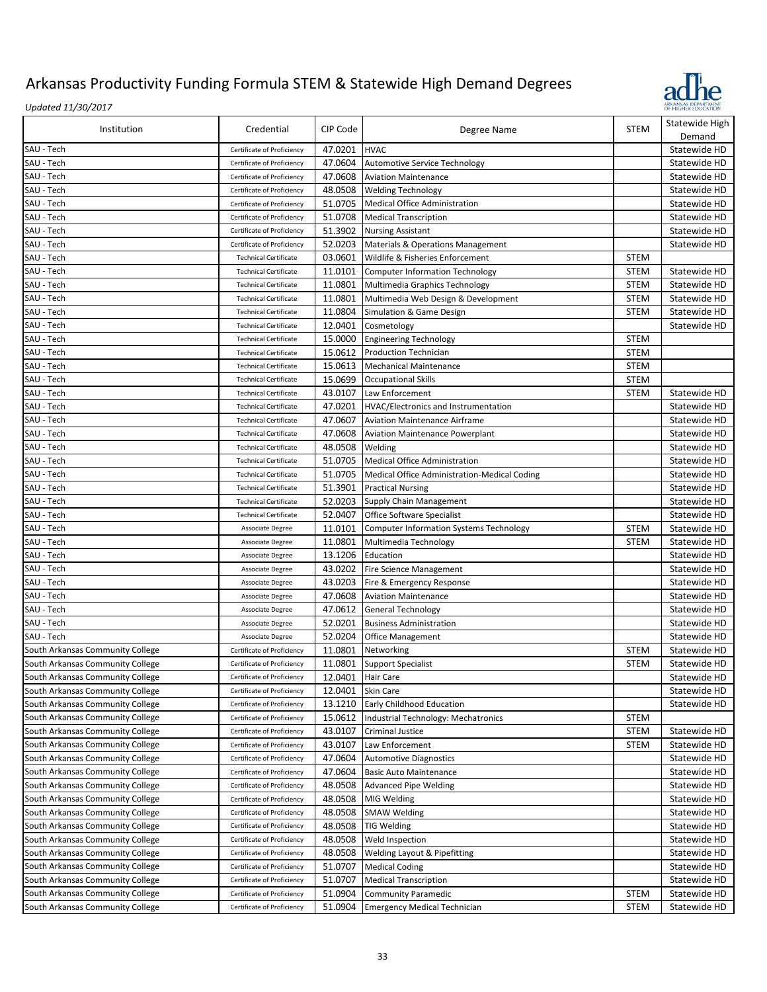

| Institution                      | Credential                                                   | CIP Code | Degree Name                                     | <b>STEM</b> | Statewide High<br>Demand |
|----------------------------------|--------------------------------------------------------------|----------|-------------------------------------------------|-------------|--------------------------|
| SAU - Tech                       | Certificate of Proficiency                                   | 47.0201  | <b>HVAC</b>                                     |             | Statewide HD             |
| SAU - Tech                       | Certificate of Proficiency                                   | 47.0604  | <b>Automotive Service Technology</b>            |             | Statewide HD             |
| SAU - Tech                       | Certificate of Proficiency                                   | 47.0608  | <b>Aviation Maintenance</b>                     |             | Statewide HD             |
| SAU - Tech                       | Certificate of Proficiency                                   | 48.0508  | <b>Welding Technology</b>                       |             | Statewide HD             |
| SAU - Tech                       | Certificate of Proficiency                                   | 51.0705  | <b>Medical Office Administration</b>            |             | Statewide HD             |
| SAU - Tech                       | Certificate of Proficiency                                   | 51.0708  | <b>Medical Transcription</b>                    |             | Statewide HD             |
| SAU - Tech                       | Certificate of Proficiency                                   | 51.3902  | <b>Nursing Assistant</b>                        |             | Statewide HD             |
| SAU - Tech                       | Certificate of Proficiency                                   | 52.0203  | <b>Materials &amp; Operations Management</b>    |             | Statewide HD             |
| SAU - Tech                       | <b>Technical Certificate</b>                                 | 03.0601  | Wildlife & Fisheries Enforcement                | <b>STEM</b> |                          |
| SAU - Tech                       | <b>Technical Certificate</b>                                 | 11.0101  | <b>Computer Information Technology</b>          | <b>STEM</b> | Statewide HD             |
| SAU - Tech                       | <b>Technical Certificate</b>                                 | 11.0801  | Multimedia Graphics Technology                  | <b>STEM</b> | Statewide HD             |
| SAU - Tech                       | <b>Technical Certificate</b>                                 | 11.0801  | Multimedia Web Design & Development             | <b>STEM</b> | Statewide HD             |
| SAU - Tech                       | <b>Technical Certificate</b>                                 | 11.0804  | Simulation & Game Design                        | <b>STEM</b> | Statewide HD             |
| SAU - Tech                       | <b>Technical Certificate</b>                                 | 12.0401  | Cosmetology                                     |             | Statewide HD             |
| SAU - Tech                       | <b>Technical Certificate</b>                                 | 15.0000  | <b>Engineering Technology</b>                   | <b>STEM</b> |                          |
| SAU - Tech                       | <b>Technical Certificate</b>                                 | 15.0612  | <b>Production Technician</b>                    | <b>STEM</b> |                          |
| SAU - Tech                       | <b>Technical Certificate</b>                                 | 15.0613  | <b>Mechanical Maintenance</b>                   | <b>STEM</b> |                          |
| SAU - Tech                       | <b>Technical Certificate</b>                                 | 15.0699  | <b>Occupational Skills</b>                      | <b>STEM</b> |                          |
| SAU - Tech                       | <b>Technical Certificate</b>                                 | 43.0107  | Law Enforcement                                 | <b>STEM</b> | Statewide HD             |
| SAU - Tech                       | <b>Technical Certificate</b>                                 | 47.0201  | HVAC/Electronics and Instrumentation            |             | Statewide HD             |
| SAU - Tech                       |                                                              | 47.0607  | <b>Aviation Maintenance Airframe</b>            |             | Statewide HD             |
| SAU - Tech                       | <b>Technical Certificate</b><br><b>Technical Certificate</b> | 47.0608  | <b>Aviation Maintenance Powerplant</b>          |             | Statewide HD             |
| SAU - Tech                       |                                                              |          |                                                 |             | Statewide HD             |
|                                  | <b>Technical Certificate</b><br><b>Technical Certificate</b> | 48.0508  | Welding<br><b>Medical Office Administration</b> |             |                          |
| SAU - Tech                       |                                                              | 51.0705  |                                                 |             | Statewide HD             |
| SAU - Tech                       | <b>Technical Certificate</b>                                 | 51.0705  | Medical Office Administration-Medical Coding    |             | Statewide HD             |
| SAU - Tech                       | <b>Technical Certificate</b>                                 | 51.3901  | <b>Practical Nursing</b>                        |             | Statewide HD             |
| SAU - Tech                       | <b>Technical Certificate</b>                                 | 52.0203  | Supply Chain Management                         |             | Statewide HD             |
| SAU - Tech                       | <b>Technical Certificate</b>                                 | 52.0407  | Office Software Specialist                      |             | Statewide HD             |
| SAU - Tech                       | Associate Degree                                             | 11.0101  | <b>Computer Information Systems Technology</b>  | <b>STEM</b> | Statewide HD             |
| SAU - Tech                       | Associate Degree                                             | 11.0801  | Multimedia Technology                           | <b>STEM</b> | Statewide HD             |
| SAU - Tech                       | Associate Degree                                             | 13.1206  | Education                                       |             | Statewide HD             |
| SAU - Tech                       | Associate Degree                                             | 43.0202  | Fire Science Management                         |             | Statewide HD             |
| SAU - Tech                       | Associate Degree                                             | 43.0203  | Fire & Emergency Response                       |             | Statewide HD             |
| SAU - Tech                       | Associate Degree                                             | 47.0608  | <b>Aviation Maintenance</b>                     |             | Statewide HD             |
| SAU - Tech                       | Associate Degree                                             | 47.0612  | <b>General Technology</b>                       |             | Statewide HD             |
| SAU - Tech                       | Associate Degree                                             | 52.0201  | <b>Business Administration</b>                  |             | Statewide HD             |
| SAU - Tech                       | Associate Degree                                             | 52.0204  | Office Management                               |             | Statewide HD             |
| South Arkansas Community College | Certificate of Proficiency                                   | 11.0801  | Networking                                      | <b>STEM</b> | Statewide HD             |
| South Arkansas Community College | Certificate of Proficiency                                   | 11.0801  | <b>Support Specialist</b>                       | <b>STEM</b> | Statewide HD             |
| South Arkansas Community College | Certificate of Proficiency                                   |          | 12.0401 Hair Care                               |             | Statewide HD             |
| South Arkansas Community College | Certificate of Proficiency                                   | 12.0401  | Skin Care                                       |             | Statewide HD             |
| South Arkansas Community College | Certificate of Proficiency                                   | 13.1210  | Early Childhood Education                       |             | Statewide HD             |
| South Arkansas Community College | Certificate of Proficiency                                   | 15.0612  | Industrial Technology: Mechatronics             | <b>STEM</b> |                          |
| South Arkansas Community College | Certificate of Proficiency                                   | 43.0107  | Criminal Justice                                | <b>STEM</b> | Statewide HD             |
| South Arkansas Community College | Certificate of Proficiency                                   | 43.0107  | Law Enforcement                                 | <b>STEM</b> | Statewide HD             |
| South Arkansas Community College | Certificate of Proficiency                                   | 47.0604  | <b>Automotive Diagnostics</b>                   |             | Statewide HD             |
| South Arkansas Community College | Certificate of Proficiency                                   | 47.0604  | <b>Basic Auto Maintenance</b>                   |             | Statewide HD             |
| South Arkansas Community College | Certificate of Proficiency                                   | 48.0508  | <b>Advanced Pipe Welding</b>                    |             | Statewide HD             |
| South Arkansas Community College | Certificate of Proficiency                                   | 48.0508  | MIG Welding                                     |             | Statewide HD             |
| South Arkansas Community College | Certificate of Proficiency                                   | 48.0508  | <b>SMAW Welding</b>                             |             | Statewide HD             |
| South Arkansas Community College | Certificate of Proficiency                                   | 48.0508  | TIG Welding                                     |             | Statewide HD             |
| South Arkansas Community College | Certificate of Proficiency                                   | 48.0508  | Weld Inspection                                 |             | Statewide HD             |
| South Arkansas Community College | Certificate of Proficiency                                   | 48.0508  | Welding Layout & Pipefitting                    |             | Statewide HD             |
| South Arkansas Community College | Certificate of Proficiency                                   | 51.0707  | <b>Medical Coding</b>                           |             | Statewide HD             |
| South Arkansas Community College | Certificate of Proficiency                                   | 51.0707  | <b>Medical Transcription</b>                    |             | Statewide HD             |
| South Arkansas Community College | Certificate of Proficiency                                   | 51.0904  | <b>Community Paramedic</b>                      | <b>STEM</b> | Statewide HD             |
| South Arkansas Community College | Certificate of Proficiency                                   | 51.0904  | <b>Emergency Medical Technician</b>             | <b>STEM</b> | Statewide HD             |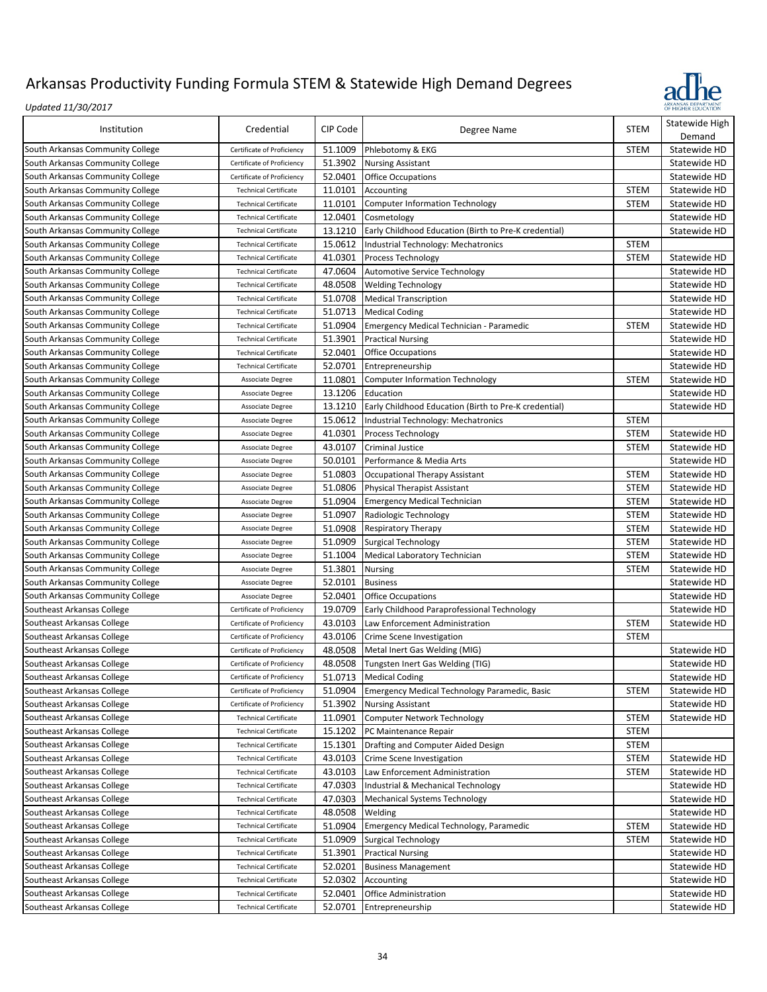

| Institution                      | Credential                   | CIP Code | Degree Name                                           | <b>STEM</b> | Statewide High<br>Demand |
|----------------------------------|------------------------------|----------|-------------------------------------------------------|-------------|--------------------------|
| South Arkansas Community College | Certificate of Proficiency   | 51.1009  | Phlebotomy & EKG                                      | <b>STEM</b> | Statewide HD             |
| South Arkansas Community College | Certificate of Proficiency   | 51.3902  | <b>Nursing Assistant</b>                              |             | Statewide HD             |
| South Arkansas Community College | Certificate of Proficiency   | 52.0401  | <b>Office Occupations</b>                             |             | Statewide HD             |
| South Arkansas Community College | <b>Technical Certificate</b> | 11.0101  | Accounting                                            | <b>STEM</b> | Statewide HD             |
| South Arkansas Community College | <b>Technical Certificate</b> | 11.0101  | <b>Computer Information Technology</b>                | <b>STEM</b> | Statewide HD             |
| South Arkansas Community College | <b>Technical Certificate</b> | 12.0401  | Cosmetology                                           |             | Statewide HD             |
| South Arkansas Community College | <b>Technical Certificate</b> | 13.1210  | Early Childhood Education (Birth to Pre-K credential) |             | Statewide HD             |
| South Arkansas Community College | <b>Technical Certificate</b> | 15.0612  | Industrial Technology: Mechatronics                   | <b>STEM</b> |                          |
| South Arkansas Community College | <b>Technical Certificate</b> | 41.0301  | Process Technology                                    | <b>STEM</b> | Statewide HD             |
| South Arkansas Community College | <b>Technical Certificate</b> | 47.0604  | Automotive Service Technology                         |             | Statewide HD             |
| South Arkansas Community College | <b>Technical Certificate</b> | 48.0508  | <b>Welding Technology</b>                             |             | Statewide HD             |
| South Arkansas Community College | <b>Technical Certificate</b> | 51.0708  | <b>Medical Transcription</b>                          |             | Statewide HD             |
| South Arkansas Community College | <b>Technical Certificate</b> | 51.0713  | <b>Medical Coding</b>                                 |             | Statewide HD             |
| South Arkansas Community College | <b>Technical Certificate</b> | 51.0904  | Emergency Medical Technician - Paramedic              | <b>STEM</b> | Statewide HD             |
| South Arkansas Community College | <b>Technical Certificate</b> | 51.3901  | <b>Practical Nursing</b>                              |             | Statewide HD             |
| South Arkansas Community College | <b>Technical Certificate</b> | 52.0401  | <b>Office Occupations</b>                             |             | Statewide HD             |
| South Arkansas Community College | <b>Technical Certificate</b> | 52.0701  | Entrepreneurship                                      |             | Statewide HD             |
| South Arkansas Community College | Associate Degree             | 11.0801  | <b>Computer Information Technology</b>                | <b>STEM</b> | Statewide HD             |
| South Arkansas Community College | Associate Degree             | 13.1206  | Education                                             |             | Statewide HD             |
| South Arkansas Community College | <b>Associate Degree</b>      | 13.1210  | Early Childhood Education (Birth to Pre-K credential) |             | Statewide HD             |
| South Arkansas Community College | Associate Degree             | 15.0612  | Industrial Technology: Mechatronics                   | <b>STEM</b> |                          |
| South Arkansas Community College | <b>Associate Degree</b>      | 41.0301  | Process Technology                                    | <b>STEM</b> | Statewide HD             |
|                                  | Associate Degree             | 43.0107  | Criminal Justice                                      | <b>STEM</b> | Statewide HD             |
| South Arkansas Community College | Associate Degree             | 50.0101  | Performance & Media Arts                              |             | Statewide HD             |
| South Arkansas Community College | Associate Degree             | 51.0803  |                                                       | <b>STEM</b> | Statewide HD             |
| South Arkansas Community College |                              |          | Occupational Therapy Assistant                        |             |                          |
| South Arkansas Community College | Associate Degree             | 51.0806  | <b>Physical Therapist Assistant</b>                   | <b>STEM</b> | Statewide HD             |
| South Arkansas Community College | Associate Degree             | 51.0904  | <b>Emergency Medical Technician</b>                   | <b>STEM</b> | Statewide HD             |
| South Arkansas Community College | Associate Degree             | 51.0907  | Radiologic Technology                                 | <b>STEM</b> | Statewide HD             |
| South Arkansas Community College | Associate Degree             | 51.0908  | <b>Respiratory Therapy</b>                            | <b>STEM</b> | Statewide HD             |
| South Arkansas Community College | Associate Degree             | 51.0909  | <b>Surgical Technology</b>                            | <b>STEM</b> | Statewide HD             |
| South Arkansas Community College | Associate Degree             | 51.1004  | Medical Laboratory Technician                         | <b>STEM</b> | Statewide HD             |
| South Arkansas Community College | Associate Degree             | 51.3801  | <b>Nursing</b>                                        | <b>STEM</b> | Statewide HD             |
| South Arkansas Community College | Associate Degree             | 52.0101  | <b>Business</b>                                       |             | Statewide HD             |
| South Arkansas Community College | Associate Degree             | 52.0401  | <b>Office Occupations</b>                             |             | Statewide HD             |
| Southeast Arkansas College       | Certificate of Proficiency   | 19.0709  | Early Childhood Paraprofessional Technology           |             | Statewide HD             |
| Southeast Arkansas College       | Certificate of Proficiency   | 43.0103  | Law Enforcement Administration                        | <b>STEM</b> | Statewide HD             |
| Southeast Arkansas College       | Certificate of Proficiency   | 43.0106  | Crime Scene Investigation                             | <b>STEM</b> |                          |
| Southeast Arkansas College       | Certificate of Proficiency   | 48.0508  | Metal Inert Gas Welding (MIG)                         |             | Statewide HD             |
| Southeast Arkansas College       | Certificate of Proficiency   | 48.0508  | Tungsten Inert Gas Welding (TIG)                      |             | Statewide HD             |
| Southeast Arkansas College       | Certificate of Proficiency   |          | 51.0713 Medical Coding                                |             | Statewide HD             |
| Southeast Arkansas College       | Certificate of Proficiency   | 51.0904  | Emergency Medical Technology Paramedic, Basic         | <b>STEM</b> | Statewide HD             |
| Southeast Arkansas College       | Certificate of Proficiency   | 51.3902  | <b>Nursing Assistant</b>                              |             | Statewide HD             |
| Southeast Arkansas College       | <b>Technical Certificate</b> | 11.0901  | <b>Computer Network Technology</b>                    | <b>STEM</b> | Statewide HD             |
| Southeast Arkansas College       | <b>Technical Certificate</b> | 15.1202  | PC Maintenance Repair                                 | <b>STEM</b> |                          |
| Southeast Arkansas College       | <b>Technical Certificate</b> | 15.1301  | Drafting and Computer Aided Design                    | <b>STEM</b> |                          |
| Southeast Arkansas College       | <b>Technical Certificate</b> | 43.0103  | Crime Scene Investigation                             | <b>STEM</b> | Statewide HD             |
| Southeast Arkansas College       | <b>Technical Certificate</b> | 43.0103  | Law Enforcement Administration                        | <b>STEM</b> | Statewide HD             |
| Southeast Arkansas College       | <b>Technical Certificate</b> | 47.0303  | Industrial & Mechanical Technology                    |             | Statewide HD             |
| Southeast Arkansas College       | <b>Technical Certificate</b> | 47.0303  | <b>Mechanical Systems Technology</b>                  |             | Statewide HD             |
| Southeast Arkansas College       | <b>Technical Certificate</b> | 48.0508  | Welding                                               |             | Statewide HD             |
| Southeast Arkansas College       | <b>Technical Certificate</b> | 51.0904  | <b>Emergency Medical Technology, Paramedic</b>        | <b>STEM</b> | Statewide HD             |
| Southeast Arkansas College       | <b>Technical Certificate</b> | 51.0909  | <b>Surgical Technology</b>                            | <b>STEM</b> | Statewide HD             |
| Southeast Arkansas College       | <b>Technical Certificate</b> | 51.3901  | <b>Practical Nursing</b>                              |             | Statewide HD             |
| Southeast Arkansas College       | <b>Technical Certificate</b> | 52.0201  | <b>Business Management</b>                            |             | Statewide HD             |
| Southeast Arkansas College       | <b>Technical Certificate</b> | 52.0302  | Accounting                                            |             | Statewide HD             |
| Southeast Arkansas College       | <b>Technical Certificate</b> | 52.0401  | Office Administration                                 |             | Statewide HD             |
| Southeast Arkansas College       | <b>Technical Certificate</b> | 52.0701  | Entrepreneurship                                      |             | Statewide HD             |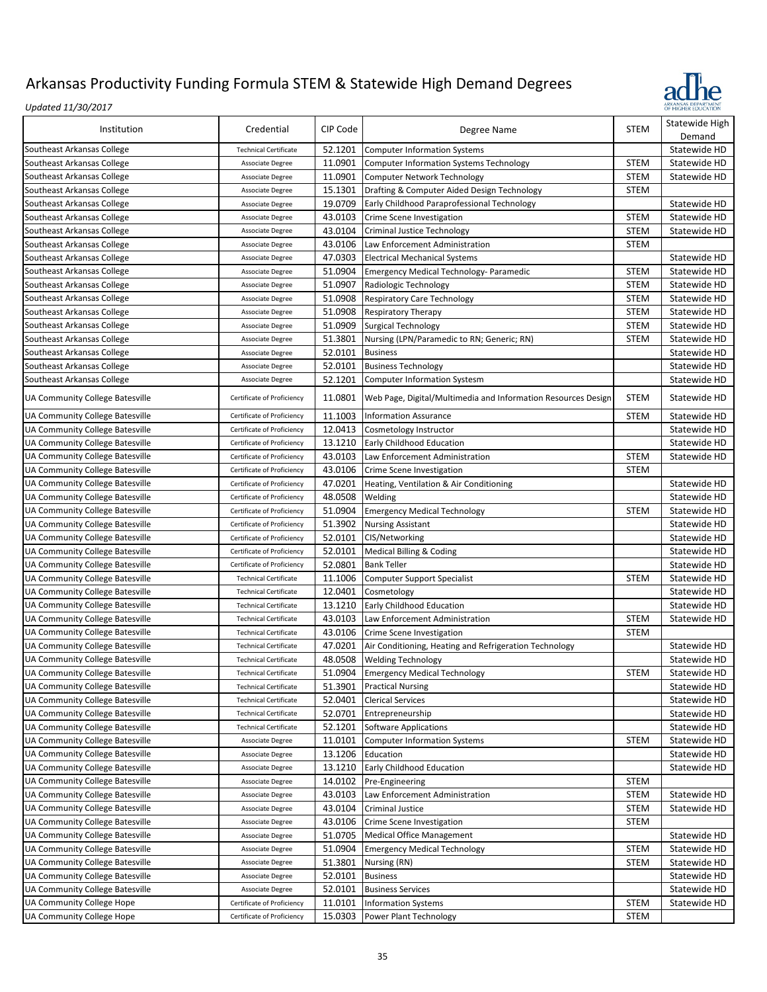

| Institution                     | Credential                   | CIP Code | Degree Name                                                   | <b>STEM</b> | Statewide High<br>Demand |
|---------------------------------|------------------------------|----------|---------------------------------------------------------------|-------------|--------------------------|
| Southeast Arkansas College      | <b>Technical Certificate</b> | 52.1201  | <b>Computer Information Systems</b>                           |             | Statewide HD             |
|                                 |                              |          |                                                               |             |                          |
| Southeast Arkansas College      | Associate Degree             | 11.0901  | <b>Computer Information Systems Technology</b>                | <b>STEM</b> | Statewide HD             |
| Southeast Arkansas College      | Associate Degree             | 11.0901  | Computer Network Technology                                   | <b>STEM</b> | Statewide HD             |
| Southeast Arkansas College      | Associate Degree             | 15.1301  | Drafting & Computer Aided Design Technology                   | <b>STEM</b> |                          |
| Southeast Arkansas College      | Associate Degree             | 19.0709  | Early Childhood Paraprofessional Technology                   |             | Statewide HD             |
| Southeast Arkansas College      | Associate Degree             | 43.0103  | Crime Scene Investigation                                     | <b>STEM</b> | Statewide HD             |
| Southeast Arkansas College      | Associate Degree             | 43.0104  | Criminal Justice Technology                                   | <b>STEM</b> | Statewide HD             |
| Southeast Arkansas College      | Associate Degree             | 43.0106  | Law Enforcement Administration                                | <b>STEM</b> |                          |
| Southeast Arkansas College      | Associate Degree             | 47.0303  | <b>Electrical Mechanical Systems</b>                          |             | Statewide HD             |
| Southeast Arkansas College      | Associate Degree             | 51.0904  | <b>Emergency Medical Technology- Paramedic</b>                | <b>STEM</b> | Statewide HD             |
| Southeast Arkansas College      | Associate Degree             | 51.0907  | Radiologic Technology                                         | <b>STEM</b> | Statewide HD             |
| Southeast Arkansas College      | Associate Degree             | 51.0908  | <b>Respiratory Care Technology</b>                            | <b>STEM</b> | Statewide HD             |
| Southeast Arkansas College      | Associate Degree             | 51.0908  | <b>Respiratory Therapy</b>                                    | <b>STEM</b> | Statewide HD             |
| Southeast Arkansas College      | Associate Degree             | 51.0909  | <b>Surgical Technology</b>                                    | <b>STEM</b> | Statewide HD             |
| Southeast Arkansas College      | Associate Degree             | 51.3801  | Nursing (LPN/Paramedic to RN; Generic; RN)                    | <b>STEM</b> | Statewide HD             |
| Southeast Arkansas College      | Associate Degree             | 52.0101  | <b>Business</b>                                               |             | Statewide HD             |
| Southeast Arkansas College      | Associate Degree             | 52.0101  | <b>Business Technology</b>                                    |             | Statewide HD             |
| Southeast Arkansas College      | Associate Degree             | 52.1201  | <b>Computer Information Systesm</b>                           |             | Statewide HD             |
|                                 |                              |          |                                                               |             |                          |
| UA Community College Batesville | Certificate of Proficiency   | 11.0801  | Web Page, Digital/Multimedia and Information Resources Design | <b>STEM</b> | Statewide HD             |
| UA Community College Batesville | Certificate of Proficiency   | 11.1003  | <b>Information Assurance</b>                                  | <b>STEM</b> | Statewide HD             |
| UA Community College Batesville | Certificate of Proficiency   | 12.0413  | Cosmetology Instructor                                        |             | Statewide HD             |
| UA Community College Batesville | Certificate of Proficiency   | 13.1210  | Early Childhood Education                                     |             | Statewide HD             |
| UA Community College Batesville | Certificate of Proficiency   | 43.0103  | Law Enforcement Administration                                | <b>STEM</b> | Statewide HD             |
| UA Community College Batesville | Certificate of Proficiency   | 43.0106  | Crime Scene Investigation                                     | <b>STEM</b> |                          |
| UA Community College Batesville | Certificate of Proficiency   | 47.0201  | Heating, Ventilation & Air Conditioning                       |             | Statewide HD             |
| UA Community College Batesville | Certificate of Proficiency   | 48.0508  | Welding                                                       |             | Statewide HD             |
| UA Community College Batesville | Certificate of Proficiency   | 51.0904  | <b>Emergency Medical Technology</b>                           | <b>STEM</b> | Statewide HD             |
| UA Community College Batesville | Certificate of Proficiency   | 51.3902  | <b>Nursing Assistant</b>                                      |             | Statewide HD             |
| UA Community College Batesville | Certificate of Proficiency   | 52.0101  | CIS/Networking                                                |             | Statewide HD             |
| UA Community College Batesville | Certificate of Proficiency   | 52.0101  | Medical Billing & Coding                                      |             | Statewide HD             |
| UA Community College Batesville | Certificate of Proficiency   | 52.0801  | <b>Bank Teller</b>                                            |             | Statewide HD             |
|                                 | <b>Technical Certificate</b> | 11.1006  |                                                               |             | Statewide HD             |
| UA Community College Batesville |                              |          | <b>Computer Support Specialist</b>                            | <b>STEM</b> |                          |
| UA Community College Batesville | <b>Technical Certificate</b> | 12.0401  | Cosmetology                                                   |             | Statewide HD             |
| UA Community College Batesville | <b>Technical Certificate</b> | 13.1210  | Early Childhood Education                                     |             | Statewide HD             |
| UA Community College Batesville | <b>Technical Certificate</b> | 43.0103  | Law Enforcement Administration                                | <b>STEM</b> | Statewide HD             |
| UA Community College Batesville | <b>Technical Certificate</b> | 43.0106  | Crime Scene Investigation                                     | <b>STEM</b> |                          |
| UA Community College Batesville | <b>Technical Certificate</b> | 47.0201  | Air Conditioning, Heating and Refrigeration Technology        |             | Statewide HD             |
| UA Community College Batesville | <b>Technical Certificate</b> | 48.0508  | <b>Welding Technology</b>                                     |             | Statewide HD             |
| UA Community College Batesville | <b>Technical Certificate</b> | 51.0904  | <b>Emergency Medical Technology</b>                           | <b>STEM</b> | Statewide HD             |
| UA Community College Batesville | <b>Technical Certificate</b> | 51.3901  | <b>Practical Nursing</b>                                      |             | Statewide HD             |
| UA Community College Batesville | <b>Technical Certificate</b> | 52.0401  | <b>Clerical Services</b>                                      |             | Statewide HD             |
| UA Community College Batesville | <b>Technical Certificate</b> | 52.0701  | Entrepreneurship                                              |             | Statewide HD             |
| UA Community College Batesville | <b>Technical Certificate</b> | 52.1201  | <b>Software Applications</b>                                  |             | Statewide HD             |
| UA Community College Batesville | Associate Degree             | 11.0101  | <b>Computer Information Systems</b>                           | <b>STEM</b> | Statewide HD             |
| UA Community College Batesville | Associate Degree             | 13.1206  | Education                                                     |             | Statewide HD             |
| UA Community College Batesville | Associate Degree             | 13.1210  | Early Childhood Education                                     |             | Statewide HD             |
| UA Community College Batesville | Associate Degree             | 14.0102  | Pre-Engineering                                               | <b>STEM</b> |                          |
| UA Community College Batesville | Associate Degree             | 43.0103  | Law Enforcement Administration                                | <b>STEM</b> | Statewide HD             |
| UA Community College Batesville | Associate Degree             | 43.0104  | Criminal Justice                                              | <b>STEM</b> | Statewide HD             |
| UA Community College Batesville | Associate Degree             | 43.0106  | Crime Scene Investigation                                     | <b>STEM</b> |                          |
|                                 |                              |          |                                                               |             |                          |
| UA Community College Batesville | Associate Degree             | 51.0705  | <b>Medical Office Management</b>                              |             | Statewide HD             |
| UA Community College Batesville | Associate Degree             | 51.0904  | <b>Emergency Medical Technology</b>                           | <b>STEM</b> | Statewide HD             |
| UA Community College Batesville | Associate Degree             | 51.3801  | Nursing (RN)                                                  | <b>STEM</b> | Statewide HD             |
| UA Community College Batesville | Associate Degree             | 52.0101  | <b>Business</b>                                               |             | Statewide HD             |
| UA Community College Batesville | Associate Degree             | 52.0101  | <b>Business Services</b>                                      |             | Statewide HD             |
| UA Community College Hope       | Certificate of Proficiency   | 11.0101  | <b>Information Systems</b>                                    | <b>STEM</b> | Statewide HD             |
| UA Community College Hope       | Certificate of Proficiency   | 15.0303  | Power Plant Technology                                        | <b>STEM</b> |                          |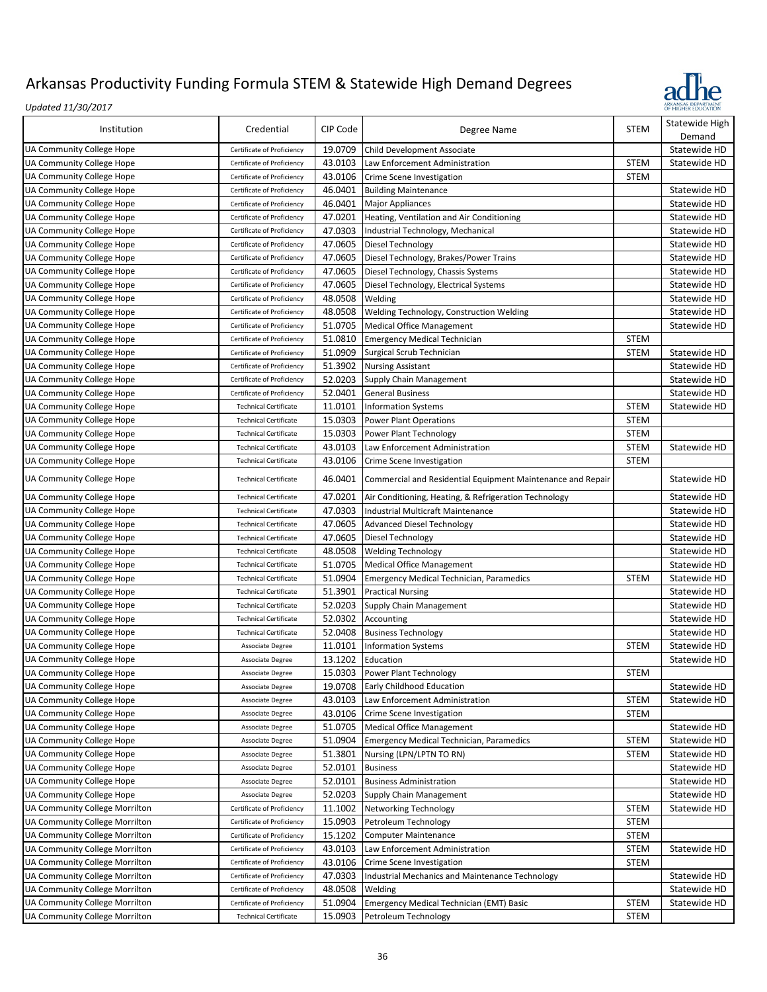

| Institution                    | Credential                   | CIP Code | Degree Name                                                 | <b>STEM</b> | Statewide High<br>Demand |
|--------------------------------|------------------------------|----------|-------------------------------------------------------------|-------------|--------------------------|
| UA Community College Hope      | Certificate of Proficiency   | 19.0709  | <b>Child Development Associate</b>                          |             | Statewide HD             |
| UA Community College Hope      | Certificate of Proficiency   | 43.0103  | Law Enforcement Administration                              | <b>STEM</b> | Statewide HD             |
| UA Community College Hope      | Certificate of Proficiency   | 43.0106  | Crime Scene Investigation                                   | STEM        |                          |
| UA Community College Hope      | Certificate of Proficiency   | 46.0401  | <b>Building Maintenance</b>                                 |             | Statewide HD             |
| UA Community College Hope      | Certificate of Proficiency   | 46.0401  | <b>Major Appliances</b>                                     |             | Statewide HD             |
| UA Community College Hope      | Certificate of Proficiency   | 47.0201  | Heating, Ventilation and Air Conditioning                   |             | Statewide HD             |
| UA Community College Hope      | Certificate of Proficiency   | 47.0303  | Industrial Technology, Mechanical                           |             | Statewide HD             |
| UA Community College Hope      | Certificate of Proficiency   | 47.0605  | Diesel Technology                                           |             | Statewide HD             |
| UA Community College Hope      | Certificate of Proficiency   | 47.0605  | Diesel Technology, Brakes/Power Trains                      |             | Statewide HD             |
| UA Community College Hope      | Certificate of Proficiency   | 47.0605  | Diesel Technology, Chassis Systems                          |             | Statewide HD             |
| UA Community College Hope      | Certificate of Proficiency   | 47.0605  | Diesel Technology, Electrical Systems                       |             | Statewide HD             |
| UA Community College Hope      | Certificate of Proficiency   | 48.0508  | Welding                                                     |             | Statewide HD             |
| UA Community College Hope      | Certificate of Proficiency   | 48.0508  | Welding Technology, Construction Welding                    |             | Statewide HD             |
| UA Community College Hope      | Certificate of Proficiency   | 51.0705  | <b>Medical Office Management</b>                            |             | Statewide HD             |
| UA Community College Hope      | Certificate of Proficiency   | 51.0810  | <b>Emergency Medical Technician</b>                         | <b>STEM</b> |                          |
| UA Community College Hope      | Certificate of Proficiency   | 51.0909  | Surgical Scrub Technician                                   | <b>STEM</b> | Statewide HD             |
| UA Community College Hope      | Certificate of Proficiency   | 51.3902  | <b>Nursing Assistant</b>                                    |             | Statewide HD             |
| UA Community College Hope      | Certificate of Proficiency   | 52.0203  | Supply Chain Management                                     |             | Statewide HD             |
| UA Community College Hope      | Certificate of Proficiency   | 52.0401  | <b>General Business</b>                                     |             | Statewide HD             |
| UA Community College Hope      | <b>Technical Certificate</b> | 11.0101  | <b>Information Systems</b>                                  | <b>STEM</b> | Statewide HD             |
| UA Community College Hope      | <b>Technical Certificate</b> | 15.0303  | <b>Power Plant Operations</b>                               | <b>STEM</b> |                          |
| UA Community College Hope      | <b>Technical Certificate</b> | 15.0303  | Power Plant Technology                                      | <b>STEM</b> |                          |
| UA Community College Hope      | <b>Technical Certificate</b> | 43.0103  | Law Enforcement Administration                              | <b>STEM</b> | Statewide HD             |
| UA Community College Hope      | <b>Technical Certificate</b> | 43.0106  | Crime Scene Investigation                                   | <b>STEM</b> |                          |
| UA Community College Hope      | <b>Technical Certificate</b> | 46.0401  | Commercial and Residential Equipment Maintenance and Repair |             | Statewide HD             |
| UA Community College Hope      | <b>Technical Certificate</b> | 47.0201  | Air Conditioning, Heating, & Refrigeration Technology       |             | Statewide HD             |
| UA Community College Hope      | <b>Technical Certificate</b> | 47.0303  | Industrial Multicraft Maintenance                           |             | Statewide HD             |
| UA Community College Hope      | <b>Technical Certificate</b> | 47.0605  | <b>Advanced Diesel Technology</b>                           |             | Statewide HD             |
| UA Community College Hope      | <b>Technical Certificate</b> | 47.0605  | Diesel Technology                                           |             | Statewide HD             |
| UA Community College Hope      | <b>Technical Certificate</b> | 48.0508  | <b>Welding Technology</b>                                   |             | Statewide HD             |
| UA Community College Hope      | <b>Technical Certificate</b> | 51.0705  | <b>Medical Office Management</b>                            |             | Statewide HD             |
| UA Community College Hope      | <b>Technical Certificate</b> | 51.0904  | Emergency Medical Technician, Paramedics                    | <b>STEM</b> | Statewide HD             |
| UA Community College Hope      | <b>Technical Certificate</b> | 51.3901  | <b>Practical Nursing</b>                                    |             | Statewide HD             |
| UA Community College Hope      | <b>Technical Certificate</b> | 52.0203  | <b>Supply Chain Management</b>                              |             | Statewide HD             |
| UA Community College Hope      | <b>Technical Certificate</b> | 52.0302  | Accounting                                                  |             | Statewide HD             |
| UA Community College Hope      | <b>Technical Certificate</b> | 52.0408  | <b>Business Technology</b>                                  |             | Statewide HD             |
| UA Community College Hope      | Associate Degree             | 11.0101  | <b>Information Systems</b>                                  | <b>STEM</b> | Statewide HD             |
| UA Community College Hope      | Associate Degree             | 13.1202  | Education                                                   |             | Statewide HD             |
| UA Community College Hope      | Associate Degree             | 15.0303  | Power Plant Technology                                      | <b>STEM</b> |                          |
| UA Community College Hope      | Associate Degree             | 19.0708  | Early Childhood Education                                   |             | Statewide HD             |
| UA Community College Hope      | Associate Degree             | 43.0103  | Law Enforcement Administration                              | <b>STEM</b> | Statewide HD             |
| UA Community College Hope      | Associate Degree             | 43.0106  | Crime Scene Investigation                                   | STEM        |                          |
| UA Community College Hope      | Associate Degree             | 51.0705  | <b>Medical Office Management</b>                            |             | Statewide HD             |
| UA Community College Hope      | Associate Degree             | 51.0904  | <b>Emergency Medical Technician, Paramedics</b>             | STEM        | Statewide HD             |
| UA Community College Hope      | Associate Degree             | 51.3801  | Nursing (LPN/LPTN TO RN)                                    | STEM        | Statewide HD             |
| UA Community College Hope      | Associate Degree             | 52.0101  | <b>Business</b>                                             |             | Statewide HD             |
| UA Community College Hope      | Associate Degree             | 52.0101  | <b>Business Administration</b>                              |             | Statewide HD             |
| UA Community College Hope      | Associate Degree             | 52.0203  | Supply Chain Management                                     |             | Statewide HD             |
| UA Community College Morrilton | Certificate of Proficiency   | 11.1002  | Networking Technology                                       | STEM        | Statewide HD             |
| UA Community College Morrilton | Certificate of Proficiency   | 15.0903  | Petroleum Technology                                        | <b>STEM</b> |                          |
| UA Community College Morrilton | Certificate of Proficiency   | 15.1202  | <b>Computer Maintenance</b>                                 | <b>STEM</b> |                          |
| UA Community College Morrilton | Certificate of Proficiency   | 43.0103  | Law Enforcement Administration                              | <b>STEM</b> | Statewide HD             |
| JA Community College Morrilton | Certificate of Proficiency   | 43.0106  | Crime Scene Investigation                                   | STEM        |                          |
| UA Community College Morrilton | Certificate of Proficiency   | 47.0303  | Industrial Mechanics and Maintenance Technology             |             | Statewide HD             |
| UA Community College Morrilton | Certificate of Proficiency   | 48.0508  | Welding                                                     |             | Statewide HD             |
| UA Community College Morrilton | Certificate of Proficiency   | 51.0904  | <b>Emergency Medical Technician (EMT) Basic</b>             | <b>STEM</b> | Statewide HD             |
| UA Community College Morrilton | <b>Technical Certificate</b> | 15.0903  | Petroleum Technology                                        | STEM        |                          |
|                                |                              |          |                                                             |             |                          |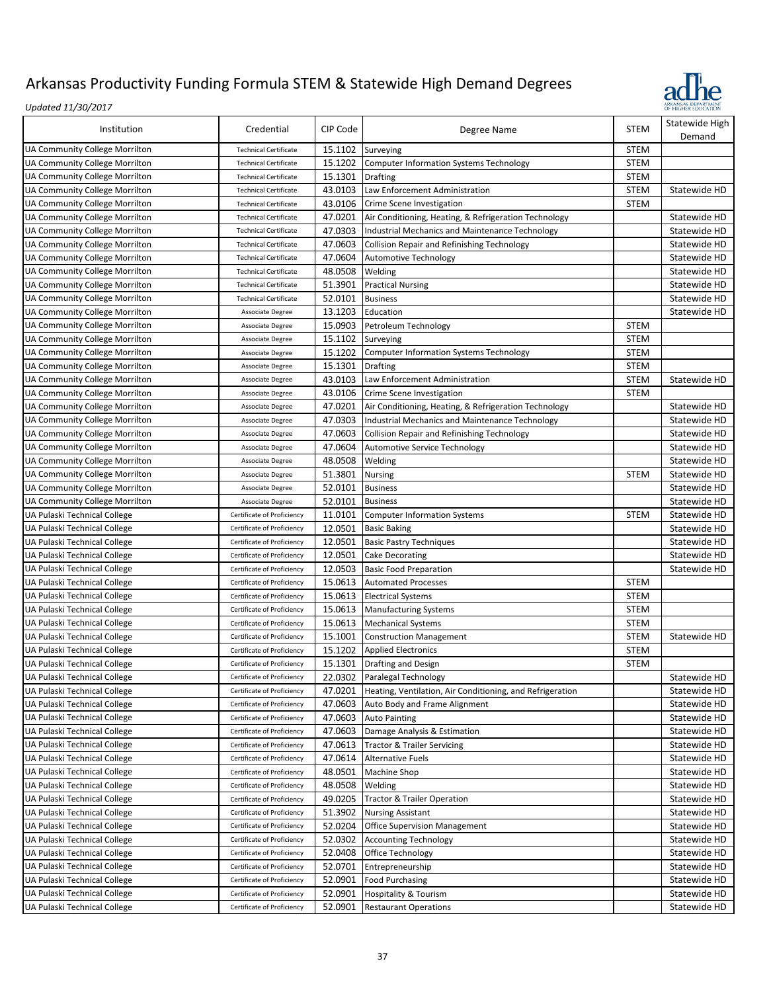

| Institution                                                  | Credential                                               | CIP Code           | Degree Name                                                         | <b>STEM</b> | Statewide High<br>Demand     |
|--------------------------------------------------------------|----------------------------------------------------------|--------------------|---------------------------------------------------------------------|-------------|------------------------------|
| UA Community College Morrilton                               | <b>Technical Certificate</b>                             | 15.1102            | Surveying                                                           | <b>STEM</b> |                              |
| UA Community College Morrilton                               | <b>Technical Certificate</b>                             | 15.1202            | <b>Computer Information Systems Technology</b>                      | <b>STEM</b> |                              |
| UA Community College Morrilton                               | <b>Technical Certificate</b>                             | 15.1301            | <b>Drafting</b>                                                     | <b>STEM</b> |                              |
| UA Community College Morrilton                               | <b>Technical Certificate</b>                             | 43.0103            | Law Enforcement Administration                                      | <b>STEM</b> | Statewide HD                 |
| UA Community College Morrilton                               | <b>Technical Certificate</b>                             | 43.0106            | Crime Scene Investigation                                           | <b>STEM</b> |                              |
| UA Community College Morrilton                               | <b>Technical Certificate</b>                             | 47.0201            | Air Conditioning, Heating, & Refrigeration Technology               |             | Statewide HD                 |
| UA Community College Morrilton                               | <b>Technical Certificate</b>                             | 47.0303            | Industrial Mechanics and Maintenance Technology                     |             | Statewide HD                 |
| UA Community College Morrilton                               | <b>Technical Certificate</b>                             | 47.0603            | <b>Collision Repair and Refinishing Technology</b>                  |             | Statewide HD                 |
| UA Community College Morrilton                               | <b>Technical Certificate</b>                             | 47.0604            | <b>Automotive Technology</b>                                        |             | Statewide HD                 |
| UA Community College Morrilton                               | <b>Technical Certificate</b>                             | 48.0508            | Welding                                                             |             | Statewide HD                 |
| UA Community College Morrilton                               | <b>Technical Certificate</b>                             | 51.3901            | <b>Practical Nursing</b>                                            |             | Statewide HD                 |
| UA Community College Morrilton                               | <b>Technical Certificate</b>                             | 52.0101            | <b>Business</b>                                                     |             | Statewide HD                 |
| UA Community College Morrilton                               | Associate Degree                                         | 13.1203            | Education                                                           |             | Statewide HD                 |
| UA Community College Morrilton                               | Associate Degree                                         | 15.0903            | Petroleum Technology                                                | <b>STEM</b> |                              |
| UA Community College Morrilton                               | Associate Degree                                         | 15.1102            | Surveying                                                           | <b>STEM</b> |                              |
| UA Community College Morrilton                               | Associate Degree                                         | 15.1202            | <b>Computer Information Systems Technology</b>                      | <b>STEM</b> |                              |
| UA Community College Morrilton                               | Associate Degree                                         | 15.1301            | <b>Drafting</b>                                                     | <b>STEM</b> |                              |
| UA Community College Morrilton                               | Associate Degree                                         | 43.0103            | Law Enforcement Administration                                      | <b>STEM</b> | Statewide HD                 |
| UA Community College Morrilton                               | Associate Degree                                         | 43.0106            | Crime Scene Investigation                                           | <b>STEM</b> |                              |
| UA Community College Morrilton                               | Associate Degree                                         | 47.0201            | Air Conditioning, Heating, & Refrigeration Technology               |             | Statewide HD                 |
| UA Community College Morrilton                               | Associate Degree                                         | 47.0303            | Industrial Mechanics and Maintenance Technology                     |             | Statewide HD                 |
| UA Community College Morrilton                               | Associate Degree                                         | 47.0603            | <b>Collision Repair and Refinishing Technology</b>                  |             | Statewide HD                 |
| UA Community College Morrilton                               | Associate Degree                                         | 47.0604            | Automotive Service Technology                                       |             | Statewide HD                 |
| UA Community College Morrilton                               | Associate Degree                                         | 48.0508            | Welding                                                             |             | Statewide HD                 |
|                                                              |                                                          | 51.3801            |                                                                     | <b>STEM</b> | Statewide HD                 |
| UA Community College Morrilton                               | Associate Degree                                         | 52.0101            | <b>Nursing</b><br><b>Business</b>                                   |             | Statewide HD                 |
| UA Community College Morrilton                               | Associate Degree                                         |                    |                                                                     |             |                              |
| UA Community College Morrilton                               | Associate Degree                                         | 52.0101            | <b>Business</b>                                                     | <b>STEM</b> | Statewide HD<br>Statewide HD |
| UA Pulaski Technical College<br>UA Pulaski Technical College | Certificate of Proficiency<br>Certificate of Proficiency | 11.0101<br>12.0501 | <b>Computer Information Systems</b><br><b>Basic Baking</b>          |             | Statewide HD                 |
|                                                              |                                                          | 12.0501            |                                                                     |             | Statewide HD                 |
| UA Pulaski Technical College                                 | Certificate of Proficiency<br>Certificate of Proficiency | 12.0501            | <b>Basic Pastry Techniques</b>                                      |             | Statewide HD                 |
| UA Pulaski Technical College                                 |                                                          |                    | <b>Cake Decorating</b>                                              |             |                              |
| UA Pulaski Technical College                                 | Certificate of Proficiency<br>Certificate of Proficiency | 12.0503<br>15.0613 | <b>Basic Food Preparation</b>                                       | <b>STEM</b> | Statewide HD                 |
| UA Pulaski Technical College                                 |                                                          |                    | <b>Automated Processes</b>                                          |             |                              |
| UA Pulaski Technical College                                 | Certificate of Proficiency                               | 15.0613            | <b>Electrical Systems</b>                                           | <b>STEM</b> |                              |
| UA Pulaski Technical College                                 | Certificate of Proficiency                               | 15.0613            | <b>Manufacturing Systems</b>                                        | <b>STEM</b> |                              |
| UA Pulaski Technical College                                 | Certificate of Proficiency                               | 15.0613            | <b>Mechanical Systems</b>                                           | <b>STEM</b> |                              |
| UA Pulaski Technical College                                 | Certificate of Proficiency                               | 15.1001            | <b>Construction Management</b>                                      | <b>STEM</b> | Statewide HD                 |
| UA Pulaski Technical College                                 | Certificate of Proficiency                               | 15.1202            | <b>Applied Electronics</b>                                          | <b>STEM</b> |                              |
| UA Pulaski Technical College                                 | Certificate of Proficiency                               | 15.1301            | Drafting and Design                                                 | <b>STEM</b> |                              |
| UA Pulaski Technical College                                 | Certificate of Proficiency                               |                    | 22.0302 Paralegal Technology                                        |             | Statewide HD                 |
| UA Pulaski Technical College                                 | Certificate of Proficiency                               |                    | 47.0201   Heating, Ventilation, Air Conditioning, and Refrigeration |             | Statewide HD                 |
| UA Pulaski Technical College                                 | Certificate of Proficiency                               | 47.0603            | Auto Body and Frame Alignment                                       |             | Statewide HD                 |
| UA Pulaski Technical College                                 | Certificate of Proficiency                               | 47.0603            | <b>Auto Painting</b>                                                |             | Statewide HD                 |
| UA Pulaski Technical College                                 | Certificate of Proficiency                               | 47.0603            | Damage Analysis & Estimation                                        |             | Statewide HD                 |
| UA Pulaski Technical College                                 | Certificate of Proficiency                               | 47.0613            | <b>Tractor &amp; Trailer Servicing</b>                              |             | Statewide HD                 |
| UA Pulaski Technical College                                 | Certificate of Proficiency                               | 47.0614            | <b>Alternative Fuels</b>                                            |             | Statewide HD                 |
| UA Pulaski Technical College                                 | Certificate of Proficiency                               | 48.0501            | Machine Shop                                                        |             | Statewide HD                 |
| UA Pulaski Technical College                                 | Certificate of Proficiency                               | 48.0508            | Welding                                                             |             | Statewide HD                 |
| UA Pulaski Technical College                                 | Certificate of Proficiency                               | 49.0205            | <b>Tractor &amp; Trailer Operation</b>                              |             | Statewide HD                 |
| UA Pulaski Technical College                                 | Certificate of Proficiency                               | 51.3902            | <b>Nursing Assistant</b>                                            |             | Statewide HD                 |
| UA Pulaski Technical College                                 | Certificate of Proficiency                               | 52.0204            | <b>Office Supervision Management</b>                                |             | Statewide HD                 |
| UA Pulaski Technical College                                 | Certificate of Proficiency                               | 52.0302            | <b>Accounting Technology</b>                                        |             | Statewide HD                 |
| UA Pulaski Technical College                                 | Certificate of Proficiency                               | 52.0408            | Office Technology                                                   |             | Statewide HD                 |
| UA Pulaski Technical College                                 | Certificate of Proficiency                               | 52.0701            | Entrepreneurship                                                    |             | Statewide HD                 |
| UA Pulaski Technical College                                 | Certificate of Proficiency                               | 52.0901            | <b>Food Purchasing</b>                                              |             | Statewide HD                 |
| UA Pulaski Technical College                                 | Certificate of Proficiency                               | 52.0901            | Hospitality & Tourism                                               |             | Statewide HD                 |
| UA Pulaski Technical College                                 | Certificate of Proficiency                               | 52.0901            | <b>Restaurant Operations</b>                                        |             | Statewide HD                 |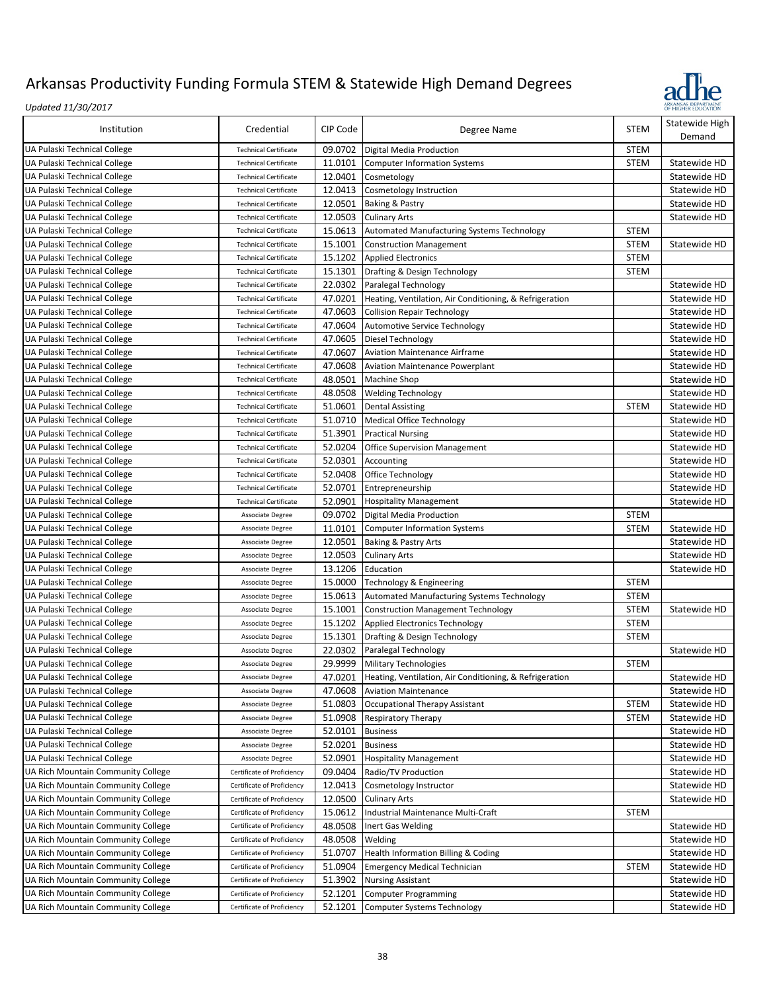

| Institution                        | Credential                   | CIP Code | Degree Name                                                       | <b>STEM</b> | Statewide High<br>Demand |
|------------------------------------|------------------------------|----------|-------------------------------------------------------------------|-------------|--------------------------|
| UA Pulaski Technical College       | <b>Technical Certificate</b> | 09.0702  | Digital Media Production                                          | <b>STEM</b> |                          |
| UA Pulaski Technical College       | <b>Technical Certificate</b> | 11.0101  | <b>Computer Information Systems</b>                               | <b>STEM</b> | Statewide HD             |
| UA Pulaski Technical College       | <b>Technical Certificate</b> | 12.0401  | Cosmetology                                                       |             | Statewide HD             |
| UA Pulaski Technical College       | <b>Technical Certificate</b> | 12.0413  | Cosmetology Instruction                                           |             | Statewide HD             |
| UA Pulaski Technical College       | <b>Technical Certificate</b> | 12.0501  | Baking & Pastry                                                   |             | Statewide HD             |
| UA Pulaski Technical College       | <b>Technical Certificate</b> | 12.0503  | <b>Culinary Arts</b>                                              |             | Statewide HD             |
|                                    |                              |          |                                                                   |             |                          |
| UA Pulaski Technical College       | <b>Technical Certificate</b> | 15.0613  | Automated Manufacturing Systems Technology                        | <b>STEM</b> |                          |
| UA Pulaski Technical College       | <b>Technical Certificate</b> | 15.1001  | <b>Construction Management</b>                                    | <b>STEM</b> | Statewide HD             |
| UA Pulaski Technical College       | <b>Technical Certificate</b> | 15.1202  | <b>Applied Electronics</b>                                        | <b>STEM</b> |                          |
| UA Pulaski Technical College       | <b>Technical Certificate</b> | 15.1301  | Drafting & Design Technology                                      | <b>STEM</b> |                          |
| UA Pulaski Technical College       | <b>Technical Certificate</b> | 22.0302  | Paralegal Technology                                              |             | Statewide HD             |
| UA Pulaski Technical College       | <b>Technical Certificate</b> | 47.0201  | Heating, Ventilation, Air Conditioning, & Refrigeration           |             | Statewide HD             |
| UA Pulaski Technical College       | <b>Technical Certificate</b> | 47.0603  | <b>Collision Repair Technology</b>                                |             | Statewide HD             |
| UA Pulaski Technical College       | <b>Technical Certificate</b> | 47.0604  | Automotive Service Technology                                     |             | Statewide HD             |
| UA Pulaski Technical College       | <b>Technical Certificate</b> | 47.0605  | Diesel Technology                                                 |             | Statewide HD             |
| UA Pulaski Technical College       | <b>Technical Certificate</b> | 47.0607  | <b>Aviation Maintenance Airframe</b>                              |             | Statewide HD             |
| UA Pulaski Technical College       | <b>Technical Certificate</b> | 47.0608  | <b>Aviation Maintenance Powerplant</b>                            |             | Statewide HD             |
| UA Pulaski Technical College       | <b>Technical Certificate</b> | 48.0501  | <b>Machine Shop</b>                                               |             | Statewide HD             |
| UA Pulaski Technical College       | <b>Technical Certificate</b> | 48.0508  | <b>Welding Technology</b>                                         |             | Statewide HD             |
| UA Pulaski Technical College       | <b>Technical Certificate</b> | 51.0601  | <b>Dental Assisting</b>                                           | <b>STEM</b> | Statewide HD             |
| UA Pulaski Technical College       | <b>Technical Certificate</b> | 51.0710  | <b>Medical Office Technology</b>                                  |             | Statewide HD             |
| UA Pulaski Technical College       | <b>Technical Certificate</b> | 51.3901  | <b>Practical Nursing</b>                                          |             | Statewide HD             |
| UA Pulaski Technical College       | <b>Technical Certificate</b> | 52.0204  | <b>Office Supervision Management</b>                              |             | Statewide HD             |
| UA Pulaski Technical College       | <b>Technical Certificate</b> | 52.0301  | Accounting                                                        |             | Statewide HD             |
| UA Pulaski Technical College       | <b>Technical Certificate</b> | 52.0408  | Office Technology                                                 |             | Statewide HD             |
| UA Pulaski Technical College       | <b>Technical Certificate</b> | 52.0701  | Entrepreneurship                                                  |             | Statewide HD             |
| UA Pulaski Technical College       | <b>Technical Certificate</b> | 52.0901  | <b>Hospitality Management</b>                                     |             | Statewide HD             |
| UA Pulaski Technical College       | Associate Degree             | 09.0702  | Digital Media Production                                          | <b>STEM</b> |                          |
| UA Pulaski Technical College       | Associate Degree             | 11.0101  | <b>Computer Information Systems</b>                               | <b>STEM</b> | Statewide HD             |
| UA Pulaski Technical College       | Associate Degree             | 12.0501  | Baking & Pastry Arts                                              |             | Statewide HD             |
| UA Pulaski Technical College       | Associate Degree             | 12.0503  | <b>Culinary Arts</b>                                              |             | Statewide HD             |
| UA Pulaski Technical College       | Associate Degree             | 13.1206  | Education                                                         |             | Statewide HD             |
| UA Pulaski Technical College       | Associate Degree             | 15.0000  | Technology & Engineering                                          | <b>STEM</b> |                          |
| UA Pulaski Technical College       |                              | 15.0613  | Automated Manufacturing Systems Technology                        | <b>STEM</b> |                          |
|                                    | Associate Degree             |          |                                                                   |             |                          |
| UA Pulaski Technical College       | Associate Degree             | 15.1001  | <b>Construction Management Technology</b>                         | <b>STEM</b> | Statewide HD             |
| UA Pulaski Technical College       | <b>Associate Degree</b>      | 15.1202  | Applied Electronics Technology                                    | <b>STEM</b> |                          |
| UA Pulaski Technical College       | Associate Degree             | 15.1301  | Drafting & Design Technology                                      | <b>STEM</b> |                          |
| UA Pulaski Technical College       | Associate Degree             | 22.0302  | Paralegal Technology                                              |             | Statewide HD             |
| UA Pulaski Technical College       | Associate Degree             |          | 29.9999 Military Technologies                                     | <b>STEM</b> |                          |
| UA Pulaski Technical College       | Associate Degree             |          | 47.0201   Heating, Ventilation, Air Conditioning, & Refrigeration |             | Statewide HD             |
| UA Pulaski Technical College       | Associate Degree             | 47.0608  | <b>Aviation Maintenance</b>                                       |             | Statewide HD             |
| UA Pulaski Technical College       | Associate Degree             | 51.0803  | Occupational Therapy Assistant                                    | <b>STEM</b> | Statewide HD             |
| UA Pulaski Technical College       | Associate Degree             | 51.0908  | <b>Respiratory Therapy</b>                                        | <b>STEM</b> | Statewide HD             |
| UA Pulaski Technical College       | Associate Degree             | 52.0101  | <b>Business</b>                                                   |             | Statewide HD             |
| UA Pulaski Technical College       | <b>Associate Degree</b>      | 52.0201  | <b>Business</b>                                                   |             | Statewide HD             |
| UA Pulaski Technical College       | Associate Degree             | 52.0901  | <b>Hospitality Management</b>                                     |             | Statewide HD             |
| UA Rich Mountain Community College | Certificate of Proficiency   | 09.0404  | Radio/TV Production                                               |             | Statewide HD             |
| UA Rich Mountain Community College | Certificate of Proficiency   | 12.0413  | Cosmetology Instructor                                            |             | Statewide HD             |
| UA Rich Mountain Community College | Certificate of Proficiency   | 12.0500  | <b>Culinary Arts</b>                                              |             | Statewide HD             |
| UA Rich Mountain Community College | Certificate of Proficiency   | 15.0612  | Industrial Maintenance Multi-Craft                                | <b>STEM</b> |                          |
| UA Rich Mountain Community College | Certificate of Proficiency   | 48.0508  | Inert Gas Welding                                                 |             | Statewide HD             |
| UA Rich Mountain Community College | Certificate of Proficiency   | 48.0508  | Welding                                                           |             | Statewide HD             |
| UA Rich Mountain Community College | Certificate of Proficiency   | 51.0707  | Health Information Billing & Coding                               |             | Statewide HD             |
| UA Rich Mountain Community College | Certificate of Proficiency   | 51.0904  | <b>Emergency Medical Technician</b>                               | <b>STEM</b> | Statewide HD             |
| UA Rich Mountain Community College | Certificate of Proficiency   | 51.3902  | <b>Nursing Assistant</b>                                          |             | Statewide HD             |
| UA Rich Mountain Community College | Certificate of Proficiency   | 52.1201  | <b>Computer Programming</b>                                       |             | Statewide HD             |
| UA Rich Mountain Community College | Certificate of Proficiency   | 52.1201  | <b>Computer Systems Technology</b>                                |             | Statewide HD             |
|                                    |                              |          |                                                                   |             |                          |